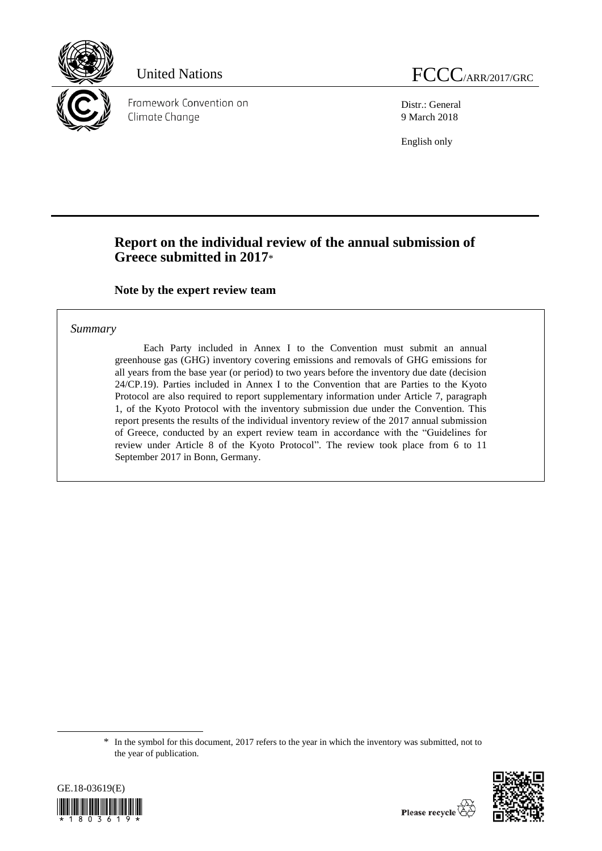

Framework Convention on Climate Change

Distr.: General 9 March 2018

English only

# **Report on the individual review of the annual submission of Greece submitted in 2017**\*

**Note by the expert review team**

#### *Summary*

Each Party included in Annex I to the Convention must submit an annual greenhouse gas (GHG) inventory covering emissions and removals of GHG emissions for all years from the base year (or period) to two years before the inventory due date (decision 24/CP.19). Parties included in Annex I to the Convention that are Parties to the Kyoto Protocol are also required to report supplementary information under Article 7, paragraph 1, of the Kyoto Protocol with the inventory submission due under the Convention. This report presents the results of the individual inventory review of the 2017 annual submission of Greece, conducted by an expert review team in accordance with the "Guidelines for review under Article 8 of the Kyoto Protocol". The review took place from 6 to 11 September 2017 in Bonn, Germany.

<sup>\*</sup> In the symbol for this document, 2017 refers to the year in which the inventory was submitted, not to the year of publication.



-

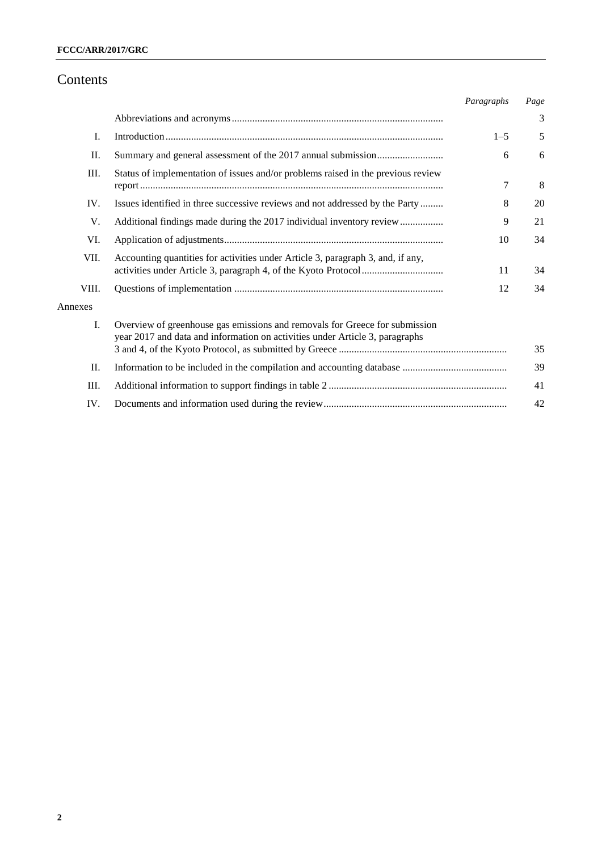## Contents

|         |                                                                                                                                                             | Paragraphs | Page |
|---------|-------------------------------------------------------------------------------------------------------------------------------------------------------------|------------|------|
|         |                                                                                                                                                             |            | 3    |
| I.      |                                                                                                                                                             | $1 - 5$    | 5    |
| Π.      |                                                                                                                                                             | 6          | 6    |
| Ш.      | Status of implementation of issues and/or problems raised in the previous review                                                                            | 7          | 8    |
| IV.     | Issues identified in three successive reviews and not addressed by the Party                                                                                | 8          | 20   |
| V.      | Additional findings made during the 2017 individual inventory review                                                                                        | 9          | 21   |
| VI.     |                                                                                                                                                             | 10         | 34   |
| VII.    | Accounting quantities for activities under Article 3, paragraph 3, and, if any,                                                                             | 11         | 34   |
| VIII.   |                                                                                                                                                             | 12         | 34   |
| Annexes |                                                                                                                                                             |            |      |
| I.      | Overview of greenhouse gas emissions and removals for Greece for submission<br>year 2017 and data and information on activities under Article 3, paragraphs |            |      |
|         |                                                                                                                                                             |            | 35   |
| П.      |                                                                                                                                                             |            | 39   |
| Ш.      |                                                                                                                                                             |            | 41   |
| IV.     |                                                                                                                                                             |            | 42   |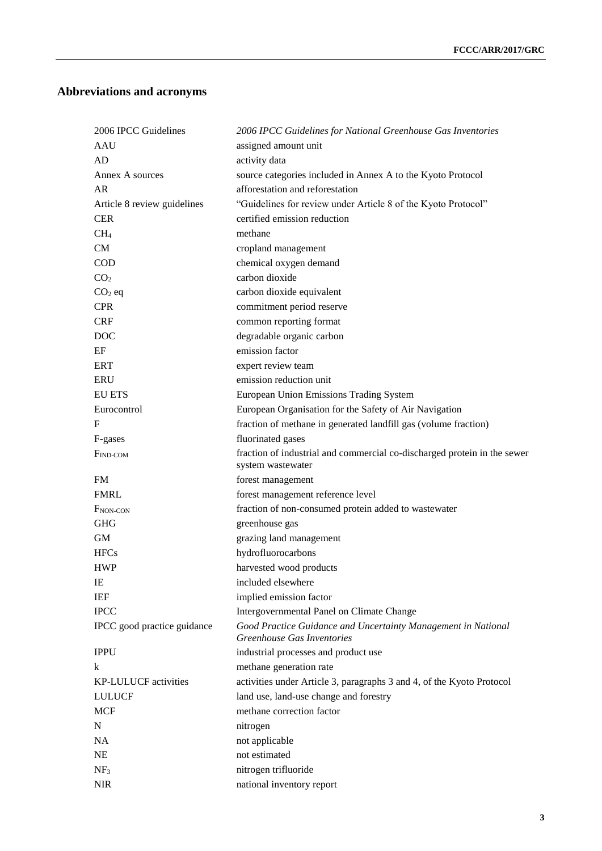# **Abbreviations and acronyms**

| 2006 IPCC Guidelines        | 2006 IPCC Guidelines for National Greenhouse Gas Inventories                                  |
|-----------------------------|-----------------------------------------------------------------------------------------------|
| AAU                         | assigned amount unit                                                                          |
| AD                          | activity data                                                                                 |
| Annex A sources             | source categories included in Annex A to the Kyoto Protocol                                   |
| AR                          | afforestation and reforestation                                                               |
| Article 8 review guidelines | "Guidelines for review under Article 8 of the Kyoto Protocol"                                 |
| <b>CER</b>                  | certified emission reduction                                                                  |
| CH <sub>4</sub>             | methane                                                                                       |
| CM                          | cropland management                                                                           |
| <b>COD</b>                  | chemical oxygen demand                                                                        |
| CO <sub>2</sub>             | carbon dioxide                                                                                |
| $CO2$ eq                    | carbon dioxide equivalent                                                                     |
| <b>CPR</b>                  | commitment period reserve                                                                     |
| <b>CRF</b>                  | common reporting format                                                                       |
| DOC                         | degradable organic carbon                                                                     |
| EF                          | emission factor                                                                               |
| <b>ERT</b>                  | expert review team                                                                            |
| <b>ERU</b>                  | emission reduction unit                                                                       |
| <b>EU ETS</b>               | European Union Emissions Trading System                                                       |
| Eurocontrol                 | European Organisation for the Safety of Air Navigation                                        |
| F                           | fraction of methane in generated landfill gas (volume fraction)                               |
| F-gases                     | fluorinated gases                                                                             |
| $F_{IND-COM}$               | fraction of industrial and commercial co-discharged protein in the sewer<br>system wastewater |
| <b>FM</b>                   | forest management                                                                             |
| <b>FMRL</b>                 | forest management reference level                                                             |
| F <sub>NON-CON</sub>        | fraction of non-consumed protein added to wastewater                                          |
| <b>GHG</b>                  | greenhouse gas                                                                                |
| GM                          | grazing land management                                                                       |
| <b>HFCs</b>                 | hydrofluorocarbons                                                                            |
| <b>HWP</b>                  | harvested wood products                                                                       |
| IE                          | included elsewhere                                                                            |
| <b>IEF</b>                  | implied emission factor                                                                       |
| <b>IPCC</b>                 | Intergovernmental Panel on Climate Change                                                     |
| IPCC good practice guidance | Good Practice Guidance and Uncertainty Management in National<br>Greenhouse Gas Inventories   |
| <b>IPPU</b>                 | industrial processes and product use                                                          |
| k                           | methane generation rate                                                                       |
| <b>KP-LULUCF</b> activities | activities under Article 3, paragraphs 3 and 4, of the Kyoto Protocol                         |
| <b>LULUCF</b>               | land use, land-use change and forestry                                                        |
| <b>MCF</b>                  | methane correction factor                                                                     |
| N                           | nitrogen                                                                                      |
| <b>NA</b>                   | not applicable                                                                                |
| <b>NE</b>                   | not estimated                                                                                 |
| NF <sub>3</sub>             | nitrogen trifluoride                                                                          |
| <b>NIR</b>                  | national inventory report                                                                     |
|                             |                                                                                               |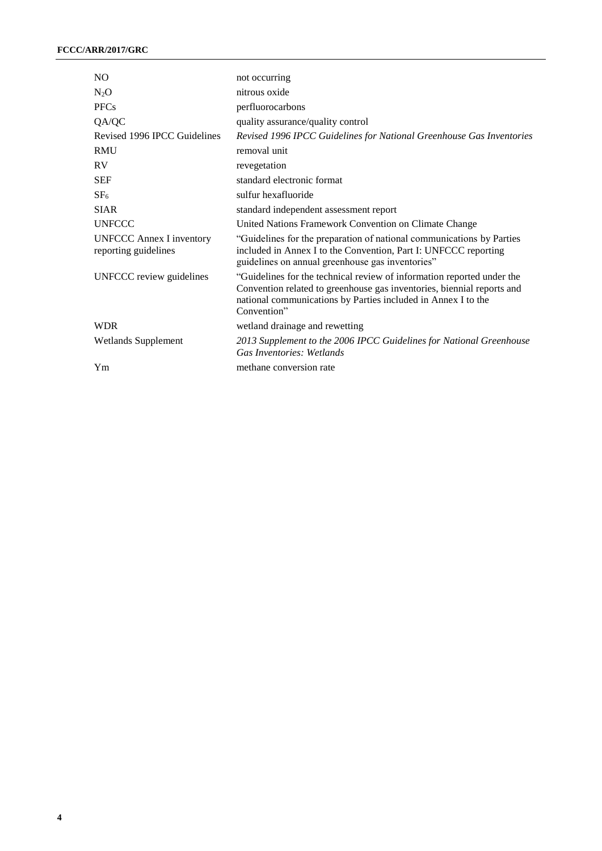| N <sub>O</sub>                                          | not occurring                                                                                                                                                                                                                    |
|---------------------------------------------------------|----------------------------------------------------------------------------------------------------------------------------------------------------------------------------------------------------------------------------------|
| $N_2O$                                                  | nitrous oxide                                                                                                                                                                                                                    |
| <b>PFCs</b>                                             | perfluorocarbons                                                                                                                                                                                                                 |
| QA/QC                                                   | quality assurance/quality control                                                                                                                                                                                                |
| Revised 1996 IPCC Guidelines                            | Revised 1996 IPCC Guidelines for National Greenhouse Gas Inventories                                                                                                                                                             |
| <b>RMU</b>                                              | removal unit                                                                                                                                                                                                                     |
| <b>RV</b>                                               | revegetation                                                                                                                                                                                                                     |
| <b>SEF</b>                                              | standard electronic format                                                                                                                                                                                                       |
| SF <sub>6</sub>                                         | sulfur hexafluoride                                                                                                                                                                                                              |
| <b>SIAR</b>                                             | standard independent assessment report                                                                                                                                                                                           |
| <b>UNFCCC</b>                                           | United Nations Framework Convention on Climate Change                                                                                                                                                                            |
| <b>UNFCCC Annex I inventory</b><br>reporting guidelines | "Guidelines for the preparation of national communications by Parties<br>included in Annex I to the Convention, Part I: UNFCCC reporting<br>guidelines on annual greenhouse gas inventories"                                     |
| UNFCCC review guidelines                                | "Guidelines for the technical review of information reported under the<br>Convention related to greenhouse gas inventories, biennial reports and<br>national communications by Parties included in Annex I to the<br>Convention" |
| <b>WDR</b>                                              | wetland drainage and rewetting                                                                                                                                                                                                   |
| <b>Wetlands Supplement</b>                              | 2013 Supplement to the 2006 IPCC Guidelines for National Greenhouse<br>Gas Inventories: Wetlands                                                                                                                                 |
| Ym                                                      | methane conversion rate                                                                                                                                                                                                          |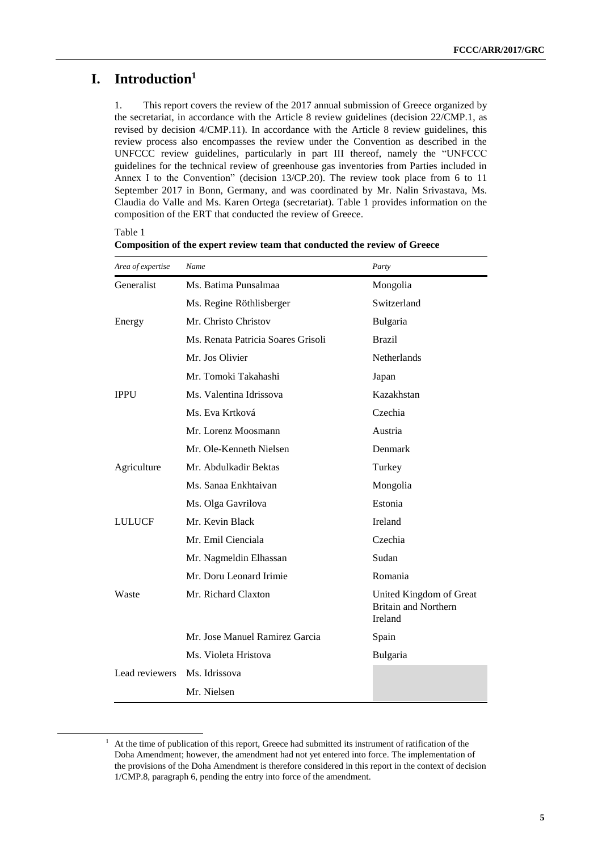### **I. Introduction<sup>1</sup>**

Table 1

1

1. This report covers the review of the 2017 annual submission of Greece organized by the secretariat, in accordance with the Article 8 review guidelines (decision 22/CMP.1, as revised by decision 4/CMP.11). In accordance with the Article 8 review guidelines, this review process also encompasses the review under the Convention as described in the UNFCCC review guidelines, particularly in part III thereof, namely the "UNFCCC guidelines for the technical review of greenhouse gas inventories from Parties included in Annex I to the Convention" (decision 13/CP.20). The review took place from 6 to 11 September 2017 in Bonn, Germany, and was coordinated by Mr. Nalin Srivastava, Ms. Claudia do Valle and Ms. Karen Ortega (secretariat). Table 1 provides information on the composition of the ERT that conducted the review of Greece.

| Area of expertise | Name                               | Party                                                             |
|-------------------|------------------------------------|-------------------------------------------------------------------|
| Generalist        | Ms. Batima Punsalmaa               | Mongolia                                                          |
|                   | Ms. Regine Röthlisberger           | Switzerland                                                       |
| Energy            | Mr. Christo Christov               | <b>Bulgaria</b>                                                   |
|                   | Ms. Renata Patricia Soares Grisoli | <b>Brazil</b>                                                     |
|                   | Mr. Jos Olivier                    | <b>Netherlands</b>                                                |
|                   | Mr. Tomoki Takahashi               | Japan                                                             |
| <b>IPPU</b>       | Ms. Valentina Idrissova            | Kazakhstan                                                        |
|                   | Ms. Eva Krtková                    | Czechia                                                           |
|                   | Mr. Lorenz Moosmann                | Austria                                                           |
|                   | Mr. Ole-Kenneth Nielsen            | Denmark                                                           |
| Agriculture       | Mr. Abdulkadir Bektas              | Turkey                                                            |
|                   | Ms. Sanaa Enkhtaivan               | Mongolia                                                          |
|                   | Ms. Olga Gavrilova                 | Estonia                                                           |
| <b>LULUCF</b>     | Mr. Kevin Black                    | Ireland                                                           |
|                   | Mr. Emil Cienciala                 | Czechia                                                           |
|                   | Mr. Nagmeldin Elhassan             | Sudan                                                             |
|                   | Mr. Doru Leonard Irimie            | Romania                                                           |
| Waste             | Mr. Richard Claxton                | United Kingdom of Great<br><b>Britain and Northern</b><br>Ireland |
|                   | Mr. Jose Manuel Ramirez Garcia     | Spain                                                             |
|                   | Ms. Violeta Hristova               | Bulgaria                                                          |
| Lead reviewers    | Ms. Idrissova                      |                                                                   |
|                   | Mr. Nielsen                        |                                                                   |

**Composition of the expert review team that conducted the review of Greece**

 $1$  At the time of publication of this report, Greece had submitted its instrument of ratification of the Doha Amendment; however, the amendment had not yet entered into force. The implementation of the provisions of the Doha Amendment is therefore considered in this report in the context of decision 1/CMP.8, paragraph 6, pending the entry into force of the amendment.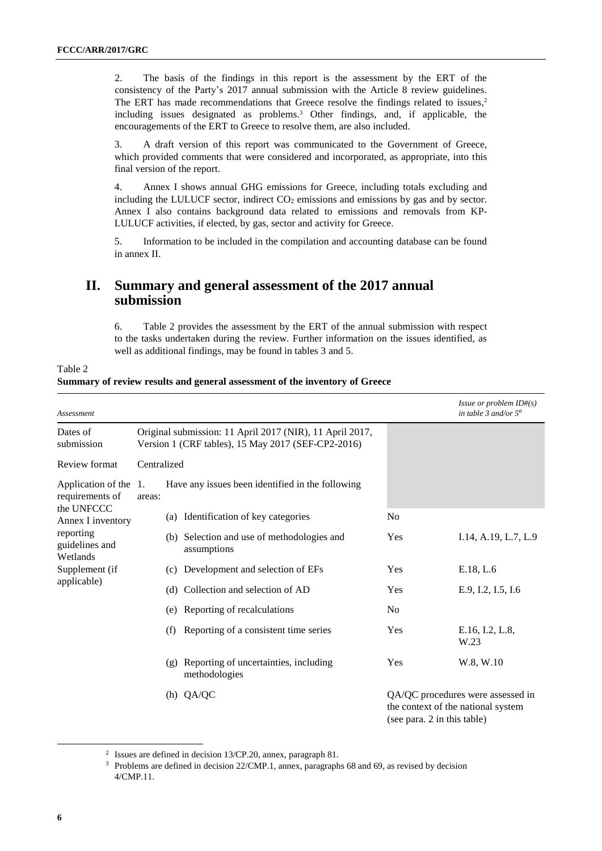2. The basis of the findings in this report is the assessment by the ERT of the consistency of the Party's 2017 annual submission with the Article 8 review guidelines. The ERT has made recommendations that Greece resolve the findings related to issues, 2 including issues designated as problems.<sup>3</sup> Other findings, and, if applicable, the encouragements of the ERT to Greece to resolve them, are also included.

3. A draft version of this report was communicated to the Government of Greece, which provided comments that were considered and incorporated, as appropriate, into this final version of the report.

4. Annex I shows annual GHG emissions for Greece, including totals excluding and including the LULUCF sector, indirect  $CO<sub>2</sub>$  emissions and emissions by gas and by sector. Annex I also contains background data related to emissions and removals from KP-LULUCF activities, if elected, by gas, sector and activity for Greece.

5. Information to be included in the compilation and accounting database can be found in annex II.

### **II. Summary and general assessment of the 2017 annual submission**

6. Table 2 provides the assessment by the ERT of the annual submission with respect to the tasks undertaken during the review. Further information on the issues identified, as well as additional findings, may be found in tables 3 and 5.

| Assessment                               |             |                                                                                                                |                                                            |                             | <i>Issue or problem ID#(s)</i><br>in table 3 and/or $5^a$               |
|------------------------------------------|-------------|----------------------------------------------------------------------------------------------------------------|------------------------------------------------------------|-----------------------------|-------------------------------------------------------------------------|
| Dates of<br>submission                   |             | Original submission: 11 April 2017 (NIR), 11 April 2017,<br>Version 1 (CRF tables), 15 May 2017 (SEF-CP2-2016) |                                                            |                             |                                                                         |
| Review format                            | Centralized |                                                                                                                |                                                            |                             |                                                                         |
| Application of the 1.<br>requirements of | areas:      |                                                                                                                | Have any issues been identified in the following           |                             |                                                                         |
| the UNFCCC<br>Annex I inventory          |             |                                                                                                                | (a) Identification of key categories                       | N <sub>0</sub>              |                                                                         |
| reporting<br>guidelines and<br>Wetlands  |             |                                                                                                                | (b) Selection and use of methodologies and<br>assumptions  | Yes                         | I.14, A.19, L.7, L.9                                                    |
| Supplement (if                           |             | (c)                                                                                                            | Development and selection of EFs                           | Yes                         | E.18, L.6                                                               |
| applicable)                              |             |                                                                                                                | (d) Collection and selection of AD                         | <b>Yes</b>                  | E.9, I.2, I.5, I.6                                                      |
|                                          |             |                                                                                                                | (e) Reporting of recalculations                            | No                          |                                                                         |
|                                          |             | (f)                                                                                                            | Reporting of a consistent time series                      | Yes                         | E.16, I.2, L.8,<br>W.23                                                 |
|                                          |             |                                                                                                                | (g) Reporting of uncertainties, including<br>methodologies | Yes                         | W.8, W.10                                                               |
|                                          |             |                                                                                                                | (h) QA/QC                                                  | (see para. 2 in this table) | QA/QC procedures were assessed in<br>the context of the national system |

Table 2 **Summary of review results and general assessment of the inventory of Greece**

-

<sup>2</sup> Issues are defined in decision 13/CP.20, annex, paragraph 81.

<sup>&</sup>lt;sup>3</sup> Problems are defined in decision 22/CMP.1, annex, paragraphs 68 and 69, as revised by decision 4/CMP.11.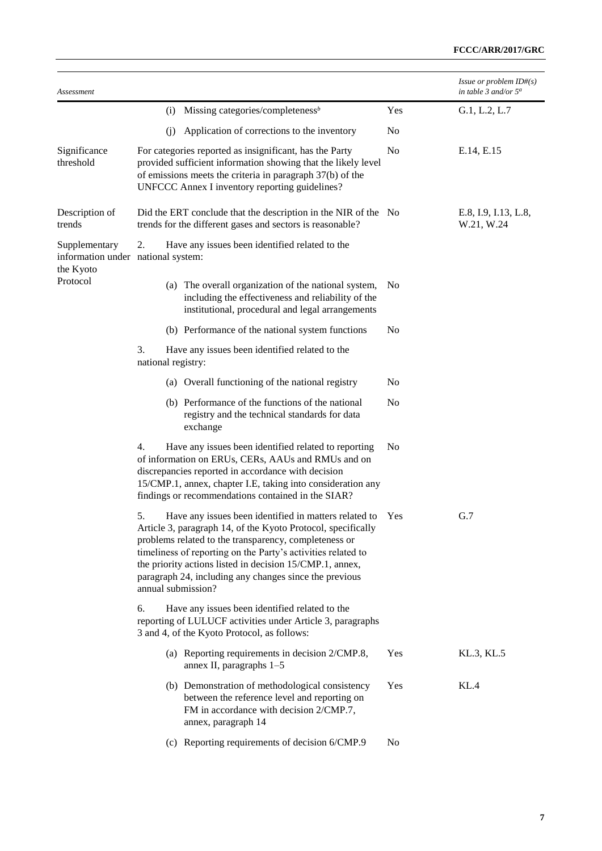| Assessment                                                       |                                                                                                                                                                                                                                                                                                                                                                                                  |                | Issue or problem $ID#(s)$<br>in table 3 and/or $5^a$ |
|------------------------------------------------------------------|--------------------------------------------------------------------------------------------------------------------------------------------------------------------------------------------------------------------------------------------------------------------------------------------------------------------------------------------------------------------------------------------------|----------------|------------------------------------------------------|
|                                                                  | Missing categories/completeness $\mathbf{b}$<br>(i)                                                                                                                                                                                                                                                                                                                                              | Yes            | G.1, L.2, L.7                                        |
|                                                                  | Application of corrections to the inventory<br>(i)                                                                                                                                                                                                                                                                                                                                               | No             |                                                      |
| Significance<br>threshold                                        | For categories reported as insignificant, has the Party<br>provided sufficient information showing that the likely level<br>of emissions meets the criteria in paragraph 37(b) of the<br>UNFCCC Annex I inventory reporting guidelines?                                                                                                                                                          | N <sub>o</sub> | E.14, E.15                                           |
| Description of<br>trends                                         | Did the ERT conclude that the description in the NIR of the No<br>trends for the different gases and sectors is reasonable?                                                                                                                                                                                                                                                                      |                | E.8, I.9, I.13, L.8,<br>W.21, W.24                   |
| Supplementary<br>information under national system:<br>the Kyoto | 2.<br>Have any issues been identified related to the                                                                                                                                                                                                                                                                                                                                             |                |                                                      |
| Protocol                                                         | (a) The overall organization of the national system,<br>including the effectiveness and reliability of the<br>institutional, procedural and legal arrangements                                                                                                                                                                                                                                   | N <sub>0</sub> |                                                      |
|                                                                  | (b) Performance of the national system functions                                                                                                                                                                                                                                                                                                                                                 | No             |                                                      |
|                                                                  | 3.<br>Have any issues been identified related to the<br>national registry:                                                                                                                                                                                                                                                                                                                       |                |                                                      |
|                                                                  | (a) Overall functioning of the national registry                                                                                                                                                                                                                                                                                                                                                 | No             |                                                      |
|                                                                  | (b) Performance of the functions of the national<br>registry and the technical standards for data<br>exchange                                                                                                                                                                                                                                                                                    | N <sub>o</sub> |                                                      |
|                                                                  | Have any issues been identified related to reporting<br>4.<br>of information on ERUs, CERs, AAUs and RMUs and on<br>discrepancies reported in accordance with decision<br>15/CMP.1, annex, chapter I.E, taking into consideration any<br>findings or recommendations contained in the SIAR?                                                                                                      | N <sub>0</sub> |                                                      |
|                                                                  | 5.<br>Have any issues been identified in matters related to<br>Article 3, paragraph 14, of the Kyoto Protocol, specifically<br>problems related to the transparency, completeness or<br>timeliness of reporting on the Party's activities related to<br>the priority actions listed in decision 15/CMP.1, annex,<br>paragraph 24, including any changes since the previous<br>annual submission? | Yes            | G.7                                                  |
|                                                                  | Have any issues been identified related to the<br>6.<br>reporting of LULUCF activities under Article 3, paragraphs<br>3 and 4, of the Kyoto Protocol, as follows:                                                                                                                                                                                                                                |                |                                                      |
|                                                                  | (a) Reporting requirements in decision 2/CMP.8,<br>annex II, paragraphs $1-5$                                                                                                                                                                                                                                                                                                                    | Yes            | KL.3, KL.5                                           |
|                                                                  | (b) Demonstration of methodological consistency<br>between the reference level and reporting on<br>FM in accordance with decision 2/CMP.7,<br>annex, paragraph 14                                                                                                                                                                                                                                | Yes            | KL.4                                                 |
|                                                                  | (c) Reporting requirements of decision 6/CMP.9                                                                                                                                                                                                                                                                                                                                                   | N <sub>0</sub> |                                                      |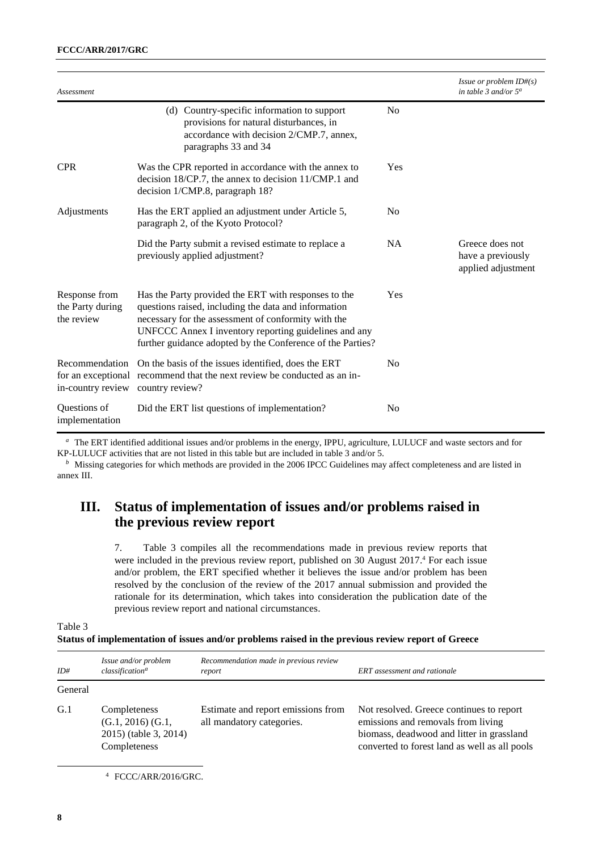| Assessment                                          |                                                                                                                                                                                                                                                                                            |                | Issue or problem ID#(s)<br>in table 3 and/or $5^a$         |
|-----------------------------------------------------|--------------------------------------------------------------------------------------------------------------------------------------------------------------------------------------------------------------------------------------------------------------------------------------------|----------------|------------------------------------------------------------|
|                                                     | (d) Country-specific information to support<br>provisions for natural disturbances, in<br>accordance with decision 2/CMP.7, annex,<br>paragraphs 33 and 34                                                                                                                                 | No             |                                                            |
| <b>CPR</b>                                          | Was the CPR reported in accordance with the annex to<br>decision 18/CP.7, the annex to decision 11/CMP.1 and<br>decision 1/CMP.8, paragraph 18?                                                                                                                                            | Yes            |                                                            |
| Adjustments                                         | Has the ERT applied an adjustment under Article 5,<br>paragraph 2, of the Kyoto Protocol?                                                                                                                                                                                                  | N <sub>0</sub> |                                                            |
|                                                     | Did the Party submit a revised estimate to replace a<br>previously applied adjustment?                                                                                                                                                                                                     | NA             | Greece does not<br>have a previously<br>applied adjustment |
| Response from<br>the Party during<br>the review     | Has the Party provided the ERT with responses to the<br>questions raised, including the data and information<br>necessary for the assessment of conformity with the<br>UNFCCC Annex I inventory reporting guidelines and any<br>further guidance adopted by the Conference of the Parties? | Yes            |                                                            |
| Recommendation<br>in-country review country review? | On the basis of the issues identified, does the ERT<br>for an exceptional recommend that the next review be conducted as an in-                                                                                                                                                            | N <sub>0</sub> |                                                            |
| Questions of<br>implementation                      | Did the ERT list questions of implementation?                                                                                                                                                                                                                                              | No             |                                                            |

*<sup>a</sup>*The ERT identified additional issues and/or problems in the energy, IPPU, agriculture, LULUCF and waste sectors and for KP-LULUCF activities that are not listed in this table but are included in table 3 and/or 5.

*b* Missing categories for which methods are provided in the 2006 IPCC Guidelines may affect completeness and are listed in annex III.

### **III. Status of implementation of issues and/or problems raised in the previous review report**

7. Table 3 compiles all the recommendations made in previous review reports that were included in the previous review report, published on 30 August 2017. <sup>4</sup> For each issue and/or problem, the ERT specified whether it believes the issue and/or problem has been resolved by the conclusion of the review of the 2017 annual submission and provided the rationale for its determination, which takes into consideration the publication date of the previous review report and national circumstances.

Table 3

**Status of implementation of issues and/or problems raised in the previous review report of Greece**

| ID#     | Issue and/or problem<br>classification <sup>a</sup>                                  | Recommendation made in previous review<br>report                | <b>ERT</b> assessment and rationale                                                                                                                                          |
|---------|--------------------------------------------------------------------------------------|-----------------------------------------------------------------|------------------------------------------------------------------------------------------------------------------------------------------------------------------------------|
| General |                                                                                      |                                                                 |                                                                                                                                                                              |
| G.1     | Completeness<br>$(G.1, 2016)$ $(G.1, 2016)$<br>2015) (table 3, 2014)<br>Completeness | Estimate and report emissions from<br>all mandatory categories. | Not resolved. Greece continues to report<br>emissions and removals from living<br>biomass, deadwood and litter in grassland<br>converted to forest land as well as all pools |

<sup>4</sup> FCCC/ARR/2016/GRC.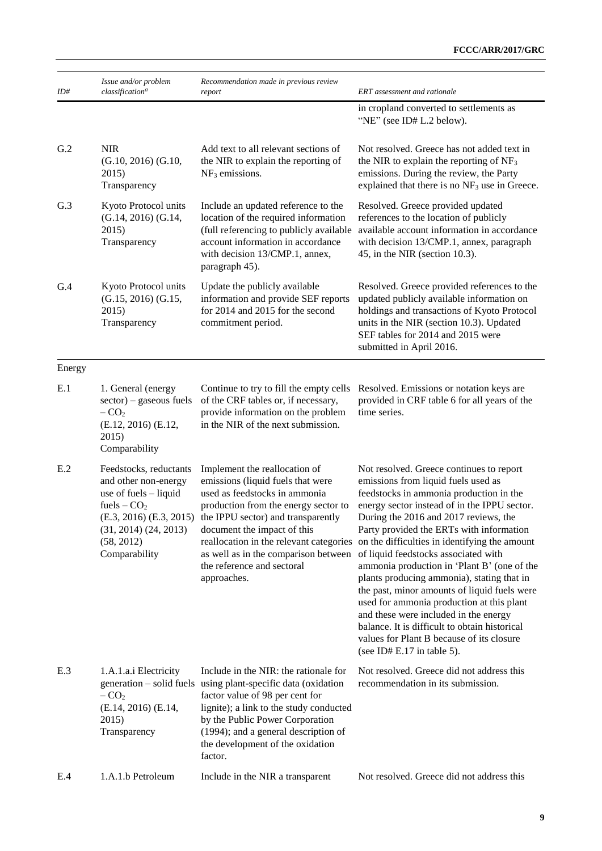| ID#    | Issue and/or problem<br>classification <sup>a</sup>                                                                                                                                  | Recommendation made in previous review<br>report                                                                                                                                                                                                                                                                                                 | <b>ERT</b> assessment and rationale                                                                                                                                                                                                                                                                                                                                                                                                                                                                                                                                                                                                                                                                                       |
|--------|--------------------------------------------------------------------------------------------------------------------------------------------------------------------------------------|--------------------------------------------------------------------------------------------------------------------------------------------------------------------------------------------------------------------------------------------------------------------------------------------------------------------------------------------------|---------------------------------------------------------------------------------------------------------------------------------------------------------------------------------------------------------------------------------------------------------------------------------------------------------------------------------------------------------------------------------------------------------------------------------------------------------------------------------------------------------------------------------------------------------------------------------------------------------------------------------------------------------------------------------------------------------------------------|
|        |                                                                                                                                                                                      |                                                                                                                                                                                                                                                                                                                                                  | in cropland converted to settlements as<br>"NE" (see ID# L.2 below).                                                                                                                                                                                                                                                                                                                                                                                                                                                                                                                                                                                                                                                      |
| G.2    | <b>NIR</b><br>$(G.10, 2016)$ $(G.10,$<br>2015)<br>Transparency                                                                                                                       | Add text to all relevant sections of<br>the NIR to explain the reporting of<br>$NF3$ emissions.                                                                                                                                                                                                                                                  | Not resolved. Greece has not added text in<br>the NIR to explain the reporting of $NF_3$<br>emissions. During the review, the Party<br>explained that there is no $NF_3$ use in Greece.                                                                                                                                                                                                                                                                                                                                                                                                                                                                                                                                   |
| G.3    | Kyoto Protocol units<br>$(G.14, 2016)$ $(G.14,$<br>2015)<br>Transparency                                                                                                             | Include an updated reference to the<br>location of the required information<br>(full referencing to publicly available<br>account information in accordance<br>with decision 13/CMP.1, annex,<br>paragraph 45).                                                                                                                                  | Resolved. Greece provided updated<br>references to the location of publicly<br>available account information in accordance<br>with decision 13/CMP.1, annex, paragraph<br>45, in the NIR (section 10.3).                                                                                                                                                                                                                                                                                                                                                                                                                                                                                                                  |
| G.4    | Kyoto Protocol units<br>$(G.15, 2016)$ $(G.15,$<br>2015)<br>Transparency                                                                                                             | Update the publicly available<br>information and provide SEF reports<br>for 2014 and 2015 for the second<br>commitment period.                                                                                                                                                                                                                   | Resolved. Greece provided references to the<br>updated publicly available information on<br>holdings and transactions of Kyoto Protocol<br>units in the NIR (section 10.3). Updated<br>SEF tables for 2014 and 2015 were<br>submitted in April 2016.                                                                                                                                                                                                                                                                                                                                                                                                                                                                      |
| Energy |                                                                                                                                                                                      |                                                                                                                                                                                                                                                                                                                                                  |                                                                                                                                                                                                                                                                                                                                                                                                                                                                                                                                                                                                                                                                                                                           |
| E.1    | 1. General (energy<br>$sector)$ – gaseous fuels<br>$-CO2$<br>(E.12, 2016) (E.12,<br>2015)<br>Comparability                                                                           | Continue to try to fill the empty cells<br>of the CRF tables or, if necessary,<br>provide information on the problem<br>in the NIR of the next submission.                                                                                                                                                                                       | Resolved. Emissions or notation keys are<br>provided in CRF table 6 for all years of the<br>time series.                                                                                                                                                                                                                                                                                                                                                                                                                                                                                                                                                                                                                  |
| E.2    | Feedstocks, reductants<br>and other non-energy<br>use of fuels $-$ liquid<br>fuels $-CO2$<br>$(E.3, 2016)$ $(E.3, 2015)$<br>$(31, 2014)$ $(24, 2013)$<br>(58, 2012)<br>Comparability | Implement the reallocation of<br>emissions (liquid fuels that were<br>used as feedstocks in ammonia<br>production from the energy sector to<br>the IPPU sector) and transparently<br>document the impact of this<br>reallocation in the relevant categories<br>as well as in the comparison between<br>the reference and sectoral<br>approaches. | Not resolved. Greece continues to report<br>emissions from liquid fuels used as<br>feedstocks in ammonia production in the<br>energy sector instead of in the IPPU sector.<br>During the 2016 and 2017 reviews, the<br>Party provided the ERTs with information<br>on the difficulties in identifying the amount<br>of liquid feedstocks associated with<br>ammonia production in 'Plant B' (one of the<br>plants producing ammonia), stating that in<br>the past, minor amounts of liquid fuels were<br>used for ammonia production at this plant<br>and these were included in the energy<br>balance. It is difficult to obtain historical<br>values for Plant B because of its closure<br>(see ID# $E.17$ in table 5). |
| E.3    | 1.A.1.a.i Electricity<br>$-CO2$<br>(E.14, 2016) (E.14,<br>2015)<br>Transparency                                                                                                      | Include in the NIR: the rationale for<br>generation - solid fuels using plant-specific data (oxidation<br>factor value of 98 per cent for<br>lignite); a link to the study conducted<br>by the Public Power Corporation<br>(1994); and a general description of<br>the development of the oxidation<br>factor.                                   | Not resolved. Greece did not address this<br>recommendation in its submission.                                                                                                                                                                                                                                                                                                                                                                                                                                                                                                                                                                                                                                            |
| E.4    | 1.A.1.b Petroleum                                                                                                                                                                    | Include in the NIR a transparent                                                                                                                                                                                                                                                                                                                 | Not resolved. Greece did not address this                                                                                                                                                                                                                                                                                                                                                                                                                                                                                                                                                                                                                                                                                 |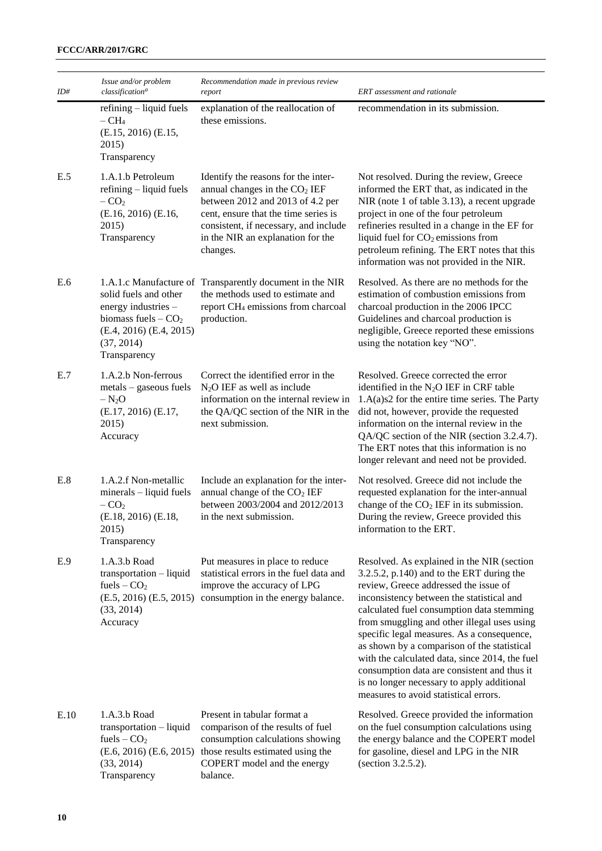| ID#  | Issue and/or problem<br>classification <sup>a</sup>                                                                               | Recommendation made in previous review<br>report                                                                                                                                                                                             | ERT assessment and rationale                                                                                                                                                                                                                                                                                                                                                                                                                                                                                                                                      |
|------|-----------------------------------------------------------------------------------------------------------------------------------|----------------------------------------------------------------------------------------------------------------------------------------------------------------------------------------------------------------------------------------------|-------------------------------------------------------------------------------------------------------------------------------------------------------------------------------------------------------------------------------------------------------------------------------------------------------------------------------------------------------------------------------------------------------------------------------------------------------------------------------------------------------------------------------------------------------------------|
|      | refining - liquid fuels<br>$-CH4$<br>(E.15, 2016) (E.15,<br>2015)<br>Transparency                                                 | explanation of the reallocation of<br>these emissions.                                                                                                                                                                                       | recommendation in its submission.                                                                                                                                                                                                                                                                                                                                                                                                                                                                                                                                 |
| E.5  | 1.A.1.b Petroleum<br>refining - liquid fuels<br>$-CO2$<br>(E.16, 2016) (E.16,<br>2015)<br>Transparency                            | Identify the reasons for the inter-<br>annual changes in the $CO2 IEF$<br>between 2012 and 2013 of 4.2 per<br>cent, ensure that the time series is<br>consistent, if necessary, and include<br>in the NIR an explanation for the<br>changes. | Not resolved. During the review, Greece<br>informed the ERT that, as indicated in the<br>NIR (note 1 of table 3.13), a recent upgrade<br>project in one of the four petroleum<br>refineries resulted in a change in the EF for<br>liquid fuel for $CO2$ emissions from<br>petroleum refining. The ERT notes that this<br>information was not provided in the NIR.                                                                                                                                                                                                 |
| E.6  | solid fuels and other<br>energy industries -<br>biomass fuels $ CO2$<br>$(E.4, 2016)$ $(E.4, 2015)$<br>(37, 2014)<br>Transparency | 1.A.1.c Manufacture of Transparently document in the NIR<br>the methods used to estimate and<br>report CH <sub>4</sub> emissions from charcoal<br>production.                                                                                | Resolved. As there are no methods for the<br>estimation of combustion emissions from<br>charcoal production in the 2006 IPCC<br>Guidelines and charcoal production is<br>negligible, Greece reported these emissions<br>using the notation key "NO".                                                                                                                                                                                                                                                                                                              |
| E.7  | 1.A.2.b Non-ferrous<br>metals - gaseous fuels<br>$-N_2O$<br>(E.17, 2016) (E.17,<br>2015)<br>Accuracy                              | Correct the identified error in the<br>$N2O$ IEF as well as include<br>information on the internal review in<br>the QA/QC section of the NIR in the<br>next submission.                                                                      | Resolved. Greece corrected the error<br>identified in the N <sub>2</sub> O IEF in CRF table<br>$1.A(a)s2$ for the entire time series. The Party<br>did not, however, provide the requested<br>information on the internal review in the<br>QA/QC section of the NIR (section 3.2.4.7).<br>The ERT notes that this information is no<br>longer relevant and need not be provided.                                                                                                                                                                                  |
| E.8  | 1.A.2.f Non-metallic<br>$minerals - liquid$ fuels<br>$-CO2$<br>(E.18, 2016) (E.18,<br>2015)<br>Transparency                       | Include an explanation for the inter-<br>annual change of the CO <sub>2</sub> IEF<br>between 2003/2004 and 2012/2013<br>in the next submission.                                                                                              | Not resolved. Greece did not include the<br>requested explanation for the inter-annual<br>change of the $CO2 IEF$ in its submission.<br>During the review, Greece provided this<br>information to the ERT.                                                                                                                                                                                                                                                                                                                                                        |
| E.9  | 1.A.3.b Road<br>transportation - liquid<br>fuels $-$ CO <sub>2</sub><br>(33, 2014)<br>Accuracy                                    | Put measures in place to reduce<br>statistical errors in the fuel data and<br>improve the accuracy of LPG<br>$(E.5, 2016)$ $(E.5, 2015)$ consumption in the energy balance.                                                                  | Resolved. As explained in the NIR (section<br>$3.2.5.2$ , p.140) and to the ERT during the<br>review, Greece addressed the issue of<br>inconsistency between the statistical and<br>calculated fuel consumption data stemming<br>from smuggling and other illegal uses using<br>specific legal measures. As a consequence,<br>as shown by a comparison of the statistical<br>with the calculated data, since 2014, the fuel<br>consumption data are consistent and thus it<br>is no longer necessary to apply additional<br>measures to avoid statistical errors. |
| E.10 | 1.A.3.b Road<br>transportation - liquid<br>fuels $-$ CO <sub>2</sub><br>$(E.6, 2016)$ $(E.6, 2015)$<br>(33, 2014)<br>Transparency | Present in tabular format a<br>comparison of the results of fuel<br>consumption calculations showing<br>those results estimated using the<br>COPERT model and the energy<br>balance.                                                         | Resolved. Greece provided the information<br>on the fuel consumption calculations using<br>the energy balance and the COPERT model<br>for gasoline, diesel and LPG in the NIR<br>(section 3.2.5.2).                                                                                                                                                                                                                                                                                                                                                               |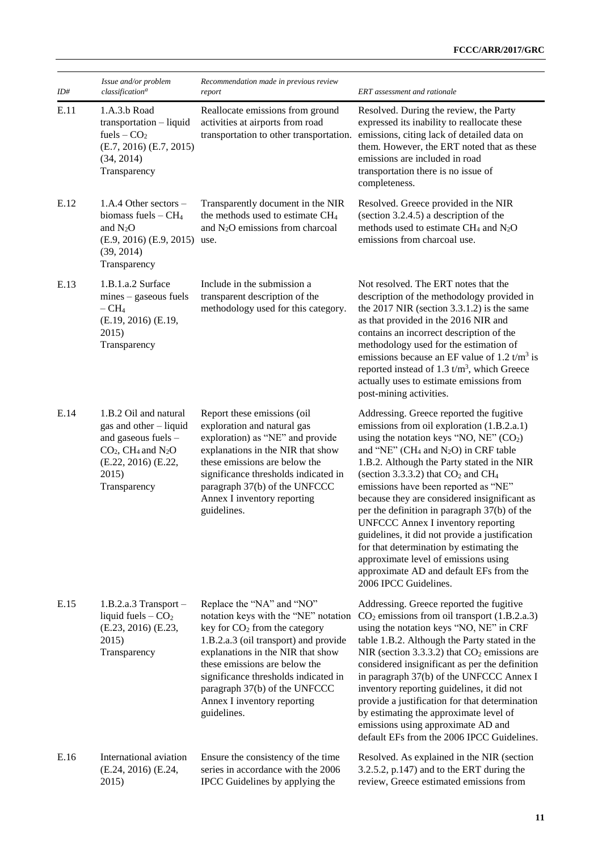| ID#  | Issue and/or problem<br>classification <sup>a</sup>                                                                                                                    | Recommendation made in previous review<br>report                                                                                                                                                                                                                                                                                                     | ERT assessment and rationale                                                                                                                                                                                                                                                                                                                                                                                                                                                                                                                                                                                                                                                                             |
|------|------------------------------------------------------------------------------------------------------------------------------------------------------------------------|------------------------------------------------------------------------------------------------------------------------------------------------------------------------------------------------------------------------------------------------------------------------------------------------------------------------------------------------------|----------------------------------------------------------------------------------------------------------------------------------------------------------------------------------------------------------------------------------------------------------------------------------------------------------------------------------------------------------------------------------------------------------------------------------------------------------------------------------------------------------------------------------------------------------------------------------------------------------------------------------------------------------------------------------------------------------|
| E.11 | 1.A.3.b Road<br>transportation - liquid<br>fuels $-$ CO <sub>2</sub><br>$(E.7, 2016)$ $(E.7, 2015)$<br>(34, 2014)<br>Transparency                                      | Reallocate emissions from ground<br>activities at airports from road<br>transportation to other transportation.                                                                                                                                                                                                                                      | Resolved. During the review, the Party<br>expressed its inability to reallocate these<br>emissions, citing lack of detailed data on<br>them. However, the ERT noted that as these<br>emissions are included in road<br>transportation there is no issue of<br>completeness.                                                                                                                                                                                                                                                                                                                                                                                                                              |
| E.12 | 1.A.4 Other sectors $-$<br>biomass fuels $-CH4$<br>and $N_2O$<br>(E.9, 2016) (E.9, 2015) use.<br>(39, 2014)<br>Transparency                                            | Transparently document in the NIR<br>the methods used to estimate CH <sub>4</sub><br>and N <sub>2</sub> O emissions from charcoal                                                                                                                                                                                                                    | Resolved. Greece provided in the NIR<br>(section 3.2.4.5) a description of the<br>methods used to estimate $CH_4$ and $N_2O$<br>emissions from charcoal use.                                                                                                                                                                                                                                                                                                                                                                                                                                                                                                                                             |
| E.13 | 1.B.1.a.2 Surface<br>$mines - gaseous$ fuels<br>$-CH4$<br>(E.19, 2016) (E.19,<br>2015)<br>Transparency                                                                 | Include in the submission a<br>transparent description of the<br>methodology used for this category.                                                                                                                                                                                                                                                 | Not resolved. The ERT notes that the<br>description of the methodology provided in<br>the $2017$ NIR (section 3.3.1.2) is the same<br>as that provided in the 2016 NIR and<br>contains an incorrect description of the<br>methodology used for the estimation of<br>emissions because an EF value of 1.2 $t/m3$ is<br>reported instead of 1.3 $t/m3$ , which Greece<br>actually uses to estimate emissions from<br>post-mining activities.                                                                                                                                                                                                                                                               |
| E.14 | 1.B.2 Oil and natural<br>gas and other - liquid<br>and gaseous fuels -<br>$CO2$ , CH <sub>4</sub> and N <sub>2</sub> O<br>(E.22, 2016) (E.22,<br>2015)<br>Transparency | Report these emissions (oil<br>exploration and natural gas<br>exploration) as "NE" and provide<br>explanations in the NIR that show<br>these emissions are below the<br>significance thresholds indicated in<br>paragraph 37(b) of the UNFCCC<br>Annex I inventory reporting<br>guidelines.                                                          | Addressing. Greece reported the fugitive<br>emissions from oil exploration (1.B.2.a.1)<br>using the notation keys "NO, $NE$ " (CO <sub>2</sub> )<br>and "NE" (CH <sub>4</sub> and N <sub>2</sub> O) in CRF table<br>1.B.2. Although the Party stated in the NIR<br>(section 3.3.3.2) that $CO2$ and $CH4$<br>emissions have been reported as "NE"<br>because they are considered insignificant as<br>per the definition in paragraph 37(b) of the<br><b>UNFCCC Annex I inventory reporting</b><br>guidelines, it did not provide a justification<br>for that determination by estimating the<br>approximate level of emissions using<br>approximate AD and default EFs from the<br>2006 IPCC Guidelines. |
| E.15 | $1.B.2.a.3 Transport -$<br>liquid fuels $-CO2$<br>(E.23, 2016) (E.23,<br>2015)<br>Transparency                                                                         | Replace the "NA" and "NO"<br>notation keys with the "NE" notation<br>key for CO <sub>2</sub> from the category<br>1.B.2.a.3 (oil transport) and provide<br>explanations in the NIR that show<br>these emissions are below the<br>significance thresholds indicated in<br>paragraph 37(b) of the UNFCCC<br>Annex I inventory reporting<br>guidelines. | Addressing. Greece reported the fugitive<br>$CO2$ emissions from oil transport (1.B.2.a.3)<br>using the notation keys "NO, NE" in CRF<br>table 1.B.2. Although the Party stated in the<br>NIR (section 3.3.3.2) that $CO2$ emissions are<br>considered insignificant as per the definition<br>in paragraph 37(b) of the UNFCCC Annex I<br>inventory reporting guidelines, it did not<br>provide a justification for that determination<br>by estimating the approximate level of<br>emissions using approximate AD and<br>default EFs from the 2006 IPCC Guidelines.                                                                                                                                     |
| E.16 | International aviation<br>(E.24, 2016) (E.24,<br>2015)                                                                                                                 | Ensure the consistency of the time<br>series in accordance with the 2006<br>IPCC Guidelines by applying the                                                                                                                                                                                                                                          | Resolved. As explained in the NIR (section<br>$3.2.5.2$ , p.147) and to the ERT during the<br>review, Greece estimated emissions from                                                                                                                                                                                                                                                                                                                                                                                                                                                                                                                                                                    |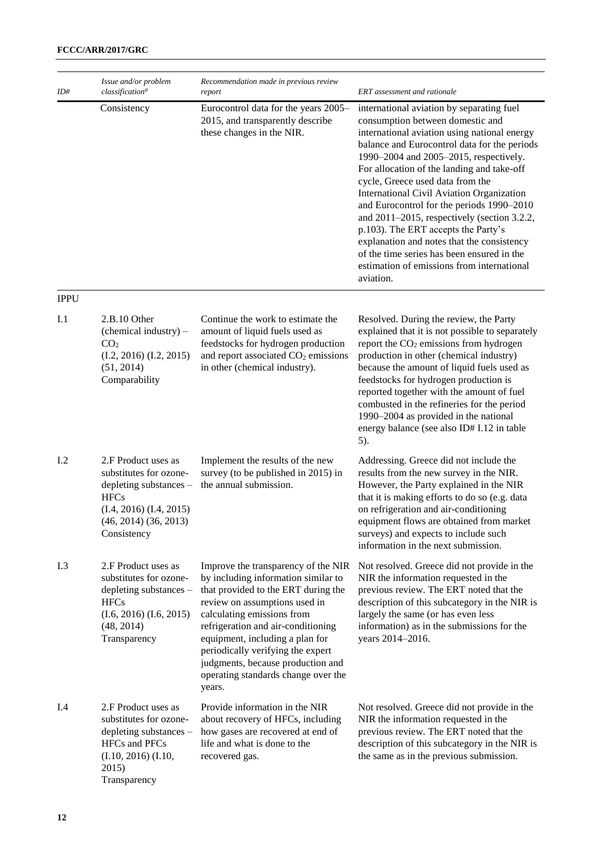| ID# | Issue and/or problem<br>classification <sup>a</sup> | Recommendation made in previous review<br>report                                                      | <b>ERT</b> assessment and rationale                                                                                                                                                                                                                                                                                                                                                                                                                                                                                                                                                                                                                 |
|-----|-----------------------------------------------------|-------------------------------------------------------------------------------------------------------|-----------------------------------------------------------------------------------------------------------------------------------------------------------------------------------------------------------------------------------------------------------------------------------------------------------------------------------------------------------------------------------------------------------------------------------------------------------------------------------------------------------------------------------------------------------------------------------------------------------------------------------------------------|
|     | Consistency                                         | Eurocontrol data for the years 2005-<br>2015, and transparently describe<br>these changes in the NIR. | international aviation by separating fuel<br>consumption between domestic and<br>international aviation using national energy<br>balance and Eurocontrol data for the periods<br>1990–2004 and 2005–2015, respectively.<br>For allocation of the landing and take-off<br>cycle, Greece used data from the<br>International Civil Aviation Organization<br>and Eurocontrol for the periods 1990–2010<br>and $2011-2015$ , respectively (section 3.2.2,<br>p.103). The ERT accepts the Party's<br>explanation and notes that the consistency<br>of the time series has been ensured in the<br>estimation of emissions from international<br>aviation. |

#### IPPU

| I.1 | 2.B.10 Other<br>(chemical industry) –<br>CO <sub>2</sub><br>$(I.2, 2016)$ $(I.2, 2015)$<br>(51, 2014)<br>Comparability                                            | Continue the work to estimate the<br>amount of liquid fuels used as<br>feedstocks for hydrogen production<br>and report associated CO <sub>2</sub> emissions<br>in other (chemical industry).                                                                                                                                                                                        | Resolved. During the review, the Party<br>explained that it is not possible to separately<br>report the $CO2$ emissions from hydrogen<br>production in other (chemical industry)<br>because the amount of liquid fuels used as<br>feedstocks for hydrogen production is<br>reported together with the amount of fuel<br>combusted in the refineries for the period<br>1990-2004 as provided in the national<br>energy balance (see also ID# I.12 in table<br>5). |
|-----|-------------------------------------------------------------------------------------------------------------------------------------------------------------------|--------------------------------------------------------------------------------------------------------------------------------------------------------------------------------------------------------------------------------------------------------------------------------------------------------------------------------------------------------------------------------------|------------------------------------------------------------------------------------------------------------------------------------------------------------------------------------------------------------------------------------------------------------------------------------------------------------------------------------------------------------------------------------------------------------------------------------------------------------------|
| I.2 | 2.F Product uses as<br>substitutes for ozone-<br>depleting substances -<br><b>HFCs</b><br>$(I.4, 2016)$ $(I.4, 2015)$<br>$(46, 2014)$ $(36, 2013)$<br>Consistency | Implement the results of the new<br>survey (to be published in 2015) in<br>the annual submission.                                                                                                                                                                                                                                                                                    | Addressing. Greece did not include the<br>results from the new survey in the NIR.<br>However, the Party explained in the NIR<br>that it is making efforts to do so (e.g. data<br>on refrigeration and air-conditioning<br>equipment flows are obtained from market<br>surveys) and expects to include such<br>information in the next submission.                                                                                                                |
| I.3 | 2.F Product uses as<br>substitutes for ozone-<br>depleting substances -<br><b>HFCs</b><br>$(I.6, 2016)$ $(I.6, 2015)$<br>(48, 2014)<br>Transparency               | Improve the transparency of the NIR<br>by including information similar to<br>that provided to the ERT during the<br>review on assumptions used in<br>calculating emissions from<br>refrigeration and air-conditioning<br>equipment, including a plan for<br>periodically verifying the expert<br>judgments, because production and<br>operating standards change over the<br>years. | Not resolved. Greece did not provide in the<br>NIR the information requested in the<br>previous review. The ERT noted that the<br>description of this subcategory in the NIR is<br>largely the same (or has even less<br>information) as in the submissions for the<br>years 2014-2016.                                                                                                                                                                          |
| I.4 | 2.F Product uses as<br>substitutes for ozone-<br>depleting substances -<br><b>HFCs</b> and PFCs<br>$(I.10, 2016)$ $(I.10, 2016)$<br>2015)<br>Transparency         | Provide information in the NIR<br>about recovery of HFCs, including<br>how gases are recovered at end of<br>life and what is done to the<br>recovered gas.                                                                                                                                                                                                                           | Not resolved. Greece did not provide in the<br>NIR the information requested in the<br>previous review. The ERT noted that the<br>description of this subcategory in the NIR is<br>the same as in the previous submission.                                                                                                                                                                                                                                       |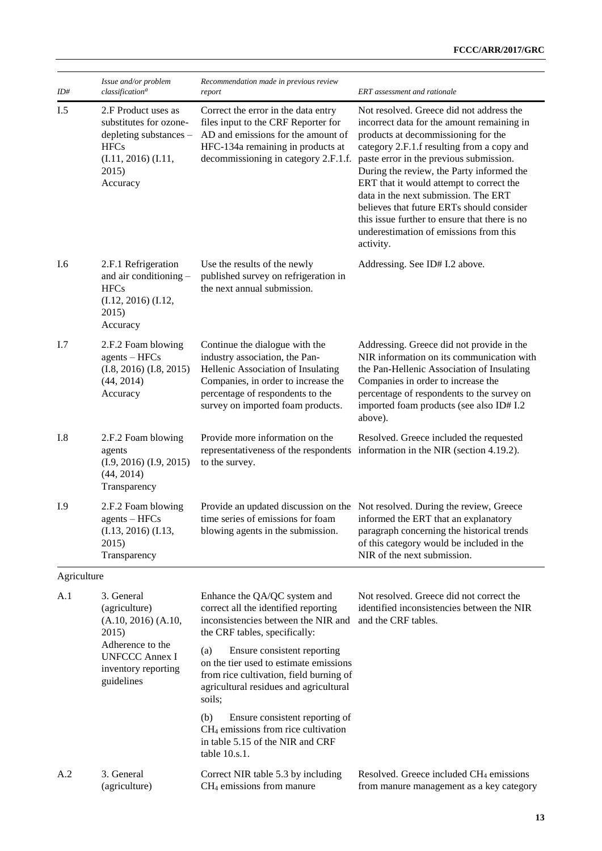| ID#                                                                                                                                       | Issue and/or problem<br>classification <sup>a</sup>                                                      | Recommendation made in previous review<br>report                                                                                                                                                                       | ERT assessment and rationale                                                                                                                                                                                                                                                                                                                                                                                                                                                                                 |
|-------------------------------------------------------------------------------------------------------------------------------------------|----------------------------------------------------------------------------------------------------------|------------------------------------------------------------------------------------------------------------------------------------------------------------------------------------------------------------------------|--------------------------------------------------------------------------------------------------------------------------------------------------------------------------------------------------------------------------------------------------------------------------------------------------------------------------------------------------------------------------------------------------------------------------------------------------------------------------------------------------------------|
| I.5<br>2.F Product uses as<br>substitutes for ozone-<br>depleting substances -<br><b>HFCs</b><br>(I.11, 2016) (I.11,<br>2015)<br>Accuracy |                                                                                                          | Correct the error in the data entry<br>files input to the CRF Reporter for<br>AD and emissions for the amount of<br>HFC-134a remaining in products at<br>decommissioning in category 2.F.1.f.                          | Not resolved. Greece did not address the<br>incorrect data for the amount remaining in<br>products at decommissioning for the<br>category 2.F.1.f resulting from a copy and<br>paste error in the previous submission.<br>During the review, the Party informed the<br>ERT that it would attempt to correct the<br>data in the next submission. The ERT<br>believes that future ERTs should consider<br>this issue further to ensure that there is no<br>underestimation of emissions from this<br>activity. |
| I.6                                                                                                                                       | 2.F.1 Refrigeration<br>and air conditioning -<br><b>HFCs</b><br>(I.12, 2016) (I.12,<br>2015)<br>Accuracy | Use the results of the newly<br>published survey on refrigeration in<br>the next annual submission.                                                                                                                    | Addressing. See ID# I.2 above.                                                                                                                                                                                                                                                                                                                                                                                                                                                                               |
| I.7                                                                                                                                       | 2.F.2 Foam blowing<br>$agents - HFCs$<br>$(I.8, 2016)$ $(I.8, 2015)$<br>(44, 2014)<br>Accuracy           | Continue the dialogue with the<br>industry association, the Pan-<br>Hellenic Association of Insulating<br>Companies, in order to increase the<br>percentage of respondents to the<br>survey on imported foam products. | Addressing. Greece did not provide in the<br>NIR information on its communication with<br>the Pan-Hellenic Association of Insulating<br>Companies in order to increase the<br>percentage of respondents to the survey on<br>imported foam products (see also ID# I.2<br>above).                                                                                                                                                                                                                              |
| I.8                                                                                                                                       | 2.F.2 Foam blowing<br>agents<br>$(I.9, 2016)$ $(I.9, 2015)$<br>(44, 2014)<br>Transparency                | Provide more information on the<br>to the survey.                                                                                                                                                                      | Resolved. Greece included the requested<br>representativeness of the respondents information in the NIR (section 4.19.2).                                                                                                                                                                                                                                                                                                                                                                                    |
| I.9                                                                                                                                       | 2.F.2 Foam blowing<br>$agents - HFCs$<br>$(I.13, 2016)$ $(I.13,$<br>2015)<br>Transparency                | blowing agents in the submission.                                                                                                                                                                                      | Provide an updated discussion on the Not resolved. During the review, Greece<br>time series of emissions for foam informed the ERT that an explanatory<br>paragraph concerning the historical trends<br>of this category would be included in the<br>NIR of the next submission.                                                                                                                                                                                                                             |
| Agriculture                                                                                                                               |                                                                                                          |                                                                                                                                                                                                                        |                                                                                                                                                                                                                                                                                                                                                                                                                                                                                                              |
| A.1                                                                                                                                       | 3. General<br>(agriculture)<br>$(A.10, 2016)$ $(A.10,$<br>2015)                                          | Enhance the QA/QC system and<br>correct all the identified reporting<br>inconsistencies between the NIR and<br>the CRF tables, specifically:                                                                           | Not resolved. Greece did not correct the<br>identified inconsistencies between the NIR<br>and the CRF tables.                                                                                                                                                                                                                                                                                                                                                                                                |
|                                                                                                                                           | Adherence to the<br><b>UNFCCC Annex I</b><br>inventory reporting<br>guidelines                           | Ensure consistent reporting<br>(a)<br>on the tier used to estimate emissions<br>from rice cultivation, field burning of<br>agricultural residues and agricultural<br>soils;                                            |                                                                                                                                                                                                                                                                                                                                                                                                                                                                                                              |
|                                                                                                                                           |                                                                                                          | (b)<br>Ensure consistent reporting of<br>CH <sub>4</sub> emissions from rice cultivation<br>in table 5.15 of the NIR and CRF<br>table 10.s.1.                                                                          |                                                                                                                                                                                                                                                                                                                                                                                                                                                                                                              |
| A.2                                                                                                                                       | 3. General<br>(agriculture)                                                                              | Correct NIR table 5.3 by including<br>CH <sub>4</sub> emissions from manure                                                                                                                                            | Resolved. Greece included CH <sub>4</sub> emissions<br>from manure management as a key category                                                                                                                                                                                                                                                                                                                                                                                                              |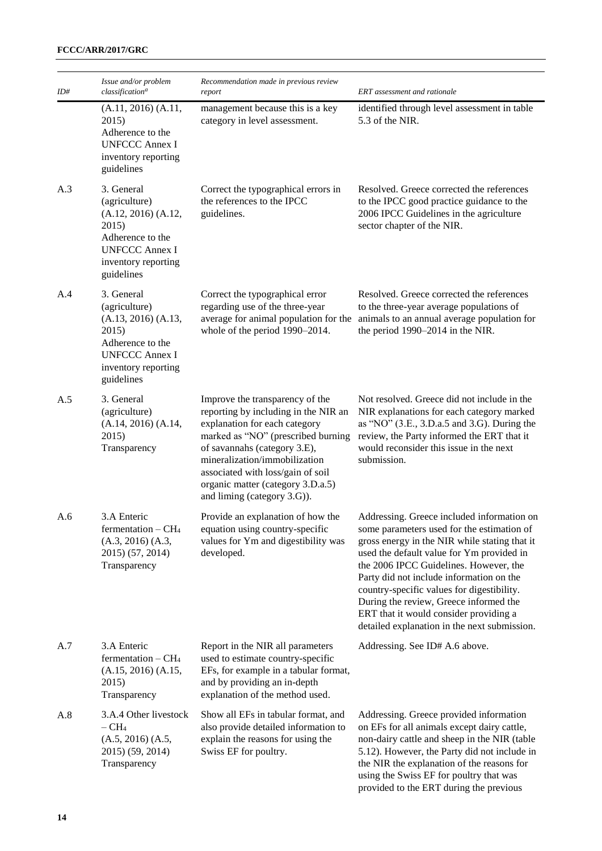| ID# | Issue and/or problem<br>classification <sup>a</sup>                                                                                               | Recommendation made in previous review<br>report                                                                                                                                                                                                                                                                         | ERT assessment and rationale                                                                                                                                                                                                                                                                                                                                                                                                                                   |
|-----|---------------------------------------------------------------------------------------------------------------------------------------------------|--------------------------------------------------------------------------------------------------------------------------------------------------------------------------------------------------------------------------------------------------------------------------------------------------------------------------|----------------------------------------------------------------------------------------------------------------------------------------------------------------------------------------------------------------------------------------------------------------------------------------------------------------------------------------------------------------------------------------------------------------------------------------------------------------|
|     | (A.11, 2016) (A.11,<br>2015)<br>Adherence to the<br><b>UNFCCC Annex I</b><br>inventory reporting<br>guidelines                                    | management because this is a key<br>category in level assessment.                                                                                                                                                                                                                                                        | identified through level assessment in table<br>5.3 of the NIR.                                                                                                                                                                                                                                                                                                                                                                                                |
| A.3 | 3. General<br>(agriculture)<br>(A.12, 2016) (A.12,<br>2015)<br>Adherence to the<br><b>UNFCCC Annex I</b><br>inventory reporting<br>guidelines     | Correct the typographical errors in<br>the references to the IPCC<br>guidelines.                                                                                                                                                                                                                                         | Resolved. Greece corrected the references<br>to the IPCC good practice guidance to the<br>2006 IPCC Guidelines in the agriculture<br>sector chapter of the NIR.                                                                                                                                                                                                                                                                                                |
| A.4 | 3. General<br>(agriculture)<br>$(A.13, 2016)$ $(A.13,$<br>2015)<br>Adherence to the<br><b>UNFCCC Annex I</b><br>inventory reporting<br>guidelines | Correct the typographical error<br>regarding use of the three-year<br>average for animal population for the<br>whole of the period 1990-2014.                                                                                                                                                                            | Resolved. Greece corrected the references<br>to the three-year average populations of<br>animals to an annual average population for<br>the period 1990–2014 in the NIR.                                                                                                                                                                                                                                                                                       |
| A.5 | 3. General<br>(agriculture)<br>(A.14, 2016) (A.14,<br>2015)<br>Transparency                                                                       | Improve the transparency of the<br>reporting by including in the NIR an<br>explanation for each category<br>marked as "NO" (prescribed burning<br>of savannahs (category 3.E),<br>mineralization/immobilization<br>associated with loss/gain of soil<br>organic matter (category 3.D.a.5)<br>and liming (category 3.G)). | Not resolved. Greece did not include in the<br>NIR explanations for each category marked<br>as "NO" (3.E., 3.D.a.5 and 3.G). During the<br>review, the Party informed the ERT that it<br>would reconsider this issue in the next<br>submission.                                                                                                                                                                                                                |
| A.6 | 3.A Enteric<br>fermentation $-CH4$<br>$(A.3, 2016)$ $(A.3, 2016)$<br>2015) (57, 2014)<br>Transparency                                             | Provide an explanation of how the<br>equation using country-specific<br>values for Ym and digestibility was<br>developed.                                                                                                                                                                                                | Addressing. Greece included information on<br>some parameters used for the estimation of<br>gross energy in the NIR while stating that it<br>used the default value for Ym provided in<br>the 2006 IPCC Guidelines. However, the<br>Party did not include information on the<br>country-specific values for digestibility.<br>During the review, Greece informed the<br>ERT that it would consider providing a<br>detailed explanation in the next submission. |
| A.7 | 3.A Enteric<br>fermentation $-CH4$<br>$(A.15, 2016)$ $(A.15, 2016)$<br>2015)<br>Transparency                                                      | Report in the NIR all parameters<br>used to estimate country-specific<br>EFs, for example in a tabular format,<br>and by providing an in-depth<br>explanation of the method used.                                                                                                                                        | Addressing. See ID# A.6 above.                                                                                                                                                                                                                                                                                                                                                                                                                                 |
| A.8 | 3.A.4 Other livestock<br>$-CH4$<br>$(A.5, 2016)$ $(A.5, 2016)$<br>2015) (59, 2014)<br>Transparency                                                | Show all EFs in tabular format, and<br>also provide detailed information to<br>explain the reasons for using the<br>Swiss EF for poultry.                                                                                                                                                                                | Addressing. Greece provided information<br>on EFs for all animals except dairy cattle,<br>non-dairy cattle and sheep in the NIR (table<br>5.12). However, the Party did not include in<br>the NIR the explanation of the reasons for<br>using the Swiss EF for poultry that was<br>provided to the ERT during the previous                                                                                                                                     |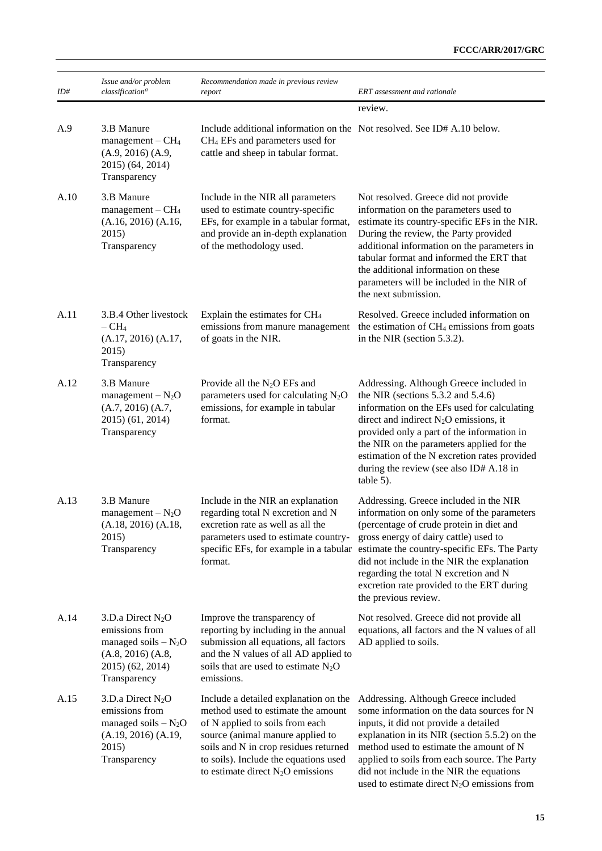| ID#  | Issue and/or problem<br>classification <sup>a</sup>                                                                               | Recommendation made in previous review<br>report                                                                                                                                                                                                                            | ERT assessment and rationale                                                                                                                                                                                                                                                                                                                                                                                                 |
|------|-----------------------------------------------------------------------------------------------------------------------------------|-----------------------------------------------------------------------------------------------------------------------------------------------------------------------------------------------------------------------------------------------------------------------------|------------------------------------------------------------------------------------------------------------------------------------------------------------------------------------------------------------------------------------------------------------------------------------------------------------------------------------------------------------------------------------------------------------------------------|
|      |                                                                                                                                   |                                                                                                                                                                                                                                                                             | review.                                                                                                                                                                                                                                                                                                                                                                                                                      |
| A.9  | 3.B Manure<br>$management - CH4$<br>(A.9, 2016) (A.9,<br>2015) (64, 2014)<br>Transparency                                         | Include additional information on the Not resolved. See ID# A.10 below.<br>CH <sub>4</sub> EFs and parameters used for<br>cattle and sheep in tabular format.                                                                                                               |                                                                                                                                                                                                                                                                                                                                                                                                                              |
| A.10 | 3.B Manure<br>$m$ anagement – $CH4$<br>$(A.16, 2016)$ $(A.16,$<br>2015)<br>Transparency                                           | Include in the NIR all parameters<br>used to estimate country-specific<br>EFs, for example in a tabular format,<br>and provide an in-depth explanation<br>of the methodology used.                                                                                          | Not resolved. Greece did not provide<br>information on the parameters used to<br>estimate its country-specific EFs in the NIR.<br>During the review, the Party provided<br>additional information on the parameters in<br>tabular format and informed the ERT that<br>the additional information on these<br>parameters will be included in the NIR of<br>the next submission.                                               |
| A.11 | 3.B.4 Other livestock<br>$-{\rm CH}_{4}$<br>(A.17, 2016) (A.17,<br>2015)<br>Transparency                                          | Explain the estimates for CH <sub>4</sub><br>emissions from manure management<br>of goats in the NIR.                                                                                                                                                                       | Resolved. Greece included information on<br>the estimation of CH <sub>4</sub> emissions from goats<br>in the NIR (section 5.3.2).                                                                                                                                                                                                                                                                                            |
| A.12 | 3.B Manure<br>management $-N_2O$<br>$(A.7, 2016)$ $(A.7, 2016)$<br>2015) (61, 2014)<br>Transparency                               | Provide all the $N_2O$ EFs and<br>parameters used for calculating $N_2O$<br>emissions, for example in tabular<br>format.                                                                                                                                                    | Addressing. Although Greece included in<br>the NIR (sections $5.3.2$ and $5.4.6$ )<br>information on the EFs used for calculating<br>direct and indirect $N_2O$ emissions, it<br>provided only a part of the information in<br>the NIR on the parameters applied for the<br>estimation of the N excretion rates provided<br>during the review (see also ID# A.18 in<br>$table 5)$ .                                          |
| A.13 | 3.B Manure<br>management $-N_2O$<br>(A.18, 2016) (A.18,<br>2015)<br>Transparency                                                  | Include in the NIR an explanation<br>regarding total N excretion and N<br>excretion rate as well as all the<br>parameters used to estimate country-<br>format.                                                                                                              | Addressing. Greece included in the NIR<br>information on only some of the parameters<br>(percentage of crude protein in diet and<br>gross energy of dairy cattle) used to<br>specific EFs, for example in a tabular estimate the country-specific EFs. The Party<br>did not include in the NIR the explanation<br>regarding the total N excretion and N<br>excretion rate provided to the ERT during<br>the previous review. |
| A.14 | 3.D.a Direct $N_2O$<br>emissions from<br>managed soils $-N_2O$<br>$(A.8, 2016)$ $(A.8, 2016)$<br>2015) (62, 2014)<br>Transparency | Improve the transparency of<br>reporting by including in the annual<br>submission all equations, all factors<br>and the N values of all AD applied to<br>soils that are used to estimate $N_2O$<br>emissions.                                                               | Not resolved. Greece did not provide all<br>equations, all factors and the N values of all<br>AD applied to soils.                                                                                                                                                                                                                                                                                                           |
| A.15 | 3.D.a Direct N <sub>2</sub> O<br>emissions from<br>managed soils $- N_2O$<br>(A.19, 2016) (A.19,<br>2015)<br>Transparency         | Include a detailed explanation on the<br>method used to estimate the amount<br>of N applied to soils from each<br>source (animal manure applied to<br>soils and N in crop residues returned<br>to soils). Include the equations used<br>to estimate direct $N_2O$ emissions | Addressing. Although Greece included<br>some information on the data sources for N<br>inputs, it did not provide a detailed<br>explanation in its NIR (section $5.5.2$ ) on the<br>method used to estimate the amount of N<br>applied to soils from each source. The Party<br>did not include in the NIR the equations<br>used to estimate direct $N_2O$ emissions from                                                      |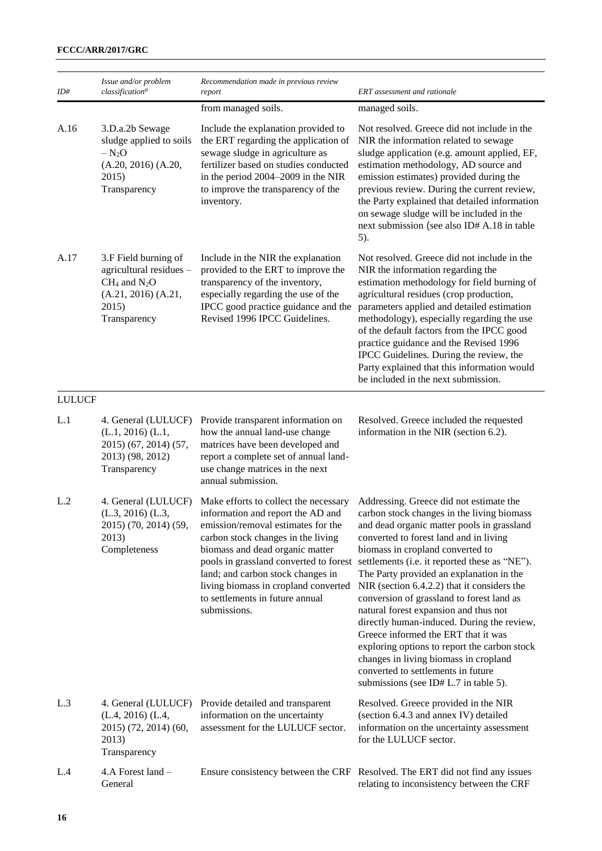| ID#           | Issue and/or problem<br>classification <sup>a</sup>                                                                  | Recommendation made in previous review<br>report                                                                                                                                                                                                                                                                          | ERT assessment and rationale                                                                                                                                                                                                                                                                                                                                                                                                                                                                                                                                                                                                                                                                                                                            |
|---------------|----------------------------------------------------------------------------------------------------------------------|---------------------------------------------------------------------------------------------------------------------------------------------------------------------------------------------------------------------------------------------------------------------------------------------------------------------------|---------------------------------------------------------------------------------------------------------------------------------------------------------------------------------------------------------------------------------------------------------------------------------------------------------------------------------------------------------------------------------------------------------------------------------------------------------------------------------------------------------------------------------------------------------------------------------------------------------------------------------------------------------------------------------------------------------------------------------------------------------|
|               |                                                                                                                      | from managed soils.                                                                                                                                                                                                                                                                                                       | managed soils.                                                                                                                                                                                                                                                                                                                                                                                                                                                                                                                                                                                                                                                                                                                                          |
| A.16          | 3.D.a.2b Sewage<br>sludge applied to soils<br>$- N_2O$<br>$(A.20, 2016)$ $(A.20,$<br>2015)<br>Transparency           | Include the explanation provided to<br>the ERT regarding the application of<br>sewage sludge in agriculture as<br>fertilizer based on studies conducted<br>in the period 2004-2009 in the NIR<br>to improve the transparency of the<br>inventory.                                                                         | Not resolved. Greece did not include in the<br>NIR the information related to sewage<br>sludge application (e.g. amount applied, EF,<br>estimation methodology, AD source and<br>emission estimates) provided during the<br>previous review. During the current review,<br>the Party explained that detailed information<br>on sewage sludge will be included in the<br>next submission (see also ID# A.18 in table<br>5).                                                                                                                                                                                                                                                                                                                              |
| A.17          | 3.F Field burning of<br>agricultural residues -<br>$CH_4$ and $N_2O$<br>(A.21, 2016) (A.21,<br>2015)<br>Transparency | Include in the NIR the explanation<br>provided to the ERT to improve the<br>transparency of the inventory,<br>especially regarding the use of the<br>IPCC good practice guidance and the<br>Revised 1996 IPCC Guidelines.                                                                                                 | Not resolved. Greece did not include in the<br>NIR the information regarding the<br>estimation methodology for field burning of<br>agricultural residues (crop production,<br>parameters applied and detailed estimation<br>methodology), especially regarding the use<br>of the default factors from the IPCC good<br>practice guidance and the Revised 1996<br>IPCC Guidelines. During the review, the<br>Party explained that this information would<br>be included in the next submission.                                                                                                                                                                                                                                                          |
| <b>LULUCF</b> |                                                                                                                      |                                                                                                                                                                                                                                                                                                                           |                                                                                                                                                                                                                                                                                                                                                                                                                                                                                                                                                                                                                                                                                                                                                         |
| L.1           | 4. General (LULUCF)<br>$(L.1, 2016)$ $(L.1, 2016)$<br>2015) (67, 2014) (57,<br>2013) (98, 2012)<br>Transparency      | Provide transparent information on<br>how the annual land-use change<br>matrices have been developed and<br>report a complete set of annual land-<br>use change matrices in the next<br>annual submission.                                                                                                                | Resolved. Greece included the requested<br>information in the NIR (section 6.2).                                                                                                                                                                                                                                                                                                                                                                                                                                                                                                                                                                                                                                                                        |
| L.2           | 4. General (LULUCF)<br>$(L.3, 2016)$ $(L.3,$<br>2015) (70, 2014) (59,<br>2013)<br>Completeness                       | Make efforts to collect the necessary<br>information and report the AD and<br>emission/removal estimates for the<br>carbon stock changes in the living<br>biomass and dead organic matter<br>land; and carbon stock changes in<br>living biomass in cropland converted<br>to settlements in future annual<br>submissions. | Addressing. Greece did not estimate the<br>carbon stock changes in the living biomass<br>and dead organic matter pools in grassland<br>converted to forest land and in living<br>biomass in cropland converted to<br>pools in grassland converted to forest settlements (i.e. it reported these as "NE").<br>The Party provided an explanation in the<br>NIR (section 6.4.2.2) that it considers the<br>conversion of grassland to forest land as<br>natural forest expansion and thus not<br>directly human-induced. During the review,<br>Greece informed the ERT that it was<br>exploring options to report the carbon stock<br>changes in living biomass in cropland<br>converted to settlements in future<br>submissions (see ID# L.7 in table 5). |
| L.3           | 4. General (LULUCF)<br>$(L.4, 2016)$ $(L.4,$<br>2015) (72, 2014) (60,<br>2013)<br>Transparency                       | Provide detailed and transparent<br>information on the uncertainty<br>assessment for the LULUCF sector.                                                                                                                                                                                                                   | Resolved. Greece provided in the NIR<br>(section 6.4.3 and annex IV) detailed<br>information on the uncertainty assessment<br>for the LULUCF sector.                                                                                                                                                                                                                                                                                                                                                                                                                                                                                                                                                                                                    |
| L.4           | 4.A Forest land -<br>General                                                                                         |                                                                                                                                                                                                                                                                                                                           | Ensure consistency between the CRF Resolved. The ERT did not find any issues<br>relating to inconsistency between the CRF                                                                                                                                                                                                                                                                                                                                                                                                                                                                                                                                                                                                                               |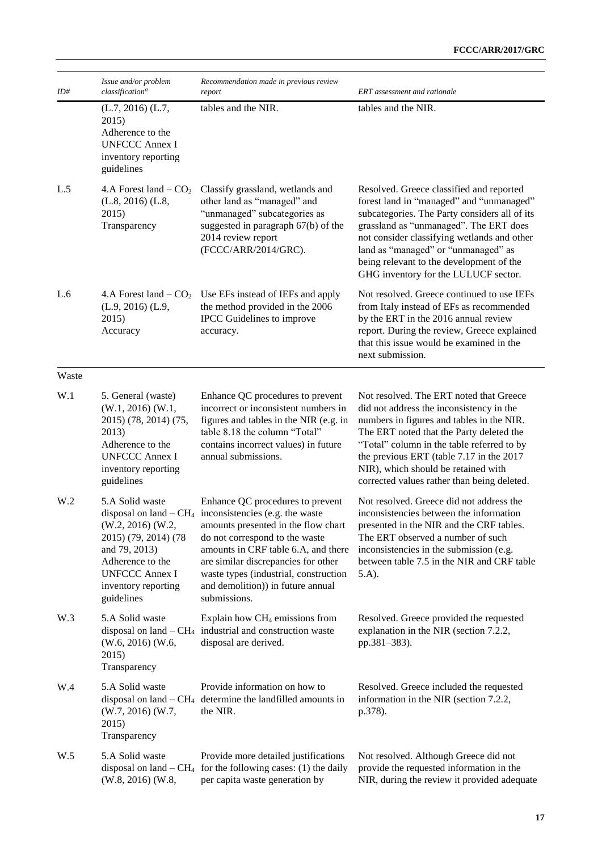| ID#   | Issue and/or problem<br>classification <sup>a</sup>                                                                                                                   | Recommendation made in previous review<br>report                                                                                                                                                                                                                                                                                                  | ERT assessment and rationale                                                                                                                                                                                                                                                                                                                                 |
|-------|-----------------------------------------------------------------------------------------------------------------------------------------------------------------------|---------------------------------------------------------------------------------------------------------------------------------------------------------------------------------------------------------------------------------------------------------------------------------------------------------------------------------------------------|--------------------------------------------------------------------------------------------------------------------------------------------------------------------------------------------------------------------------------------------------------------------------------------------------------------------------------------------------------------|
|       | $(L.7, 2016)$ $(L.7, 2016)$<br>2015)<br>Adherence to the<br><b>UNFCCC Annex I</b><br>inventory reporting<br>guidelines                                                | tables and the NIR.                                                                                                                                                                                                                                                                                                                               | tables and the NIR.                                                                                                                                                                                                                                                                                                                                          |
| L.5   | 4.A Forest land $-$ CO <sub>2</sub><br>$(L.8, 2016)$ $(L.8, 2016)$<br>2015)<br>Transparency                                                                           | Classify grassland, wetlands and<br>other land as "managed" and<br>"unmanaged" subcategories as<br>suggested in paragraph 67(b) of the<br>2014 review report<br>(FCCC/ARR/2014/GRC).                                                                                                                                                              | Resolved. Greece classified and reported<br>forest land in "managed" and "unmanaged"<br>subcategories. The Party considers all of its<br>grassland as "unmanaged". The ERT does<br>not consider classifying wetlands and other<br>land as "managed" or "unmanaged" as<br>being relevant to the development of the<br>GHG inventory for the LULUCF sector.    |
| L.6   | 4.A Forest land $-$ CO <sub>2</sub><br>$(L.9, 2016)$ $(L.9, 2016)$<br>2015)<br>Accuracy                                                                               | Use EFs instead of IEFs and apply<br>the method provided in the 2006<br>IPCC Guidelines to improve<br>accuracy.                                                                                                                                                                                                                                   | Not resolved. Greece continued to use IEFs<br>from Italy instead of EFs as recommended<br>by the ERT in the 2016 annual review<br>report. During the review, Greece explained<br>that this issue would be examined in the<br>next submission.                                                                                                                |
| Waste |                                                                                                                                                                       |                                                                                                                                                                                                                                                                                                                                                   |                                                                                                                                                                                                                                                                                                                                                              |
| W.1   | 5. General (waste)<br>$(W.1, 2016)$ $(W.1, 2016)$<br>2015) (78, 2014) (75,<br>2013)<br>Adherence to the<br><b>UNFCCC Annex I</b><br>inventory reporting<br>guidelines | Enhance QC procedures to prevent<br>incorrect or inconsistent numbers in<br>figures and tables in the NIR (e.g. in<br>table 8.18 the column "Total"<br>contains incorrect values) in future<br>annual submissions.                                                                                                                                | Not resolved. The ERT noted that Greece<br>did not address the inconsistency in the<br>numbers in figures and tables in the NIR.<br>The ERT noted that the Party deleted the<br>"Total" column in the table referred to by<br>the previous ERT (table 7.17 in the 2017<br>NIR), which should be retained with<br>corrected values rather than being deleted. |
| W.2   | 5.A Solid waste<br>(W.2, 2016) (W.2,<br>2015) (79, 2014) (78<br>and 79, 2013)<br>Adherence to the<br><b>UNFCCC Annex I</b><br>inventory reporting<br>guidelines       | Enhance QC procedures to prevent<br>disposal on land $-CH_4$ inconsistencies (e.g. the waste<br>amounts presented in the flow chart<br>do not correspond to the waste<br>amounts in CRF table 6.A, and there<br>are similar discrepancies for other<br>waste types (industrial, construction<br>and demolition)) in future annual<br>submissions. | Not resolved. Greece did not address the<br>inconsistencies between the information<br>presented in the NIR and the CRF tables.<br>The ERT observed a number of such<br>inconsistencies in the submission (e.g.<br>between table 7.5 in the NIR and CRF table<br>$(5.A)$ .                                                                                   |
| W.3   | 5.A Solid waste<br>$(W.6, 2016)$ $(W.6, 2016)$<br>2015)<br>Transparency                                                                                               | Explain how CH <sub>4</sub> emissions from<br>disposal on land $-CH_4$ industrial and construction waste<br>disposal are derived.                                                                                                                                                                                                                 | Resolved. Greece provided the requested<br>explanation in the NIR (section 7.2.2,<br>pp.381-383).                                                                                                                                                                                                                                                            |
| W.4   | 5.A Solid waste<br>$(W.7, 2016)$ $(W.7, 2016)$<br>2015)<br>Transparency                                                                                               | Provide information on how to<br>disposal on land $-CH_4$ determine the landfilled amounts in<br>the NIR.                                                                                                                                                                                                                                         | Resolved. Greece included the requested<br>information in the NIR (section 7.2.2,<br>p.378).                                                                                                                                                                                                                                                                 |
| W.5   | 5.A Solid waste<br>$(W.8, 2016)$ $(W.8, 2016)$                                                                                                                        | Provide more detailed justifications<br>disposal on land $-CH_4$ for the following cases: (1) the daily<br>per capita waste generation by                                                                                                                                                                                                         | Not resolved. Although Greece did not<br>provide the requested information in the<br>NIR, during the review it provided adequate                                                                                                                                                                                                                             |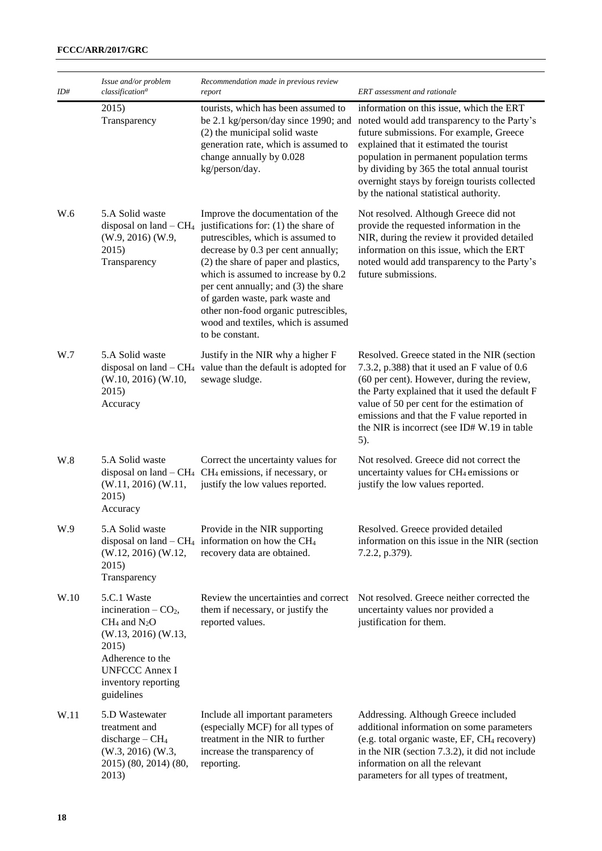| ID#  | Issue and/or problem<br>classification <sup>a</sup>                                                                                                                                      | Recommendation made in previous review<br>report                                                                                                                                                                                                                                                                                                                                                                | ERT assessment and rationale                                                                                                                                                                                                                                                                                                                                                                             |
|------|------------------------------------------------------------------------------------------------------------------------------------------------------------------------------------------|-----------------------------------------------------------------------------------------------------------------------------------------------------------------------------------------------------------------------------------------------------------------------------------------------------------------------------------------------------------------------------------------------------------------|----------------------------------------------------------------------------------------------------------------------------------------------------------------------------------------------------------------------------------------------------------------------------------------------------------------------------------------------------------------------------------------------------------|
|      | 2015)<br>Transparency                                                                                                                                                                    | tourists, which has been assumed to<br>(2) the municipal solid waste<br>generation rate, which is assumed to<br>change annually by 0.028<br>kg/person/day.                                                                                                                                                                                                                                                      | information on this issue, which the ERT<br>be 2.1 kg/person/day since 1990; and noted would add transparency to the Party's<br>future submissions. For example, Greece<br>explained that it estimated the tourist<br>population in permanent population terms<br>by dividing by 365 the total annual tourist<br>overnight stays by foreign tourists collected<br>by the national statistical authority. |
| W.6  | 5.A Solid waste<br>disposal on land $-CH4$<br>(W.9, 2016) (W.9,<br>2015)<br>Transparency                                                                                                 | Improve the documentation of the<br>justifications for: (1) the share of<br>putrescibles, which is assumed to<br>decrease by 0.3 per cent annually;<br>(2) the share of paper and plastics,<br>which is assumed to increase by 0.2<br>per cent annually; and (3) the share<br>of garden waste, park waste and<br>other non-food organic putrescibles,<br>wood and textiles, which is assumed<br>to be constant. | Not resolved. Although Greece did not<br>provide the requested information in the<br>NIR, during the review it provided detailed<br>information on this issue, which the ERT<br>noted would add transparency to the Party's<br>future submissions.                                                                                                                                                       |
| W.7  | 5.A Solid waste<br>$(W.10, 2016)$ $(W.10,$<br>2015)<br>Accuracy                                                                                                                          | Justify in the NIR why a higher F<br>disposal on land $-CH_4$ value than the default is adopted for<br>sewage sludge.                                                                                                                                                                                                                                                                                           | Resolved. Greece stated in the NIR (section<br>7.3.2, p.388) that it used an F value of 0.6<br>(60 per cent). However, during the review,<br>the Party explained that it used the default F<br>value of 50 per cent for the estimation of<br>emissions and that the F value reported in<br>the NIR is incorrect (see ID#W.19 in table<br>5).                                                             |
| W.8  | 5.A Solid waste<br>$(W.11, 2016)$ $(W.11, 2016)$<br>2015)<br>Accuracy                                                                                                                    | Correct the uncertainty values for<br>disposal on land $-CH_4$ CH <sub>4</sub> emissions, if necessary, or<br>justify the low values reported.                                                                                                                                                                                                                                                                  | Not resolved. Greece did not correct the<br>uncertainty values for CH <sub>4</sub> emissions or<br>justify the low values reported.                                                                                                                                                                                                                                                                      |
| W.9  | 5.A Solid waste<br>$(W.12, 2016)$ $(W.12, 2016)$<br>2015)<br>Transparency                                                                                                                | Provide in the NIR supporting<br>disposal on land $-$ CH <sub>4</sub> information on how the CH <sub>4</sub><br>recovery data are obtained.                                                                                                                                                                                                                                                                     | Resolved. Greece provided detailed<br>information on this issue in the NIR (section<br>7.2.2, p.379).                                                                                                                                                                                                                                                                                                    |
| W.10 | 5.C.1 Waste<br>incineration $-$ CO <sub>2</sub> ,<br>$CH_4$ and $N_2O$<br>(W.13, 2016) (W.13,<br>2015)<br>Adherence to the<br><b>UNFCCC Annex I</b><br>inventory reporting<br>guidelines | Review the uncertainties and correct<br>them if necessary, or justify the<br>reported values.                                                                                                                                                                                                                                                                                                                   | Not resolved. Greece neither corrected the<br>uncertainty values nor provided a<br>justification for them.                                                                                                                                                                                                                                                                                               |
| W.11 | 5.D Wastewater<br>treatment and<br>discharge $-CH4$<br>$(W.3, 2016)$ $(W.3, 2016)$<br>2015) (80, 2014) (80,<br>2013)                                                                     | Include all important parameters<br>(especially MCF) for all types of<br>treatment in the NIR to further<br>increase the transparency of<br>reporting.                                                                                                                                                                                                                                                          | Addressing. Although Greece included<br>additional information on some parameters<br>(e.g. total organic waste, EF, CH <sub>4</sub> recovery)<br>in the NIR (section 7.3.2), it did not include<br>information on all the relevant<br>parameters for all types of treatment,                                                                                                                             |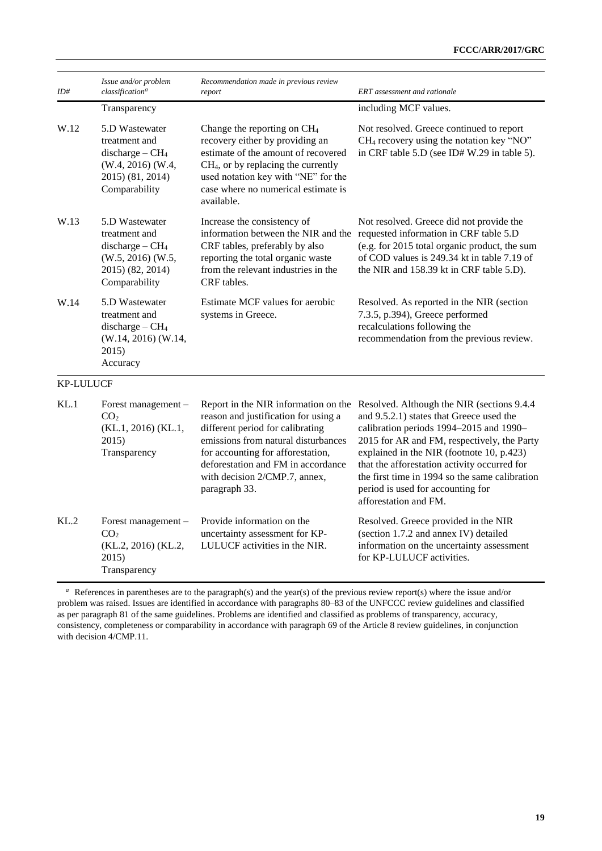| ID#              | Issue and/or problem<br>classification <sup>a</sup>                                                           | Recommendation made in previous review<br>report                                                                                                                                                                                                       | <b>ERT</b> assessment and rationale                                                                                                                                                                                                                                                                                                                                                                                                 |
|------------------|---------------------------------------------------------------------------------------------------------------|--------------------------------------------------------------------------------------------------------------------------------------------------------------------------------------------------------------------------------------------------------|-------------------------------------------------------------------------------------------------------------------------------------------------------------------------------------------------------------------------------------------------------------------------------------------------------------------------------------------------------------------------------------------------------------------------------------|
|                  | Transparency                                                                                                  |                                                                                                                                                                                                                                                        | including MCF values.                                                                                                                                                                                                                                                                                                                                                                                                               |
| W.12             | 5.D Wastewater<br>treatment and<br>discharge $-CH4$<br>(W.4, 2016) (W.4,<br>2015) (81, 2014)<br>Comparability | Change the reporting on $CH4$<br>recovery either by providing an<br>estimate of the amount of recovered<br>CH <sub>4</sub> , or by replacing the currently<br>used notation key with "NE" for the<br>case where no numerical estimate is<br>available. | Not resolved. Greece continued to report<br>$CH4$ recovery using the notation key "NO"<br>in CRF table 5.D (see ID# W.29 in table 5).                                                                                                                                                                                                                                                                                               |
| W.13             | 5.D Wastewater<br>treatment and<br>discharge $-CH4$<br>(W.5, 2016) (W.5,<br>2015) (82, 2014)<br>Comparability | Increase the consistency of<br>CRF tables, preferably by also<br>reporting the total organic waste<br>from the relevant industries in the<br>CRF tables.                                                                                               | Not resolved. Greece did not provide the<br>information between the NIR and the requested information in CRF table 5.D<br>(e.g. for 2015 total organic product, the sum<br>of COD values is 249.34 kt in table 7.19 of<br>the NIR and 158.39 kt in CRF table 5.D).                                                                                                                                                                  |
| W.14             | 5.D Wastewater<br>treatment and<br>discharge $-CH4$<br>(W.14, 2016) (W.14,<br>2015)<br>Accuracy               | Estimate MCF values for aerobic<br>systems in Greece.                                                                                                                                                                                                  | Resolved. As reported in the NIR (section<br>7.3.5, p.394), Greece performed<br>recalculations following the<br>recommendation from the previous review.                                                                                                                                                                                                                                                                            |
| <b>KP-LULUCF</b> |                                                                                                               |                                                                                                                                                                                                                                                        |                                                                                                                                                                                                                                                                                                                                                                                                                                     |
| KL.1             | Forest management -<br>CO <sub>2</sub><br>(KL.1, 2016) (KL.1,<br>2015)<br>Transparency                        | reason and justification for using a<br>different period for calibrating<br>emissions from natural disturbances<br>for accounting for afforestation,<br>deforestation and FM in accordance<br>with decision 2/CMP.7, annex,<br>paragraph 33.           | Report in the NIR information on the Resolved. Although the NIR (sections 9.4.4)<br>and 9.5.2.1) states that Greece used the<br>calibration periods 1994-2015 and 1990-<br>2015 for AR and FM, respectively, the Party<br>explained in the NIR (footnote 10, p.423)<br>that the afforestation activity occurred for<br>the first time in 1994 so the same calibration<br>period is used for accounting for<br>afforestation and FM. |
| KL.2             | Forest management -<br>CO <sub>2</sub><br>(KL.2, 2016) (KL.2,<br>2015)<br>Transparency                        | Provide information on the<br>uncertainty assessment for KP-<br>LULUCF activities in the NIR.                                                                                                                                                          | Resolved. Greece provided in the NIR<br>(section 1.7.2 and annex IV) detailed<br>information on the uncertainty assessment<br>for KP-LULUCF activities.                                                                                                                                                                                                                                                                             |

<sup>*a*</sup> References in parentheses are to the paragraph(s) and the year(s) of the previous review report(s) where the issue and/or problem was raised. Issues are identified in accordance with paragraphs 80–83 of the UNFCCC review guidelines and classified as per paragraph 81 of the same guidelines. Problems are identified and classified as problems of transparency, accuracy, consistency, completeness or comparability in accordance with paragraph 69 of the Article 8 review guidelines, in conjunction with decision  $4$ /CMP.11.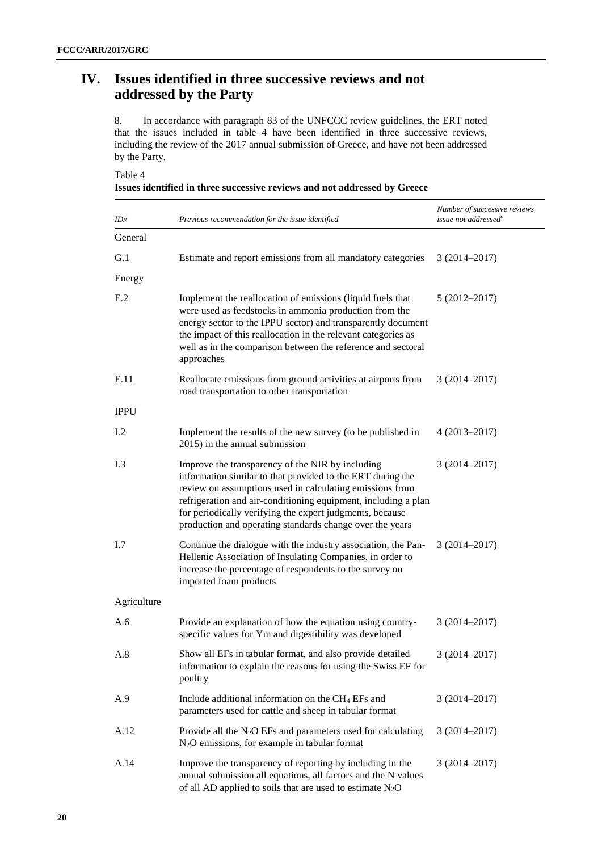# **IV. Issues identified in three successive reviews and not addressed by the Party**

8. In accordance with paragraph 83 of the UNFCCC review guidelines, the ERT noted that the issues included in table 4 have been identified in three successive reviews, including the review of the 2017 annual submission of Greece, and have not been addressed by the Party.

Table 4

|  |  |  | Issues identified in three successive reviews and not addressed by Greece |  |
|--|--|--|---------------------------------------------------------------------------|--|
|  |  |  |                                                                           |  |

| ID#         | Previous recommendation for the issue identified                                                                                                                                                                                                                                                                                                                     | Number of successive reviews<br>issue not addressed <sup>a</sup> |
|-------------|----------------------------------------------------------------------------------------------------------------------------------------------------------------------------------------------------------------------------------------------------------------------------------------------------------------------------------------------------------------------|------------------------------------------------------------------|
| General     |                                                                                                                                                                                                                                                                                                                                                                      |                                                                  |
| G.1         | Estimate and report emissions from all mandatory categories                                                                                                                                                                                                                                                                                                          | $3(2014 - 2017)$                                                 |
| Energy      |                                                                                                                                                                                                                                                                                                                                                                      |                                                                  |
| E.2         | Implement the reallocation of emissions (liquid fuels that<br>were used as feedstocks in ammonia production from the<br>energy sector to the IPPU sector) and transparently document<br>the impact of this reallocation in the relevant categories as<br>well as in the comparison between the reference and sectoral<br>approaches                                  | $5(2012 - 2017)$                                                 |
| E.11        | Reallocate emissions from ground activities at airports from<br>road transportation to other transportation                                                                                                                                                                                                                                                          | $3(2014 - 2017)$                                                 |
| <b>IPPU</b> |                                                                                                                                                                                                                                                                                                                                                                      |                                                                  |
| I.2         | Implement the results of the new survey (to be published in<br>2015) in the annual submission                                                                                                                                                                                                                                                                        | $4(2013 - 2017)$                                                 |
| I.3         | Improve the transparency of the NIR by including<br>information similar to that provided to the ERT during the<br>review on assumptions used in calculating emissions from<br>refrigeration and air-conditioning equipment, including a plan<br>for periodically verifying the expert judgments, because<br>production and operating standards change over the years | $3(2014 - 2017)$                                                 |
| I.7         | Continue the dialogue with the industry association, the Pan-<br>Hellenic Association of Insulating Companies, in order to<br>increase the percentage of respondents to the survey on<br>imported foam products                                                                                                                                                      | $3(2014 - 2017)$                                                 |
| Agriculture |                                                                                                                                                                                                                                                                                                                                                                      |                                                                  |
| A.6         | Provide an explanation of how the equation using country-<br>specific values for Ym and digestibility was developed                                                                                                                                                                                                                                                  | $3(2014 - 2017)$                                                 |
| A.8         | Show all EFs in tabular format, and also provide detailed<br>information to explain the reasons for using the Swiss EF for<br>poultry                                                                                                                                                                                                                                | $3(2014 - 2017)$                                                 |
| A.9         | Include additional information on the CH <sub>4</sub> EFs and<br>parameters used for cattle and sheep in tabular format                                                                                                                                                                                                                                              | $3(2014 - 2017)$                                                 |
| A.12        | Provide all the $N_2O$ EFs and parameters used for calculating<br>$N_2O$ emissions, for example in tabular format                                                                                                                                                                                                                                                    | $3(2014 - 2017)$                                                 |
| A.14        | Improve the transparency of reporting by including in the<br>annual submission all equations, all factors and the N values<br>of all AD applied to soils that are used to estimate $N_2O$                                                                                                                                                                            | $3(2014 - 2017)$                                                 |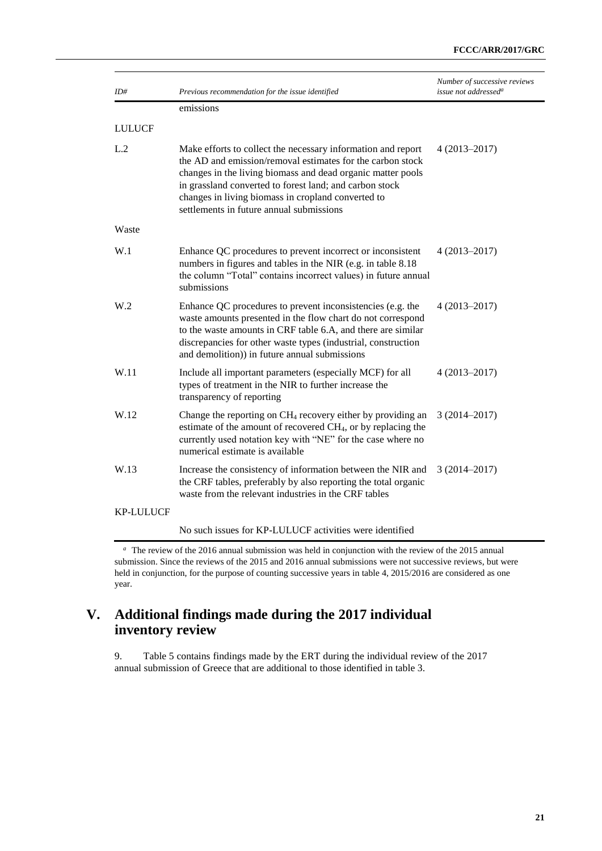| ID#              | Previous recommendation for the issue identified                                                                                                                                                                                                                                                                                                       | Number of successive reviews<br>issue not addressed <sup>a</sup> |
|------------------|--------------------------------------------------------------------------------------------------------------------------------------------------------------------------------------------------------------------------------------------------------------------------------------------------------------------------------------------------------|------------------------------------------------------------------|
|                  | emissions                                                                                                                                                                                                                                                                                                                                              |                                                                  |
| <b>LULUCF</b>    |                                                                                                                                                                                                                                                                                                                                                        |                                                                  |
| L.2              | Make efforts to collect the necessary information and report<br>the AD and emission/removal estimates for the carbon stock<br>changes in the living biomass and dead organic matter pools<br>in grassland converted to forest land; and carbon stock<br>changes in living biomass in cropland converted to<br>settlements in future annual submissions | $4(2013 - 2017)$                                                 |
| Waste            |                                                                                                                                                                                                                                                                                                                                                        |                                                                  |
| W.1              | Enhance QC procedures to prevent incorrect or inconsistent<br>numbers in figures and tables in the NIR (e.g. in table 8.18)<br>the column "Total" contains incorrect values) in future annual<br>submissions                                                                                                                                           | $4(2013 - 2017)$                                                 |
| W <sub>0</sub>   | Enhance QC procedures to prevent inconsistencies (e.g. the<br>waste amounts presented in the flow chart do not correspond<br>to the waste amounts in CRF table 6.A, and there are similar<br>discrepancies for other waste types (industrial, construction<br>and demolition)) in future annual submissions                                            | $4(2013 - 2017)$                                                 |
| W.11             | Include all important parameters (especially MCF) for all<br>types of treatment in the NIR to further increase the<br>transparency of reporting                                                                                                                                                                                                        | $4(2013 - 2017)$                                                 |
| W.12             | Change the reporting on CH <sub>4</sub> recovery either by providing an<br>estimate of the amount of recovered CH <sub>4</sub> , or by replacing the<br>currently used notation key with "NE" for the case where no<br>numerical estimate is available                                                                                                 | $3(2014 - 2017)$                                                 |
| W.13             | Increase the consistency of information between the NIR and<br>the CRF tables, preferably by also reporting the total organic<br>waste from the relevant industries in the CRF tables                                                                                                                                                                  | $3(2014 - 2017)$                                                 |
| <b>KP-LULUCF</b> |                                                                                                                                                                                                                                                                                                                                                        |                                                                  |
|                  | No such issues for KP-LULUCF activities were identified                                                                                                                                                                                                                                                                                                |                                                                  |

<sup>a</sup> The review of the 2016 annual submission was held in conjunction with the review of the 2015 annual submission. Since the reviews of the 2015 and 2016 annual submissions were not successive reviews, but were held in conjunction, for the purpose of counting successive years in table 4, 2015/2016 are considered as one year.

### **V. Additional findings made during the 2017 individual inventory review**

9. Table 5 contains findings made by the ERT during the individual review of the 2017 annual submission of Greece that are additional to those identified in table 3.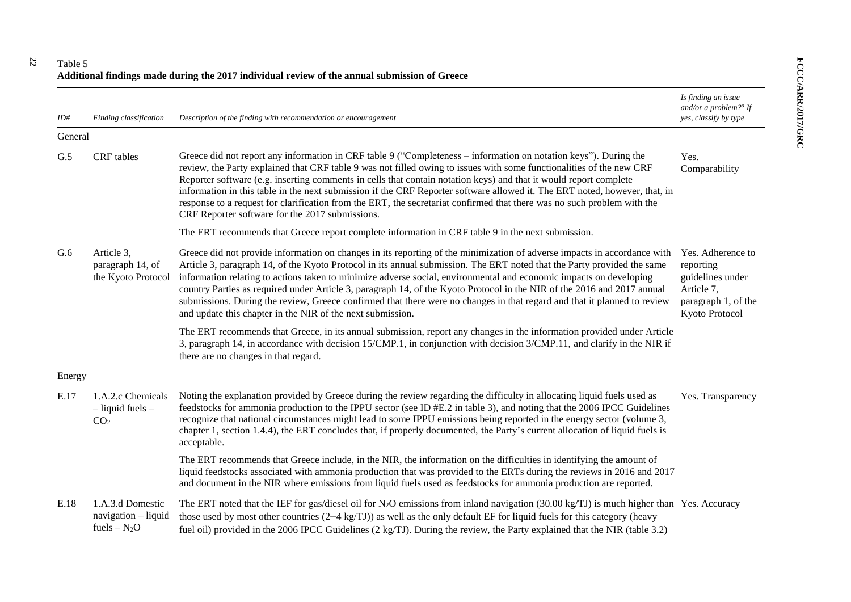**22**

| ID#     | Finding classification                                       | Description of the finding with recommendation or encouragement                                                                                                                                                                                                                                                                                                                                                                                                                                                                                                                                                                                                                                | Is finding an issue<br>and/or a problem? $d$ If<br>yes, classify by type                                  |
|---------|--------------------------------------------------------------|------------------------------------------------------------------------------------------------------------------------------------------------------------------------------------------------------------------------------------------------------------------------------------------------------------------------------------------------------------------------------------------------------------------------------------------------------------------------------------------------------------------------------------------------------------------------------------------------------------------------------------------------------------------------------------------------|-----------------------------------------------------------------------------------------------------------|
| General |                                                              |                                                                                                                                                                                                                                                                                                                                                                                                                                                                                                                                                                                                                                                                                                |                                                                                                           |
| G.5     | CRF tables                                                   | Greece did not report any information in CRF table 9 ("Completeness – information on notation keys"). During the<br>review, the Party explained that CRF table 9 was not filled owing to issues with some functionalities of the new CRF<br>Reporter software (e.g. inserting comments in cells that contain notation keys) and that it would report complete<br>information in this table in the next submission if the CRF Reporter software allowed it. The ERT noted, however, that, in<br>response to a request for clarification from the ERT, the secretariat confirmed that there was no such problem with the<br>CRF Reporter software for the 2017 submissions.                      | Yes.<br>Comparability                                                                                     |
|         |                                                              | The ERT recommends that Greece report complete information in CRF table 9 in the next submission.                                                                                                                                                                                                                                                                                                                                                                                                                                                                                                                                                                                              |                                                                                                           |
| G.6     | Article 3,<br>paragraph 14, of<br>the Kyoto Protocol         | Greece did not provide information on changes in its reporting of the minimization of adverse impacts in accordance with<br>Article 3, paragraph 14, of the Kyoto Protocol in its annual submission. The ERT noted that the Party provided the same<br>information relating to actions taken to minimize adverse social, environmental and economic impacts on developing<br>country Parties as required under Article 3, paragraph 14, of the Kyoto Protocol in the NIR of the 2016 and 2017 annual<br>submissions. During the review, Greece confirmed that there were no changes in that regard and that it planned to review<br>and update this chapter in the NIR of the next submission. | Yes. Adherence to<br>reporting<br>guidelines under<br>Article 7,<br>paragraph 1, of the<br>Kyoto Protocol |
|         |                                                              | The ERT recommends that Greece, in its annual submission, report any changes in the information provided under Article<br>3, paragraph 14, in accordance with decision 15/CMP.1, in conjunction with decision 3/CMP.11, and clarify in the NIR if<br>there are no changes in that regard.                                                                                                                                                                                                                                                                                                                                                                                                      |                                                                                                           |
| Energy  |                                                              |                                                                                                                                                                                                                                                                                                                                                                                                                                                                                                                                                                                                                                                                                                |                                                                                                           |
| E.17    | 1.A.2.c Chemicals<br>$-$ liquid fuels $-$<br>CO <sub>2</sub> | Noting the explanation provided by Greece during the review regarding the difficulty in allocating liquid fuels used as<br>feedstocks for ammonia production to the IPPU sector (see ID #E.2 in table 3), and noting that the 2006 IPCC Guidelines<br>recognize that national circumstances might lead to some IPPU emissions being reported in the energy sector (volume 3,<br>chapter 1, section 1.4.4), the ERT concludes that, if properly documented, the Party's current allocation of liquid fuels is<br>acceptable.                                                                                                                                                                    | Yes. Transparency                                                                                         |
|         |                                                              | The ERT recommends that Greece include, in the NIR, the information on the difficulties in identifying the amount of<br>liquid feedstocks associated with ammonia production that was provided to the ERTs during the reviews in 2016 and 2017<br>and document in the NIR where emissions from liquid fuels used as feedstocks for ammonia production are reported.                                                                                                                                                                                                                                                                                                                            |                                                                                                           |
| E.18    | 1.A.3.d Domestic<br>$navigation - liquid$<br>fuels $- N_2O$  | The ERT noted that the IEF for gas/diesel oil for $N_2O$ emissions from inland navigation (30.00 kg/TJ) is much higher than Yes. Accuracy<br>those used by most other countries $(2-4 \text{ kg/TJ})$ as well as the only default EF for liquid fuels for this category (heavy<br>fuel oil) provided in the 2006 IPCC Guidelines (2 kg/TJ). During the review, the Party explained that the NIR (table 3.2)                                                                                                                                                                                                                                                                                    |                                                                                                           |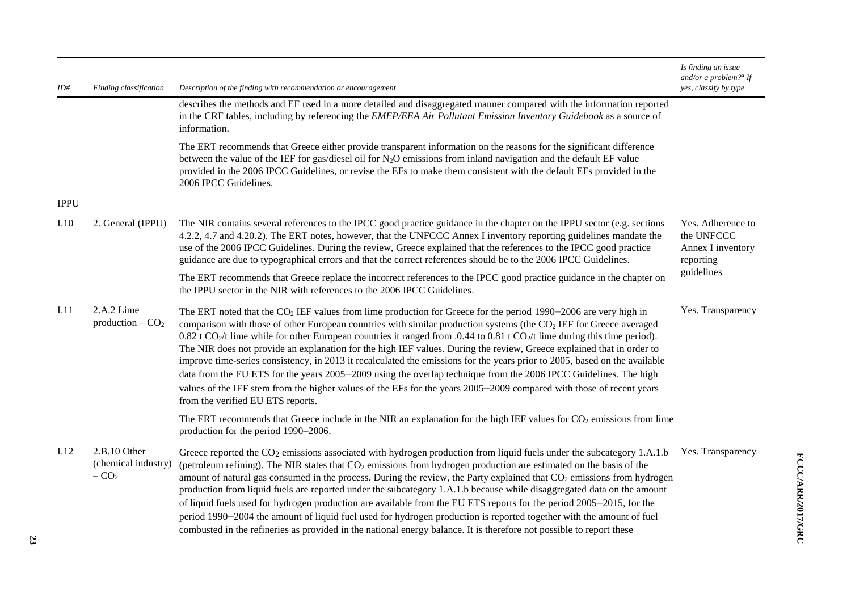| ID#         | Finding classification                        | Description of the finding with recommendation or encouragement                                                                                                                                                                                                                                                                                                                                                                                                                                                                                                                                                                                                                                                                                                                                                                                                                                                                                             | Is finding an issue<br>and/or a problem? <sup>a</sup> If<br>yes, classify by type |
|-------------|-----------------------------------------------|-------------------------------------------------------------------------------------------------------------------------------------------------------------------------------------------------------------------------------------------------------------------------------------------------------------------------------------------------------------------------------------------------------------------------------------------------------------------------------------------------------------------------------------------------------------------------------------------------------------------------------------------------------------------------------------------------------------------------------------------------------------------------------------------------------------------------------------------------------------------------------------------------------------------------------------------------------------|-----------------------------------------------------------------------------------|
|             |                                               | describes the methods and EF used in a more detailed and disaggregated manner compared with the information reported<br>in the CRF tables, including by referencing the EMEP/EEA Air Pollutant Emission Inventory Guidebook as a source of<br>information.                                                                                                                                                                                                                                                                                                                                                                                                                                                                                                                                                                                                                                                                                                  |                                                                                   |
|             |                                               | The ERT recommends that Greece either provide transparent information on the reasons for the significant difference<br>between the value of the IEF for gas/diesel oil for $N_2O$ emissions from inland navigation and the default EF value<br>provided in the 2006 IPCC Guidelines, or revise the EFs to make them consistent with the default EFs provided in the<br>2006 IPCC Guidelines.                                                                                                                                                                                                                                                                                                                                                                                                                                                                                                                                                                |                                                                                   |
| <b>IPPU</b> |                                               |                                                                                                                                                                                                                                                                                                                                                                                                                                                                                                                                                                                                                                                                                                                                                                                                                                                                                                                                                             |                                                                                   |
| I.10        | 2. General (IPPU)                             | The NIR contains several references to the IPCC good practice guidance in the chapter on the IPPU sector (e.g. sections<br>4.2.2, 4.7 and 4.20.2). The ERT notes, however, that the UNFCCC Annex I inventory reporting guidelines mandate the<br>use of the 2006 IPCC Guidelines. During the review, Greece explained that the references to the IPCC good practice<br>guidance are due to typographical errors and that the correct references should be to the 2006 IPCC Guidelines.                                                                                                                                                                                                                                                                                                                                                                                                                                                                      | Yes. Adherence to<br>the UNFCCC<br>Annex I inventory<br>reporting                 |
|             |                                               | The ERT recommends that Greece replace the incorrect references to the IPCC good practice guidance in the chapter on<br>the IPPU sector in the NIR with references to the 2006 IPCC Guidelines.                                                                                                                                                                                                                                                                                                                                                                                                                                                                                                                                                                                                                                                                                                                                                             | guidelines                                                                        |
| I.11        | 2.A.2 Lime<br>production $-$ CO <sub>2</sub>  | The ERT noted that the CO <sub>2</sub> IEF values from lime production for Greece for the period 1990–2006 are very high in<br>comparison with those of other European countries with similar production systems (the CO <sub>2</sub> IEF for Greece averaged<br>0.82 t CO <sub>2</sub> /t lime while for other European countries it ranged from .0.44 to 0.81 t CO <sub>2</sub> /t lime during this time period).<br>The NIR does not provide an explanation for the high IEF values. During the review, Greece explained that in order to<br>improve time-series consistency, in 2013 it recalculated the emissions for the years prior to 2005, based on the available<br>data from the EU ETS for the years 2005–2009 using the overlap technique from the 2006 IPCC Guidelines. The high<br>values of the IEF stem from the higher values of the EFs for the years 2005–2009 compared with those of recent years<br>from the verified EU ETS reports. | Yes. Transparency                                                                 |
|             |                                               | The ERT recommends that Greece include in the NIR an explanation for the high IEF values for $CO2$ emissions from lime<br>production for the period 1990–2006.                                                                                                                                                                                                                                                                                                                                                                                                                                                                                                                                                                                                                                                                                                                                                                                              |                                                                                   |
| I.12        | 2.B.10 Other<br>(chemical industry)<br>$-CO2$ | Greece reported the $CO2$ emissions associated with hydrogen production from liquid fuels under the subcategory 1.A.1.b<br>(petroleum refining). The NIR states that $CO2$ emissions from hydrogen production are estimated on the basis of the<br>amount of natural gas consumed in the process. During the review, the Party explained that CO <sub>2</sub> emissions from hydrogen<br>production from liquid fuels are reported under the subcategory 1.A.1.b because while disaggregated data on the amount<br>of liquid fuels used for hydrogen production are available from the EU ETS reports for the period 2005–2015, for the<br>period 1990–2004 the amount of liquid fuel used for hydrogen production is reported together with the amount of fuel<br>combusted in the refineries as provided in the national energy balance. It is therefore not possible to report these                                                                     | Yes. Transparency                                                                 |

**23**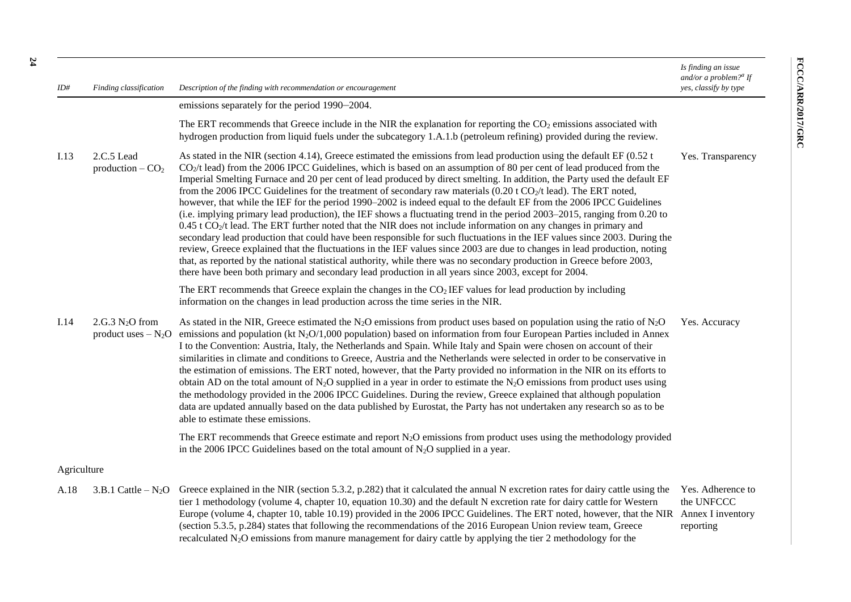FCCC/ARR/2017/GRC

*ID# Finding classification Description of the finding with recommendation or encouragement Is finding an issue and/or a problem? a If yes, classify by type* emissions separately for the period 1990–2004. The ERT recommends that Greece include in the NIR the explanation for reporting the  $CO<sub>2</sub>$  emissions associated with hydrogen production from liquid fuels under the subcategory 1.A.1.b (petroleum refining) provided during the review. I.13 2.C.5 Lead production –  $CO<sub>2</sub>$ As stated in the NIR (section 4.14), Greece estimated the emissions from lead production using the default EF (0.52 t  $CO<sub>2</sub>/t$  lead) from the 2006 IPCC Guidelines, which is based on an assumption of 80 per cent of lead produced from the Imperial Smelting Furnace and 20 per cent of lead produced by direct smelting. In addition, the Party used the default EF from the 2006 IPCC Guidelines for the treatment of secondary raw materials  $(0.20 \text{ t } \text{CO}_2/\text{t } \text{lead})$ . The ERT noted, however, that while the IEF for the period 1990–2002 is indeed equal to the default EF from the 2006 IPCC Guidelines (i.e. implying primary lead production), the IEF shows a fluctuating trend in the period 2003–2015, ranging from 0.20 to  $0.45$  t CO<sub>2</sub>/t lead. The ERT further noted that the NIR does not include information on any changes in primary and secondary lead production that could have been responsible for such fluctuations in the IEF values since 2003. During the review, Greece explained that the fluctuations in the IEF values since 2003 are due to changes in lead production, noting that, as reported by the national statistical authority, while there was no secondary production in Greece before 2003, there have been both primary and secondary lead production in all years since 2003, except for 2004. The ERT recommends that Greece explain the changes in the  $CO<sub>2</sub> IEF$  values for lead production by including information on the changes in lead production across the time series in the NIR. Yes. Transparency  $I.14 \t 2.G.3 N<sub>2</sub>O from$ product uses  $-N_2O$  emissions and population (kt  $N_2O/1,000$  population) based on information from four European Parties included in Annex As stated in the NIR, Greece estimated the N<sub>2</sub>O emissions from product uses based on population using the ratio of N<sub>2</sub>O I to the Convention: Austria, Italy, the Netherlands and Spain. While Italy and Spain were chosen on account of their similarities in climate and conditions to Greece, Austria and the Netherlands were selected in order to be conservative in the estimation of emissions. The ERT noted, however, that the Party provided no information in the NIR on its efforts to obtain AD on the total amount of N<sub>2</sub>O supplied in a year in order to estimate the N<sub>2</sub>O emissions from product uses using the methodology provided in the 2006 IPCC Guidelines. During the review, Greece explained that although population data are updated annually based on the data published by Eurostat, the Party has not undertaken any research so as to be able to estimate these emissions. The ERT recommends that Greece estimate and report  $N<sub>2</sub>O$  emissions from product uses using the methodology provided in the 2006 IPCC Guidelines based on the total amount of  $N<sub>2</sub>O$  supplied in a year. Yes. Accuracy Agriculture A.18 3.B.1 Cattle – N<sub>2</sub>O Greece explained in the NIR (section 5.3.2, p.282) that it calculated the annual N excretion rates for dairy cattle using the tier 1 methodology (volume 4, chapter 10, equation 10.30) and the default N excretion rate for dairy cattle for Western Europe (volume 4, chapter 10, table 10.19) provided in the 2006 IPCC Guidelines. The ERT noted, however, that the NIR Annex I inventory Yes. Adherence to the UNFCCC

> (section 5.3.5, p.284) states that following the recommendations of the 2016 European Union review team, Greece recalculated N2O emissions from manure management for dairy cattle by applying the tier 2 methodology for the

reporting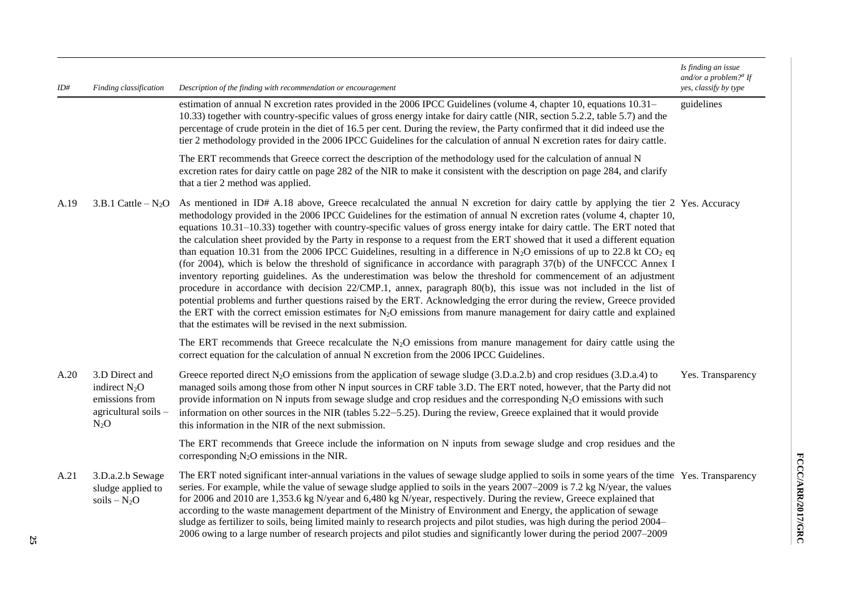| ID#  | Finding classification                                                                | Description of the finding with recommendation or encouragement                                                                                                                                                                                                                                                                                                                                                                                                                                                                                                                                                                                                                                                                                                                                                                                                                                                                                                                                                                                                                                                                                                                                                                                                                                                                                               | Is finding an issue<br>and/or a problem? <sup><i>a</i></sup> If<br>yes, classify by type |
|------|---------------------------------------------------------------------------------------|---------------------------------------------------------------------------------------------------------------------------------------------------------------------------------------------------------------------------------------------------------------------------------------------------------------------------------------------------------------------------------------------------------------------------------------------------------------------------------------------------------------------------------------------------------------------------------------------------------------------------------------------------------------------------------------------------------------------------------------------------------------------------------------------------------------------------------------------------------------------------------------------------------------------------------------------------------------------------------------------------------------------------------------------------------------------------------------------------------------------------------------------------------------------------------------------------------------------------------------------------------------------------------------------------------------------------------------------------------------|------------------------------------------------------------------------------------------|
|      |                                                                                       | estimation of annual N excretion rates provided in the 2006 IPCC Guidelines (volume 4, chapter 10, equations 10.31–<br>10.33) together with country-specific values of gross energy intake for dairy cattle (NIR, section 5.2.2, table 5.7) and the<br>percentage of crude protein in the diet of 16.5 per cent. During the review, the Party confirmed that it did indeed use the<br>tier 2 methodology provided in the 2006 IPCC Guidelines for the calculation of annual N excretion rates for dairy cattle.                                                                                                                                                                                                                                                                                                                                                                                                                                                                                                                                                                                                                                                                                                                                                                                                                                               | guidelines                                                                               |
|      |                                                                                       | The ERT recommends that Greece correct the description of the methodology used for the calculation of annual N<br>excretion rates for dairy cattle on page 282 of the NIR to make it consistent with the description on page 284, and clarify<br>that a tier 2 method was applied.                                                                                                                                                                                                                                                                                                                                                                                                                                                                                                                                                                                                                                                                                                                                                                                                                                                                                                                                                                                                                                                                            |                                                                                          |
| A.19 | $3.B.1$ Cattle $-N_2O$                                                                | As mentioned in ID# A.18 above, Greece recalculated the annual N excretion for dairy cattle by applying the tier 2 Yes. Accuracy<br>methodology provided in the 2006 IPCC Guidelines for the estimation of annual N excretion rates (volume 4, chapter 10,<br>equations 10.31–10.33) together with country-specific values of gross energy intake for dairy cattle. The ERT noted that<br>the calculation sheet provided by the Party in response to a request from the ERT showed that it used a different equation<br>than equation 10.31 from the 2006 IPCC Guidelines, resulting in a difference in N <sub>2</sub> O emissions of up to 22.8 kt CO <sub>2</sub> eq<br>(for 2004), which is below the threshold of significance in accordance with paragraph 37(b) of the UNFCCC Annex I<br>inventory reporting guidelines. As the underestimation was below the threshold for commencement of an adjustment<br>procedure in accordance with decision $22/CMP.1$ , annex, paragraph $80(b)$ , this issue was not included in the list of<br>potential problems and further questions raised by the ERT. Acknowledging the error during the review, Greece provided<br>the ERT with the correct emission estimates for $N_2O$ emissions from manure management for dairy cattle and explained<br>that the estimates will be revised in the next submission. |                                                                                          |
|      |                                                                                       | The ERT recommends that Greece recalculate the $N_2O$ emissions from manure management for dairy cattle using the<br>correct equation for the calculation of annual N excretion from the 2006 IPCC Guidelines.                                                                                                                                                                                                                                                                                                                                                                                                                                                                                                                                                                                                                                                                                                                                                                                                                                                                                                                                                                                                                                                                                                                                                |                                                                                          |
| A.20 | 3.D Direct and<br>indirect $N_2O$<br>emissions from<br>agricultural soils -<br>$N_2O$ | Greece reported direct $N_2O$ emissions from the application of sewage sludge (3.D.a.2.b) and crop residues (3.D.a.4) to<br>managed soils among those from other N input sources in CRF table 3.D. The ERT noted, however, that the Party did not<br>provide information on N inputs from sewage sludge and crop residues and the corresponding $N_2O$ emissions with such<br>information on other sources in the NIR (tables 5.22–5.25). During the review, Greece explained that it would provide<br>this information in the NIR of the next submission.                                                                                                                                                                                                                                                                                                                                                                                                                                                                                                                                                                                                                                                                                                                                                                                                    | Yes. Transparency                                                                        |
|      |                                                                                       | The ERT recommends that Greece include the information on N inputs from sewage sludge and crop residues and the<br>corresponding $N_2O$ emissions in the NIR.                                                                                                                                                                                                                                                                                                                                                                                                                                                                                                                                                                                                                                                                                                                                                                                                                                                                                                                                                                                                                                                                                                                                                                                                 |                                                                                          |
| A.21 | 3.D.a.2.b Sewage<br>sludge applied to<br>$soils - N2O$                                | The ERT noted significant inter-annual variations in the values of sewage sludge applied to soils in some years of the time Yes. Transparency<br>series. For example, while the value of sewage sludge applied to soils in the years 2007–2009 is 7.2 kg N/year, the values<br>for 2006 and 2010 are 1,353.6 kg N/year and 6,480 kg N/year, respectively. During the review, Greece explained that<br>according to the waste management department of the Ministry of Environment and Energy, the application of sewage<br>sludge as fertilizer to soils, being limited mainly to research projects and pilot studies, was high during the period 2004–<br>2006 owing to a large number of research projects and pilot studies and significantly lower during the period 2007–2009                                                                                                                                                                                                                                                                                                                                                                                                                                                                                                                                                                            |                                                                                          |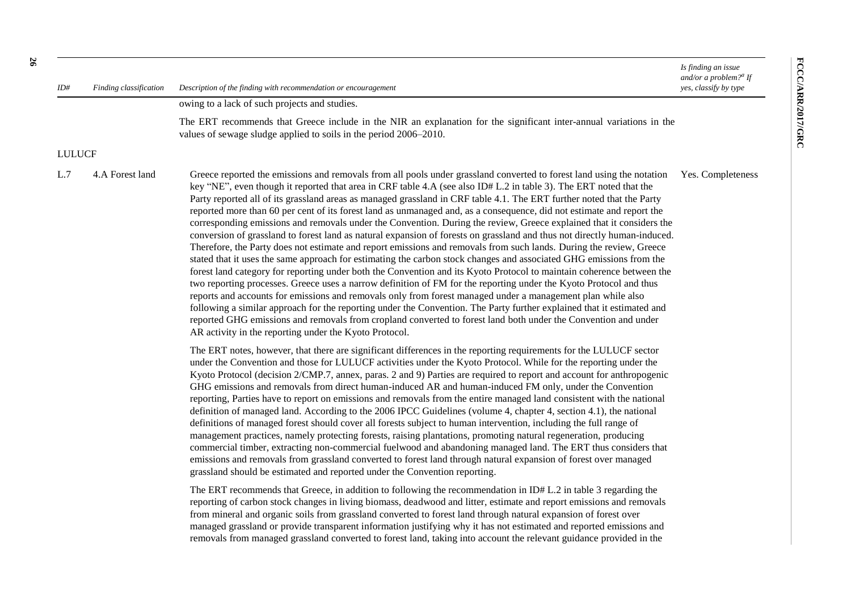*Is finding an issue and/or a problem? a If yes, classify by type*

*ID# Finding classification Description of the finding with recommendation or encouragement*

owing to a lack of such projects and studies.

The ERT recommends that Greece include in the NIR an explanation for the significant inter-annual variations in the values of sewage sludge applied to soils in the period 2006–2010.

#### LULUCF

L.7 4.A Forest land Greece reported the emissions and removals from all pools under grassland converted to forest land using the notation key "NE", even though it reported that area in CRF table 4.A (see also ID# L.2 in table 3). The ERT noted that the Party reported all of its grassland areas as managed grassland in CRF table 4.1. The ERT further noted that the Party reported more than 60 per cent of its forest land as unmanaged and, as a consequence, did not estimate and report the corresponding emissions and removals under the Convention. During the review, Greece explained that it considers the conversion of grassland to forest land as natural expansion of forests on grassland and thus not directly human-induced. Therefore, the Party does not estimate and report emissions and removals from such lands. During the review, Greece stated that it uses the same approach for estimating the carbon stock changes and associated GHG emissions from the forest land category for reporting under both the Convention and its Kyoto Protocol to maintain coherence between the two reporting processes. Greece uses a narrow definition of FM for the reporting under the Kyoto Protocol and thus reports and accounts for emissions and removals only from forest managed under a management plan while also following a similar approach for the reporting under the Convention. The Party further explained that it estimated and reported GHG emissions and removals from cropland converted to forest land both under the Convention and under AR activity in the reporting under the Kyoto Protocol. Yes. Completeness

> The ERT notes, however, that there are significant differences in the reporting requirements for the LULUCF sector under the Convention and those for LULUCF activities under the Kyoto Protocol. While for the reporting under the Kyoto Protocol (decision 2/CMP.7, annex, paras. 2 and 9) Parties are required to report and account for anthropogenic GHG emissions and removals from direct human-induced AR and human-induced FM only, under the Convention reporting, Parties have to report on emissions and removals from the entire managed land consistent with the national definition of managed land. According to the 2006 IPCC Guidelines (volume 4, chapter 4, section 4.1), the national definitions of managed forest should cover all forests subject to human intervention, including the full range of management practices, namely protecting forests, raising plantations, promoting natural regeneration, producing commercial timber, extracting non-commercial fuelwood and abandoning managed land. The ERT thus considers that emissions and removals from grassland converted to forest land through natural expansion of forest over managed grassland should be estimated and reported under the Convention reporting.

> The ERT recommends that Greece, in addition to following the recommendation in ID# L.2 in table 3 regarding the reporting of carbon stock changes in living biomass, deadwood and litter, estimate and report emissions and removals from mineral and organic soils from grassland converted to forest land through natural expansion of forest over managed grassland or provide transparent information justifying why it has not estimated and reported emissions and removals from managed grassland converted to forest land, taking into account the relevant guidance provided in the

**26**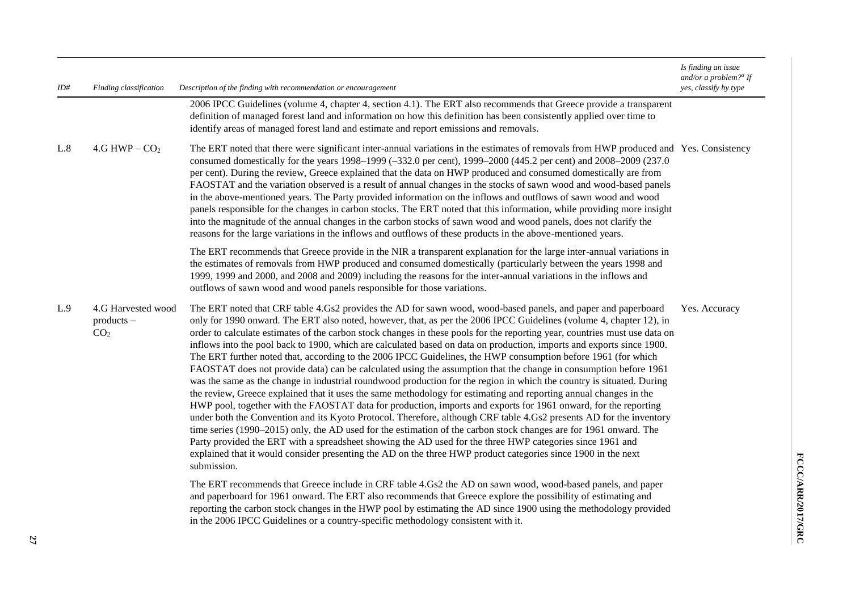| ID# | Finding classification                                | Description of the finding with recommendation or encouragement                                                                                                                                                                                                                                                                                                                                                                                                                                                                                                                                                                                                                                                                                                                                                                                                                                                                                                                                                                                                                                                                                                                                                                                                                                                                                                                                                                                                                                                                                                                            | Is finding an issue<br>and/or a problem? $a$ If<br>yes, classify by type |
|-----|-------------------------------------------------------|--------------------------------------------------------------------------------------------------------------------------------------------------------------------------------------------------------------------------------------------------------------------------------------------------------------------------------------------------------------------------------------------------------------------------------------------------------------------------------------------------------------------------------------------------------------------------------------------------------------------------------------------------------------------------------------------------------------------------------------------------------------------------------------------------------------------------------------------------------------------------------------------------------------------------------------------------------------------------------------------------------------------------------------------------------------------------------------------------------------------------------------------------------------------------------------------------------------------------------------------------------------------------------------------------------------------------------------------------------------------------------------------------------------------------------------------------------------------------------------------------------------------------------------------------------------------------------------------|--------------------------------------------------------------------------|
|     |                                                       | 2006 IPCC Guidelines (volume 4, chapter 4, section 4.1). The ERT also recommends that Greece provide a transparent<br>definition of managed forest land and information on how this definition has been consistently applied over time to<br>identify areas of managed forest land and estimate and report emissions and removals.                                                                                                                                                                                                                                                                                                                                                                                                                                                                                                                                                                                                                                                                                                                                                                                                                                                                                                                                                                                                                                                                                                                                                                                                                                                         |                                                                          |
| L.8 | $4.G$ HWP $-$ CO <sub>2</sub>                         | The ERT noted that there were significant inter-annual variations in the estimates of removals from HWP produced and Yes. Consistency<br>consumed domestically for the years 1998–1999 (-332.0 per cent), 1999–2000 (445.2 per cent) and 2008–2009 (237.0<br>per cent). During the review, Greece explained that the data on HWP produced and consumed domestically are from<br>FAOSTAT and the variation observed is a result of annual changes in the stocks of sawn wood and wood-based panels<br>in the above-mentioned years. The Party provided information on the inflows and outflows of sawn wood and wood<br>panels responsible for the changes in carbon stocks. The ERT noted that this information, while providing more insight<br>into the magnitude of the annual changes in the carbon stocks of sawn wood and wood panels, does not clarify the<br>reasons for the large variations in the inflows and outflows of these products in the above-mentioned years.                                                                                                                                                                                                                                                                                                                                                                                                                                                                                                                                                                                                          |                                                                          |
|     |                                                       | The ERT recommends that Greece provide in the NIR a transparent explanation for the large inter-annual variations in<br>the estimates of removals from HWP produced and consumed domestically (particularly between the years 1998 and<br>1999, 1999 and 2000, and 2008 and 2009) including the reasons for the inter-annual variations in the inflows and<br>outflows of sawn wood and wood panels responsible for those variations.                                                                                                                                                                                                                                                                                                                                                                                                                                                                                                                                                                                                                                                                                                                                                                                                                                                                                                                                                                                                                                                                                                                                                      |                                                                          |
| L.9 | 4.G Harvested wood<br>$products -$<br>CO <sub>2</sub> | The ERT noted that CRF table 4.Gs2 provides the AD for sawn wood, wood-based panels, and paper and paperboard<br>only for 1990 onward. The ERT also noted, however, that, as per the 2006 IPCC Guidelines (volume 4, chapter 12), in<br>order to calculate estimates of the carbon stock changes in these pools for the reporting year, countries must use data on<br>inflows into the pool back to 1900, which are calculated based on data on production, imports and exports since 1900.<br>The ERT further noted that, according to the 2006 IPCC Guidelines, the HWP consumption before 1961 (for which<br>FAOSTAT does not provide data) can be calculated using the assumption that the change in consumption before 1961<br>was the same as the change in industrial roundwood production for the region in which the country is situated. During<br>the review, Greece explained that it uses the same methodology for estimating and reporting annual changes in the<br>HWP pool, together with the FAOSTAT data for production, imports and exports for 1961 onward, for the reporting<br>under both the Convention and its Kyoto Protocol. Therefore, although CRF table 4.Gs2 presents AD for the inventory<br>time series (1990–2015) only, the AD used for the estimation of the carbon stock changes are for 1961 onward. The<br>Party provided the ERT with a spreadsheet showing the AD used for the three HWP categories since 1961 and<br>explained that it would consider presenting the AD on the three HWP product categories since 1900 in the next<br>submission. | Yes. Accuracy                                                            |
|     |                                                       | The ERT recommends that Greece include in CRF table 4.Gs2 the AD on sawn wood, wood-based panels, and paper<br>and paperboard for 1961 onward. The ERT also recommends that Greece explore the possibility of estimating and<br>reporting the carbon stock changes in the HWP pool by estimating the AD since 1900 using the methodology provided<br>in the 2006 IPCC Guidelines or a country-specific methodology consistent with it.                                                                                                                                                                                                                                                                                                                                                                                                                                                                                                                                                                                                                                                                                                                                                                                                                                                                                                                                                                                                                                                                                                                                                     |                                                                          |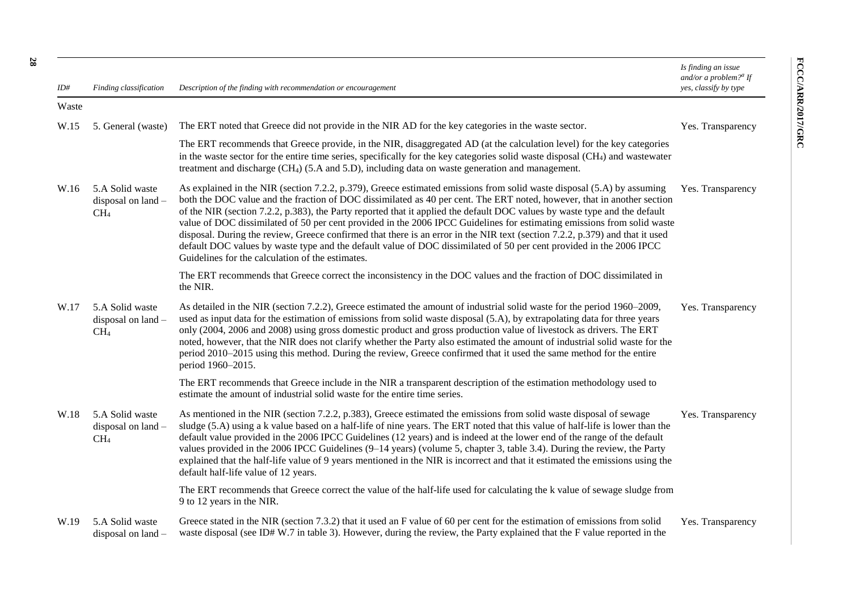*Is finding an issue and/or a problem? a If* 

| ID#   | Finding classification                                   | Description of the finding with recommendation or encouragement                                                                                                                                                                                                                                                                                                                                                                                                                                                                                                                                                                                                                                                                                                                                                       | yes, classify by type |
|-------|----------------------------------------------------------|-----------------------------------------------------------------------------------------------------------------------------------------------------------------------------------------------------------------------------------------------------------------------------------------------------------------------------------------------------------------------------------------------------------------------------------------------------------------------------------------------------------------------------------------------------------------------------------------------------------------------------------------------------------------------------------------------------------------------------------------------------------------------------------------------------------------------|-----------------------|
| Waste |                                                          |                                                                                                                                                                                                                                                                                                                                                                                                                                                                                                                                                                                                                                                                                                                                                                                                                       |                       |
| W.15  | 5. General (waste)                                       | The ERT noted that Greece did not provide in the NIR AD for the key categories in the waste sector.                                                                                                                                                                                                                                                                                                                                                                                                                                                                                                                                                                                                                                                                                                                   | Yes. Transparency     |
|       |                                                          | The ERT recommends that Greece provide, in the NIR, disaggregated AD (at the calculation level) for the key categories<br>in the waste sector for the entire time series, specifically for the key categories solid waste disposal (CH <sub>4</sub> ) and wastewater<br>treatment and discharge (CH <sub>4</sub> ) (5.A and 5.D), including data on waste generation and management.                                                                                                                                                                                                                                                                                                                                                                                                                                  |                       |
| W.16  | 5.A Solid waste<br>disposal on land -<br>CH <sub>4</sub> | As explained in the NIR (section 7.2.2, p.379), Greece estimated emissions from solid waste disposal (5.A) by assuming<br>both the DOC value and the fraction of DOC dissimilated as 40 per cent. The ERT noted, however, that in another section<br>of the NIR (section 7.2.2, p.383), the Party reported that it applied the default DOC values by waste type and the default<br>value of DOC dissimilated of 50 per cent provided in the 2006 IPCC Guidelines for estimating emissions from solid waste<br>disposal. During the review, Greece confirmed that there is an error in the NIR text (section 7.2.2, p.379) and that it used<br>default DOC values by waste type and the default value of DOC dissimilated of 50 per cent provided in the 2006 IPCC<br>Guidelines for the calculation of the estimates. | Yes. Transparency     |
|       |                                                          | The ERT recommends that Greece correct the inconsistency in the DOC values and the fraction of DOC dissimilated in<br>the NIR.                                                                                                                                                                                                                                                                                                                                                                                                                                                                                                                                                                                                                                                                                        |                       |
| W.17  | 5.A Solid waste<br>disposal on land -<br>CH <sub>4</sub> | As detailed in the NIR (section 7.2.2), Greece estimated the amount of industrial solid waste for the period 1960–2009,<br>used as input data for the estimation of emissions from solid waste disposal (5.A), by extrapolating data for three years<br>only (2004, 2006 and 2008) using gross domestic product and gross production value of livestock as drivers. The ERT<br>noted, however, that the NIR does not clarify whether the Party also estimated the amount of industrial solid waste for the<br>period 2010–2015 using this method. During the review, Greece confirmed that it used the same method for the entire<br>period 1960-2015.                                                                                                                                                                | Yes. Transparency     |
|       |                                                          | The ERT recommends that Greece include in the NIR a transparent description of the estimation methodology used to<br>estimate the amount of industrial solid waste for the entire time series.                                                                                                                                                                                                                                                                                                                                                                                                                                                                                                                                                                                                                        |                       |
| W.18  | 5.A Solid waste<br>disposal on land -<br>CH <sub>4</sub> | As mentioned in the NIR (section 7.2.2, p.383), Greece estimated the emissions from solid waste disposal of sewage<br>sludge (5.A) using a k value based on a half-life of nine years. The ERT noted that this value of half-life is lower than the<br>default value provided in the 2006 IPCC Guidelines (12 years) and is indeed at the lower end of the range of the default<br>values provided in the 2006 IPCC Guidelines (9–14 years) (volume 5, chapter 3, table 3.4). During the review, the Party<br>explained that the half-life value of 9 years mentioned in the NIR is incorrect and that it estimated the emissions using the<br>default half-life value of 12 years.                                                                                                                                   | Yes. Transparency     |
|       |                                                          | The ERT recommends that Greece correct the value of the half-life used for calculating the k value of sewage sludge from<br>9 to 12 years in the NIR.                                                                                                                                                                                                                                                                                                                                                                                                                                                                                                                                                                                                                                                                 |                       |
| W.19  | 5.A Solid waste<br>disposal on land $-$                  | Greece stated in the NIR (section 7.3.2) that it used an F value of 60 per cent for the estimation of emissions from solid<br>waste disposal (see ID#W.7 in table 3). However, during the review, the Party explained that the F value reported in the                                                                                                                                                                                                                                                                                                                                                                                                                                                                                                                                                                | Yes. Transparency     |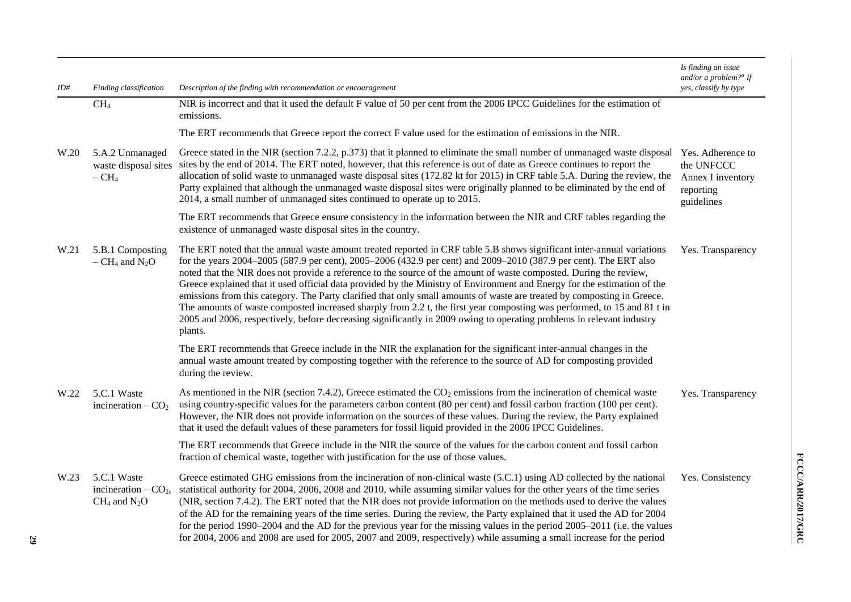| ID#  | Finding classification                                       | Description of the finding with recommendation or encouragement                                                                                                                                                                                                                                                                                                                                                                                                                                                                                                                                                                                                                                                                                                                                                                                                                         | Is finding an issue<br>and/or a problem? <sup>a</sup> If<br>yes, classify by type |
|------|--------------------------------------------------------------|-----------------------------------------------------------------------------------------------------------------------------------------------------------------------------------------------------------------------------------------------------------------------------------------------------------------------------------------------------------------------------------------------------------------------------------------------------------------------------------------------------------------------------------------------------------------------------------------------------------------------------------------------------------------------------------------------------------------------------------------------------------------------------------------------------------------------------------------------------------------------------------------|-----------------------------------------------------------------------------------|
|      | CH <sub>4</sub>                                              | NIR is incorrect and that it used the default F value of 50 per cent from the 2006 IPCC Guidelines for the estimation of<br>emissions.                                                                                                                                                                                                                                                                                                                                                                                                                                                                                                                                                                                                                                                                                                                                                  |                                                                                   |
|      |                                                              | The ERT recommends that Greece report the correct F value used for the estimation of emissions in the NIR.                                                                                                                                                                                                                                                                                                                                                                                                                                                                                                                                                                                                                                                                                                                                                                              |                                                                                   |
| W.20 | 5.A.2 Unmanaged<br>waste disposal sites<br>$-CH4$            | Greece stated in the NIR (section 7.2.2, p.373) that it planned to eliminate the small number of unmanaged waste disposal<br>sites by the end of 2014. The ERT noted, however, that this reference is out of date as Greece continues to report the<br>allocation of solid waste to unmanaged waste disposal sites (172.82 kt for 2015) in CRF table 5.A. During the review, the<br>Party explained that although the unmanaged waste disposal sites were originally planned to be eliminated by the end of<br>2014, a small number of unmanaged sites continued to operate up to 2015.                                                                                                                                                                                                                                                                                                 | Yes. Adherence to<br>the UNFCCC<br>Annex I inventory<br>reporting<br>guidelines   |
|      |                                                              | The ERT recommends that Greece ensure consistency in the information between the NIR and CRF tables regarding the<br>existence of unmanaged waste disposal sites in the country.                                                                                                                                                                                                                                                                                                                                                                                                                                                                                                                                                                                                                                                                                                        |                                                                                   |
| W.21 | 5.B.1 Composting<br>$-$ CH <sub>4</sub> and N <sub>2</sub> O | The ERT noted that the annual waste amount treated reported in CRF table 5.B shows significant inter-annual variations<br>for the years 2004–2005 (587.9 per cent), 2005–2006 (432.9 per cent) and 2009–2010 (387.9 per cent). The ERT also<br>noted that the NIR does not provide a reference to the source of the amount of waste composted. During the review,<br>Greece explained that it used official data provided by the Ministry of Environment and Energy for the estimation of the<br>emissions from this category. The Party clarified that only small amounts of waste are treated by composting in Greece.<br>The amounts of waste composted increased sharply from 2.2 t, the first year composting was performed, to 15 and 81 t in<br>2005 and 2006, respectively, before decreasing significantly in 2009 owing to operating problems in relevant industry<br>plants. | Yes. Transparency                                                                 |
|      |                                                              | The ERT recommends that Greece include in the NIR the explanation for the significant inter-annual changes in the<br>annual waste amount treated by composting together with the reference to the source of AD for composting provided<br>during the review.                                                                                                                                                                                                                                                                                                                                                                                                                                                                                                                                                                                                                            |                                                                                   |
| W.22 | 5.C.1 Waste<br>incineration $-CO2$                           | As mentioned in the NIR (section 7.4.2), Greece estimated the $CO2$ emissions from the incineration of chemical waste<br>using country-specific values for the parameters carbon content (80 per cent) and fossil carbon fraction (100 per cent).<br>However, the NIR does not provide information on the sources of these values. During the review, the Party explained<br>that it used the default values of these parameters for fossil liquid provided in the 2006 IPCC Guidelines.                                                                                                                                                                                                                                                                                                                                                                                                | Yes. Transparency                                                                 |
|      |                                                              | The ERT recommends that Greece include in the NIR the source of the values for the carbon content and fossil carbon<br>fraction of chemical waste, together with justification for the use of those values.                                                                                                                                                                                                                                                                                                                                                                                                                                                                                                                                                                                                                                                                             |                                                                                   |
| W.23 | 5.C.1 Waste<br>incineration $-CO2$ ,<br>$CH_4$ and $N_2O$    | Greece estimated GHG emissions from the incineration of non-clinical waste (5.C.1) using AD collected by the national<br>statistical authority for 2004, 2006, 2008 and 2010, while assuming similar values for the other years of the time series<br>(NIR, section 7.4.2). The ERT noted that the NIR does not provide information on the methods used to derive the values<br>of the AD for the remaining years of the time series. During the review, the Party explained that it used the AD for 2004<br>for the period 1990–2004 and the AD for the previous year for the missing values in the period 2005–2011 (i.e. the values<br>for 2004, 2006 and 2008 are used for 2005, 2007 and 2009, respectively) while assuming a small increase for the period                                                                                                                        | Yes. Consistency                                                                  |

**29**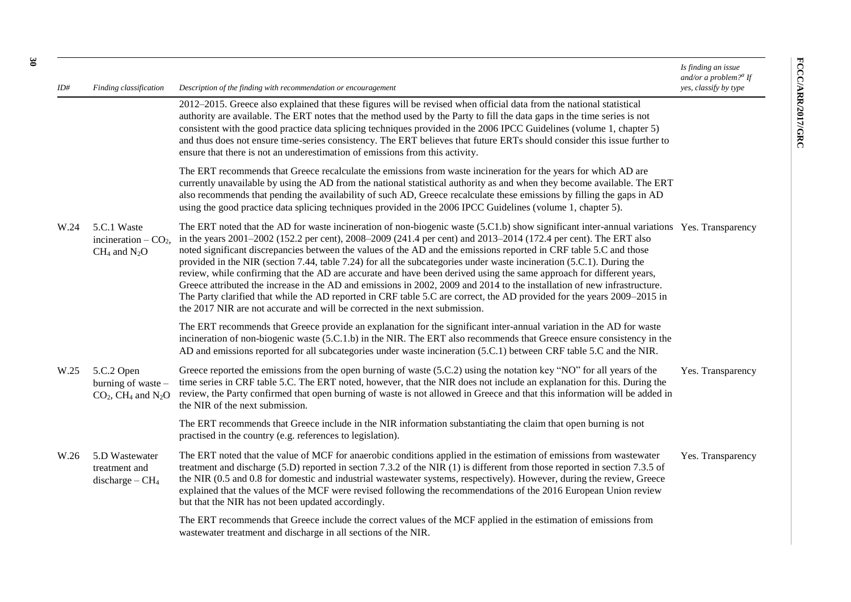| ID#  | Finding classification                                                           | Description of the finding with recommendation or encouragement                                                                                                                                                                                                                                                                                                                                                                                                                                                                                                                                                                                                                                                                                                                                                                                                                                                                                                             | Is finding an issue<br>and/or a problem? <sup><i>a</i></sup> If<br>yes, classify by type |
|------|----------------------------------------------------------------------------------|-----------------------------------------------------------------------------------------------------------------------------------------------------------------------------------------------------------------------------------------------------------------------------------------------------------------------------------------------------------------------------------------------------------------------------------------------------------------------------------------------------------------------------------------------------------------------------------------------------------------------------------------------------------------------------------------------------------------------------------------------------------------------------------------------------------------------------------------------------------------------------------------------------------------------------------------------------------------------------|------------------------------------------------------------------------------------------|
|      |                                                                                  | 2012-2015. Greece also explained that these figures will be revised when official data from the national statistical<br>authority are available. The ERT notes that the method used by the Party to fill the data gaps in the time series is not<br>consistent with the good practice data splicing techniques provided in the 2006 IPCC Guidelines (volume 1, chapter 5)<br>and thus does not ensure time-series consistency. The ERT believes that future ERTs should consider this issue further to<br>ensure that there is not an underestimation of emissions from this activity.                                                                                                                                                                                                                                                                                                                                                                                      |                                                                                          |
|      |                                                                                  | The ERT recommends that Greece recalculate the emissions from waste incineration for the years for which AD are<br>currently unavailable by using the AD from the national statistical authority as and when they become available. The ERT<br>also recommends that pending the availability of such AD, Greece recalculate these emissions by filling the gaps in AD<br>using the good practice data splicing techniques provided in the 2006 IPCC Guidelines (volume 1, chapter 5).                                                                                                                                                                                                                                                                                                                                                                                                                                                                                       |                                                                                          |
| W.24 | 5.C.1 Waste<br>incineration $-CO2$ ,<br>$CH_4$ and $N_2O$                        | The ERT noted that the AD for waste incineration of non-biogenic waste (5.C1.b) show significant inter-annual variations Yes. Transparency<br>in the years 2001–2002 (152.2 per cent), 2008–2009 (241.4 per cent) and 2013–2014 (172.4 per cent). The ERT also<br>noted significant discrepancies between the values of the AD and the emissions reported in CRF table 5.C and those<br>provided in the NIR (section 7.44, table 7.24) for all the subcategories under waste incineration (5.C.1). During the<br>review, while confirming that the AD are accurate and have been derived using the same approach for different years,<br>Greece attributed the increase in the AD and emissions in 2002, 2009 and 2014 to the installation of new infrastructure.<br>The Party clarified that while the AD reported in CRF table 5.C are correct, the AD provided for the years 2009–2015 in<br>the 2017 NIR are not accurate and will be corrected in the next submission. |                                                                                          |
|      |                                                                                  | The ERT recommends that Greece provide an explanation for the significant inter-annual variation in the AD for waste<br>incineration of non-biogenic waste (5.C.1.b) in the NIR. The ERT also recommends that Greece ensure consistency in the<br>AD and emissions reported for all subcategories under waste incineration (5.C.1) between CRF table 5.C and the NIR.                                                                                                                                                                                                                                                                                                                                                                                                                                                                                                                                                                                                       |                                                                                          |
| W.25 | 5.C.2 Open<br>burning of waste -<br>$CO2$ , CH <sub>4</sub> and N <sub>2</sub> O | Greece reported the emissions from the open burning of waste (5.C.2) using the notation key "NO" for all years of the<br>time series in CRF table 5.C. The ERT noted, however, that the NIR does not include an explanation for this. During the<br>review, the Party confirmed that open burning of waste is not allowed in Greece and that this information will be added in<br>the NIR of the next submission.                                                                                                                                                                                                                                                                                                                                                                                                                                                                                                                                                           | Yes. Transparency                                                                        |
|      |                                                                                  | The ERT recommends that Greece include in the NIR information substantiating the claim that open burning is not<br>practised in the country (e.g. references to legislation).                                                                                                                                                                                                                                                                                                                                                                                                                                                                                                                                                                                                                                                                                                                                                                                               |                                                                                          |
| W.26 | 5.D Wastewater<br>treatment and<br>discharge $-CH4$                              | The ERT noted that the value of MCF for anaerobic conditions applied in the estimation of emissions from wastewater<br>treatment and discharge (5.D) reported in section 7.3.2 of the NIR (1) is different from those reported in section 7.3.5 of<br>the NIR (0.5 and 0.8 for domestic and industrial wastewater systems, respectively). However, during the review, Greece<br>explained that the values of the MCF were revised following the recommendations of the 2016 European Union review<br>but that the NIR has not been updated accordingly.                                                                                                                                                                                                                                                                                                                                                                                                                     | Yes. Transparency                                                                        |
|      |                                                                                  | The ERT recommends that Greece include the correct values of the MCF applied in the estimation of emissions from<br>was tewater treatment and discharge in all sections of the NIR.                                                                                                                                                                                                                                                                                                                                                                                                                                                                                                                                                                                                                                                                                                                                                                                         |                                                                                          |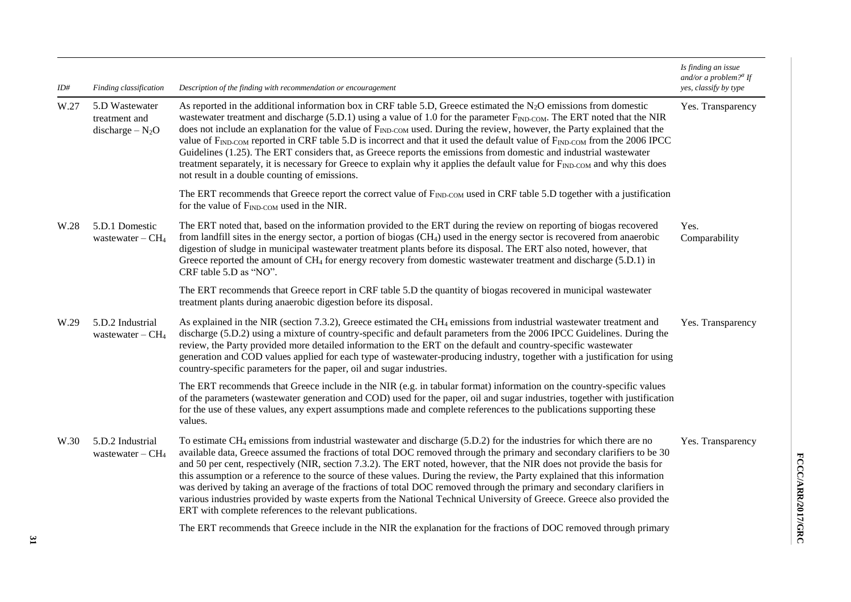| ID#  | Finding classification                               | Description of the finding with recommendation or encouragement                                                                                                                                                                                                                                                                                                                                                                                                                                                                                                                                                                                                                                                                                                                                                                                                            | Is finding an issue<br>and/or a problem? <sup>a</sup> If<br>yes, classify by type |
|------|------------------------------------------------------|----------------------------------------------------------------------------------------------------------------------------------------------------------------------------------------------------------------------------------------------------------------------------------------------------------------------------------------------------------------------------------------------------------------------------------------------------------------------------------------------------------------------------------------------------------------------------------------------------------------------------------------------------------------------------------------------------------------------------------------------------------------------------------------------------------------------------------------------------------------------------|-----------------------------------------------------------------------------------|
| W.27 | 5.D Wastewater<br>treatment and<br>discharge $-N_2O$ | As reported in the additional information box in CRF table 5.D, Greece estimated the N <sub>2</sub> O emissions from domestic<br>wastewater treatment and discharge (5.D.1) using a value of 1.0 for the parameter $F_{\text{IND-COM}}$ . The ERT noted that the NIR<br>does not include an explanation for the value of F <sub>IND-COM</sub> used. During the review, however, the Party explained that the<br>value of F <sub>IND</sub> -COM reported in CRF table 5.D is incorrect and that it used the default value of F <sub>IND</sub> -COM from the 2006 IPCC<br>Guidelines (1.25). The ERT considers that, as Greece reports the emissions from domestic and industrial wastewater<br>treatment separately, it is necessary for Greece to explain why it applies the default value for FIND-COM and why this does<br>not result in a double counting of emissions. | Yes. Transparency                                                                 |
|      |                                                      | The ERT recommends that Greece report the correct value of F <sub>IND</sub> -com used in CRF table 5.D together with a justification<br>for the value of F <sub>IND-COM</sub> used in the NIR.                                                                                                                                                                                                                                                                                                                                                                                                                                                                                                                                                                                                                                                                             |                                                                                   |
| W.28 | 5.D.1 Domestic<br>wastewater $-CH4$                  | The ERT noted that, based on the information provided to the ERT during the review on reporting of biogas recovered<br>from landfill sites in the energy sector, a portion of biogas (CH <sub>4</sub> ) used in the energy sector is recovered from anaerobic<br>digestion of sludge in municipal wastewater treatment plants before its disposal. The ERT also noted, however, that<br>Greece reported the amount of CH <sub>4</sub> for energy recovery from domestic wastewater treatment and discharge (5.D.1) in<br>CRF table 5.D as "NO".                                                                                                                                                                                                                                                                                                                            | Yes.<br>Comparability                                                             |
|      |                                                      | The ERT recommends that Greece report in CRF table 5.D the quantity of biogas recovered in municipal wastewater<br>treatment plants during anaerobic digestion before its disposal.                                                                                                                                                                                                                                                                                                                                                                                                                                                                                                                                                                                                                                                                                        |                                                                                   |
| W.29 | 5.D.2 Industrial<br>wastewater $-CH4$                | As explained in the NIR (section 7.3.2), Greece estimated the $CH_4$ emissions from industrial wastewater treatment and<br>discharge (5.D.2) using a mixture of country-specific and default parameters from the 2006 IPCC Guidelines. During the<br>review, the Party provided more detailed information to the ERT on the default and country-specific wastewater<br>generation and COD values applied for each type of wastewater-producing industry, together with a justification for using<br>country-specific parameters for the paper, oil and sugar industries.                                                                                                                                                                                                                                                                                                   | Yes. Transparency                                                                 |
|      |                                                      | The ERT recommends that Greece include in the NIR (e.g. in tabular format) information on the country-specific values<br>of the parameters (wastewater generation and COD) used for the paper, oil and sugar industries, together with justification<br>for the use of these values, any expert assumptions made and complete references to the publications supporting these<br>values.                                                                                                                                                                                                                                                                                                                                                                                                                                                                                   |                                                                                   |
| W.30 | 5.D.2 Industrial<br>wastewater $-CH4$                | To estimate CH <sub>4</sub> emissions from industrial wastewater and discharge (5.D.2) for the industries for which there are no<br>available data, Greece assumed the fractions of total DOC removed through the primary and secondary clarifiers to be 30<br>and 50 per cent, respectively (NIR, section 7.3.2). The ERT noted, however, that the NIR does not provide the basis for<br>this assumption or a reference to the source of these values. During the review, the Party explained that this information<br>was derived by taking an average of the fractions of total DOC removed through the primary and secondary clarifiers in<br>various industries provided by waste experts from the National Technical University of Greece. Greece also provided the<br>ERT with complete references to the relevant publications.                                    | Yes. Transparency                                                                 |
|      |                                                      | The ERT recommends that Greece include in the NIR the explanation for the fractions of DOC removed through primary                                                                                                                                                                                                                                                                                                                                                                                                                                                                                                                                                                                                                                                                                                                                                         |                                                                                   |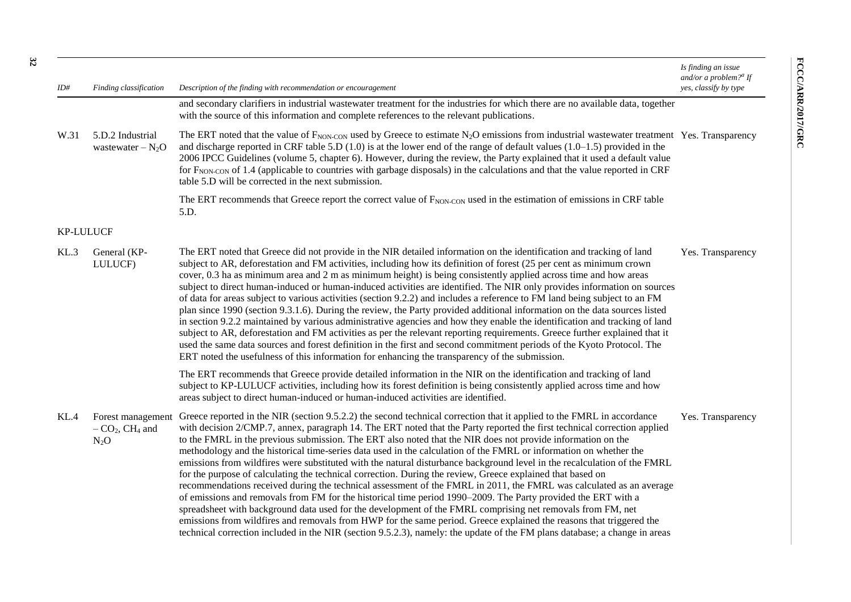| ID#              | Finding classification                                      | Description of the finding with recommendation or encouragement                                                                                                                                                                                                                                                                                                                                                                                                                                                                                                                                                                                                                                                                                                                                                                                                                                                                                                                                                                                                                                                                                                                                                                                                                                                                             | Is finding an issue<br>and/or a problem? <sup><i>a</i></sup> If<br>yes, classify by type |
|------------------|-------------------------------------------------------------|---------------------------------------------------------------------------------------------------------------------------------------------------------------------------------------------------------------------------------------------------------------------------------------------------------------------------------------------------------------------------------------------------------------------------------------------------------------------------------------------------------------------------------------------------------------------------------------------------------------------------------------------------------------------------------------------------------------------------------------------------------------------------------------------------------------------------------------------------------------------------------------------------------------------------------------------------------------------------------------------------------------------------------------------------------------------------------------------------------------------------------------------------------------------------------------------------------------------------------------------------------------------------------------------------------------------------------------------|------------------------------------------------------------------------------------------|
|                  |                                                             | and secondary clarifiers in industrial wastewater treatment for the industries for which there are no available data, together<br>with the source of this information and complete references to the relevant publications.                                                                                                                                                                                                                                                                                                                                                                                                                                                                                                                                                                                                                                                                                                                                                                                                                                                                                                                                                                                                                                                                                                                 |                                                                                          |
| W.31             | 5.D.2 Industrial<br>wastewater $-N_2O$                      | The ERT noted that the value of $F_{\text{NON-CON}}$ used by Greece to estimate N <sub>2</sub> O emissions from industrial wastewater treatment Yes. Transparency<br>and discharge reported in CRF table 5.D $(1.0)$ is at the lower end of the range of default values $(1.0-1.5)$ provided in the<br>2006 IPCC Guidelines (volume 5, chapter 6). However, during the review, the Party explained that it used a default value<br>for F <sub>NON-CON</sub> of 1.4 (applicable to countries with garbage disposals) in the calculations and that the value reported in CRF<br>table 5.D will be corrected in the next submission.                                                                                                                                                                                                                                                                                                                                                                                                                                                                                                                                                                                                                                                                                                           |                                                                                          |
|                  |                                                             | The ERT recommends that Greece report the correct value of F <sub>NON-CON</sub> used in the estimation of emissions in CRF table<br>5.D.                                                                                                                                                                                                                                                                                                                                                                                                                                                                                                                                                                                                                                                                                                                                                                                                                                                                                                                                                                                                                                                                                                                                                                                                    |                                                                                          |
| <b>KP-LULUCF</b> |                                                             |                                                                                                                                                                                                                                                                                                                                                                                                                                                                                                                                                                                                                                                                                                                                                                                                                                                                                                                                                                                                                                                                                                                                                                                                                                                                                                                                             |                                                                                          |
| KL.3             | General (KP-<br>LULUCF)                                     | The ERT noted that Greece did not provide in the NIR detailed information on the identification and tracking of land<br>subject to AR, deforestation and FM activities, including how its definition of forest (25 per cent as minimum crown<br>cover, 0.3 ha as minimum area and 2 m as minimum height) is being consistently applied across time and how areas<br>subject to direct human-induced or human-induced activities are identified. The NIR only provides information on sources<br>of data for areas subject to various activities (section 9.2.2) and includes a reference to FM land being subject to an FM<br>plan since 1990 (section 9.3.1.6). During the review, the Party provided additional information on the data sources listed<br>in section 9.2.2 maintained by various administrative agencies and how they enable the identification and tracking of land<br>subject to AR, deforestation and FM activities as per the relevant reporting requirements. Greece further explained that it<br>used the same data sources and forest definition in the first and second commitment periods of the Kyoto Protocol. The<br>ERT noted the usefulness of this information for enhancing the transparency of the submission.                                                                                           | Yes. Transparency                                                                        |
|                  |                                                             | The ERT recommends that Greece provide detailed information in the NIR on the identification and tracking of land<br>subject to KP-LULUCF activities, including how its forest definition is being consistently applied across time and how<br>areas subject to direct human-induced or human-induced activities are identified.                                                                                                                                                                                                                                                                                                                                                                                                                                                                                                                                                                                                                                                                                                                                                                                                                                                                                                                                                                                                            |                                                                                          |
| KL.4             | Forest management<br>$-CO2$ , CH <sub>4</sub> and<br>$N_2O$ | Greece reported in the NIR (section 9.5.2.2) the second technical correction that it applied to the FMRL in accordance<br>with decision 2/CMP.7, annex, paragraph 14. The ERT noted that the Party reported the first technical correction applied<br>to the FMRL in the previous submission. The ERT also noted that the NIR does not provide information on the<br>methodology and the historical time-series data used in the calculation of the FMRL or information on whether the<br>emissions from wildfires were substituted with the natural disturbance background level in the recalculation of the FMRL<br>for the purpose of calculating the technical correction. During the review, Greece explained that based on<br>recommendations received during the technical assessment of the FMRL in 2011, the FMRL was calculated as an average<br>of emissions and removals from FM for the historical time period 1990–2009. The Party provided the ERT with a<br>spreadsheet with background data used for the development of the FMRL comprising net removals from FM, net<br>emissions from wildfires and removals from HWP for the same period. Greece explained the reasons that triggered the<br>technical correction included in the NIR (section 9.5.2.3), namely: the update of the FM plans database; a change in areas | Yes. Transparency                                                                        |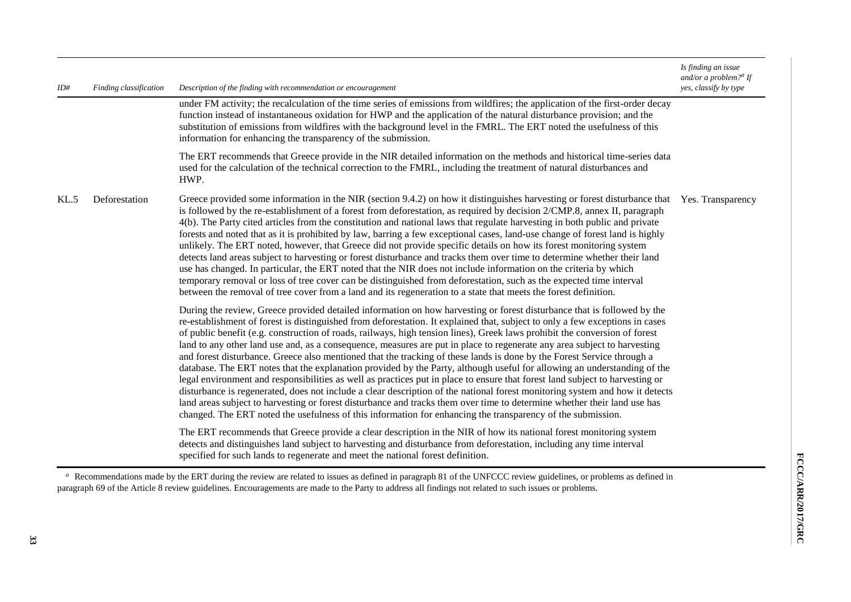| ID#  | Finding classification | Description of the finding with recommendation or encouragement                                                                                                                                                                                                                                                                                                                                                                                                                                                                                                                                                                                                                                                                                                                                                                                                                                                                                                                                                                                                                                                                                                                                                                                                                    | Is finding an issue<br>and/or a problem? <sup><i>a</i></sup> If<br>yes, classify by type |
|------|------------------------|------------------------------------------------------------------------------------------------------------------------------------------------------------------------------------------------------------------------------------------------------------------------------------------------------------------------------------------------------------------------------------------------------------------------------------------------------------------------------------------------------------------------------------------------------------------------------------------------------------------------------------------------------------------------------------------------------------------------------------------------------------------------------------------------------------------------------------------------------------------------------------------------------------------------------------------------------------------------------------------------------------------------------------------------------------------------------------------------------------------------------------------------------------------------------------------------------------------------------------------------------------------------------------|------------------------------------------------------------------------------------------|
|      |                        | under FM activity; the recalculation of the time series of emissions from wildfires; the application of the first-order decay<br>function instead of instantaneous oxidation for HWP and the application of the natural disturbance provision; and the<br>substitution of emissions from wildfires with the background level in the FMRL. The ERT noted the usefulness of this<br>information for enhancing the transparency of the submission.                                                                                                                                                                                                                                                                                                                                                                                                                                                                                                                                                                                                                                                                                                                                                                                                                                    |                                                                                          |
|      |                        | The ERT recommends that Greece provide in the NIR detailed information on the methods and historical time-series data<br>used for the calculation of the technical correction to the FMRL, including the treatment of natural disturbances and<br>HWP.                                                                                                                                                                                                                                                                                                                                                                                                                                                                                                                                                                                                                                                                                                                                                                                                                                                                                                                                                                                                                             |                                                                                          |
| KL.5 | Deforestation          | Greece provided some information in the NIR (section 9.4.2) on how it distinguishes harvesting or forest disturbance that<br>is followed by the re-establishment of a forest from deforestation, as required by decision 2/CMP.8, annex II, paragraph<br>4(b). The Party cited articles from the constitution and national laws that regulate harvesting in both public and private<br>forests and noted that as it is prohibited by law, barring a few exceptional cases, land-use change of forest land is highly<br>unlikely. The ERT noted, however, that Greece did not provide specific details on how its forest monitoring system<br>detects land areas subject to harvesting or forest disturbance and tracks them over time to determine whether their land<br>use has changed. In particular, the ERT noted that the NIR does not include information on the criteria by which<br>temporary removal or loss of tree cover can be distinguished from deforestation, such as the expected time interval<br>between the removal of tree cover from a land and its regeneration to a state that meets the forest definition.                                                                                                                                                | Yes. Transparency                                                                        |
|      |                        | During the review, Greece provided detailed information on how harvesting or forest disturbance that is followed by the<br>re-establishment of forest is distinguished from deforestation. It explained that, subject to only a few exceptions in cases<br>of public benefit (e.g. construction of roads, railways, high tension lines), Greek laws prohibit the conversion of forest<br>land to any other land use and, as a consequence, measures are put in place to regenerate any area subject to harvesting<br>and forest disturbance. Greece also mentioned that the tracking of these lands is done by the Forest Service through a<br>database. The ERT notes that the explanation provided by the Party, although useful for allowing an understanding of the<br>legal environment and responsibilities as well as practices put in place to ensure that forest land subject to harvesting or<br>disturbance is regenerated, does not include a clear description of the national forest monitoring system and how it detects<br>land areas subject to harvesting or forest disturbance and tracks them over time to determine whether their land use has<br>changed. The ERT noted the usefulness of this information for enhancing the transparency of the submission. |                                                                                          |
|      |                        | The ERT recommends that Greece provide a clear description in the NIR of how its national forest monitoring system<br>detects and distinguishes land subject to harvesting and disturbance from deforestation, including any time interval<br>specified for such lands to regenerate and meet the national forest definition.                                                                                                                                                                                                                                                                                                                                                                                                                                                                                                                                                                                                                                                                                                                                                                                                                                                                                                                                                      |                                                                                          |

<sup>&</sup>lt;sup>a</sup> Recommendations made by the ERT during the review are related to issues as defined in paragraph 81 of the UNFCCC review guidelines, or problems as defined in paragraph 69 of the Article 8 review guidelines. Encouragements are made to the Party to address all findings not related to such issues or problems.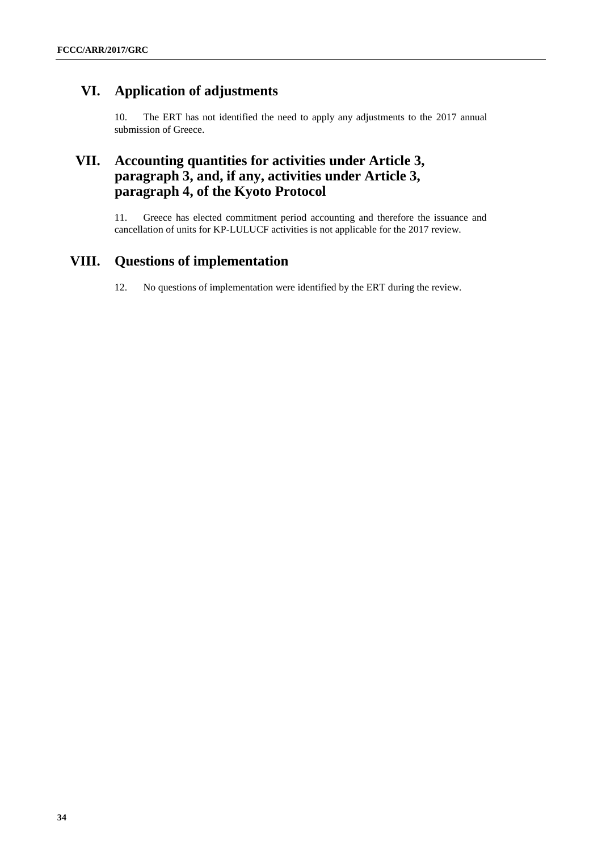# **VI. Application of adjustments**

10. The ERT has not identified the need to apply any adjustments to the 2017 annual submission of Greece.

### **VII. Accounting quantities for activities under Article 3, paragraph 3, and, if any, activities under Article 3, paragraph 4, of the Kyoto Protocol**

11. Greece has elected commitment period accounting and therefore the issuance and cancellation of units for KP-LULUCF activities is not applicable for the 2017 review.

### **VIII. Questions of implementation**

12. No questions of implementation were identified by the ERT during the review.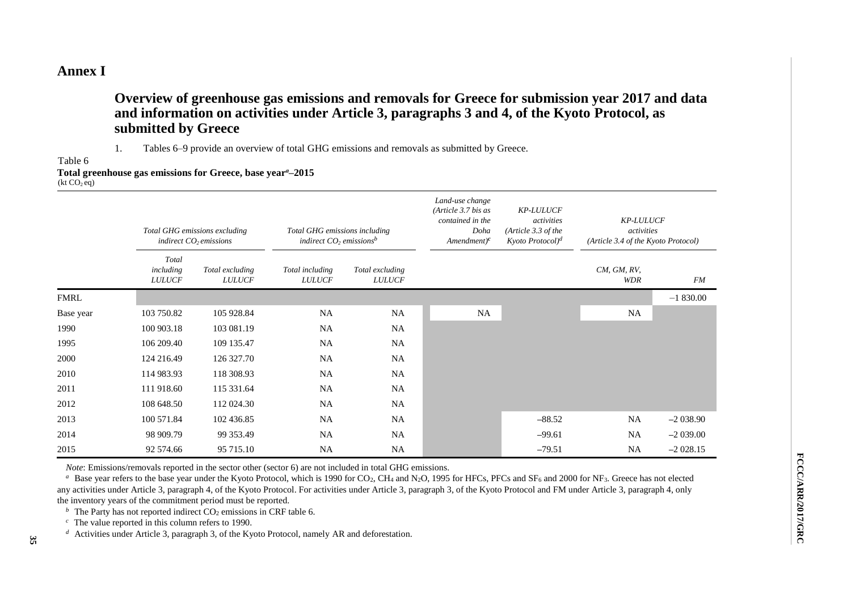### **Annex I**

**Overview of greenhouse gas emissions and removals for Greece for submission year 2017 and data and information on activities under Article 3, paragraphs 3 and 4, of the Kyoto Protocol, as submitted by Greece**

1. Tables 6–9 provide an overview of total GHG emissions and removals as submitted by Greece.

Table 6

#### **Total greenhouse gas emissions for Greece, base year***a***–2015**  $(kt CO<sub>2</sub> eq)$

|             | Total GHG emissions excluding<br>indirect $CO2$ emissions |                                  | Total GHG emissions including<br>indirect $CO2$ emissions <sup>b</sup> |                                  | Land-use change<br>(Article $3.7$ bis as<br>contained in the<br>Doha<br>$A$ mendment) <sup>c</sup> | <b>KP-LULUCF</b><br>activities<br>(Article 3.3 of the<br>$Kyoto$ Protocol $)^d$ | <b>KP-LULUCF</b><br>activities<br>(Article 3.4 of the Kyoto Protocol) |            |
|-------------|-----------------------------------------------------------|----------------------------------|------------------------------------------------------------------------|----------------------------------|----------------------------------------------------------------------------------------------------|---------------------------------------------------------------------------------|-----------------------------------------------------------------------|------------|
|             | Total<br>including<br><b>LULUCF</b>                       | Total excluding<br><b>LULUCF</b> | Total including<br><b>LULUCF</b>                                       | Total excluding<br><b>LULUCF</b> |                                                                                                    |                                                                                 | $CM$ , $GM$ , $RV$ ,<br>WDR                                           | FM         |
| <b>FMRL</b> |                                                           |                                  |                                                                        |                                  |                                                                                                    |                                                                                 |                                                                       | $-1830.00$ |
| Base year   | 103 750.82                                                | 105 928.84                       | <b>NA</b>                                                              | NA                               | <b>NA</b>                                                                                          |                                                                                 | NA                                                                    |            |
| 1990        | 100 903.18                                                | 103 081.19                       | <b>NA</b>                                                              | <b>NA</b>                        |                                                                                                    |                                                                                 |                                                                       |            |
| 1995        | 106 209.40                                                | 109 135.47                       | <b>NA</b>                                                              | NA                               |                                                                                                    |                                                                                 |                                                                       |            |
| 2000        | 124 216.49                                                | 126 327.70                       | <b>NA</b>                                                              | <b>NA</b>                        |                                                                                                    |                                                                                 |                                                                       |            |
| 2010        | 114 983.93                                                | 118 308.93                       | <b>NA</b>                                                              | NA                               |                                                                                                    |                                                                                 |                                                                       |            |
| 2011        | 111 918.60                                                | 115 331.64                       | <b>NA</b>                                                              | <b>NA</b>                        |                                                                                                    |                                                                                 |                                                                       |            |
| 2012        | 108 648.50                                                | 112 024.30                       | <b>NA</b>                                                              | NA                               |                                                                                                    |                                                                                 |                                                                       |            |
| 2013        | 100 571.84                                                | 102 436.85                       | <b>NA</b>                                                              | <b>NA</b>                        |                                                                                                    | $-88.52$                                                                        | NA                                                                    | $-2038.90$ |
| 2014        | 98 909.79                                                 | 99 353.49                        | <b>NA</b>                                                              | <b>NA</b>                        |                                                                                                    | $-99.61$                                                                        | <b>NA</b>                                                             | $-2039.00$ |
| 2015        | 92 574.66                                                 | 95 715.10                        | <b>NA</b>                                                              | <b>NA</b>                        |                                                                                                    | $-79.51$                                                                        | NA                                                                    | $-2028.15$ |

*Note*: Emissions/removals reported in the sector other (sector 6) are not included in total GHG emissions.

<sup>a</sup> Base year refers to the base year under the Kyoto Protocol, which is 1990 for CO<sub>2</sub>, CH<sub>4</sub> and N<sub>2</sub>O, 1995 for HFCs, PFCs and SF<sub>6</sub> and 2000 for NF<sub>3</sub>. Greece has not elected any activities under Article 3, paragraph 4, of the Kyoto Protocol. For activities under Article 3, paragraph 3, of the Kyoto Protocol and FM under Article 3, paragraph 4, only the inventory years of the commitment period must be reported.

*b* The Party has not reported indirect  $CO<sub>2</sub>$  emissions in CRF table 6.

 $c$  The value reported in this column refers to 1990.

*d* Activities under Article 3, paragraph 3, of the Kyoto Protocol, namely AR and deforestation.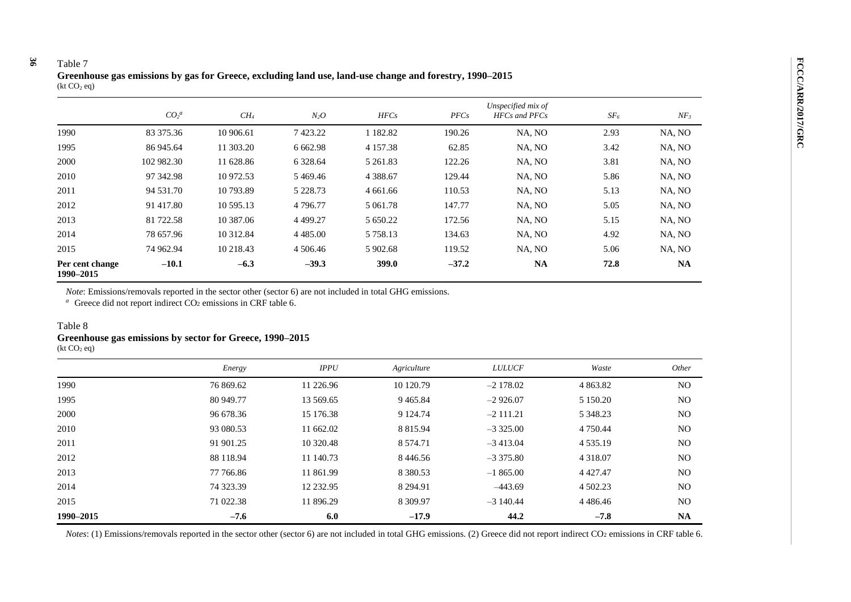#### **36** Table 7

|                              | CO <sub>2</sub> <sup>a</sup> | $CH_4$    | $N_2O$      | HFCs          | PFCs    | Unspecified mix of<br><b>HFCs</b> and PFCs | SF <sub>6</sub> | $NF_3$    |
|------------------------------|------------------------------|-----------|-------------|---------------|---------|--------------------------------------------|-----------------|-----------|
| 1990                         | 83 375.36                    | 10 906.61 | 7423.22     | 1 182.82      | 190.26  | NA, NO                                     | 2.93            | NA, NO    |
| 1995                         | 86 945.64                    | 11 303.20 | 6 6 6 2.98  | 4 1 5 7 . 3 8 | 62.85   | NA, NO                                     | 3.42            | NA, NO    |
| 2000                         | 102 982.30                   | 11 628.86 | 6 3 28.64   | 5 261.83      | 122.26  | NA, NO                                     | 3.81            | NA, NO    |
| 2010                         | 97 342.98                    | 10 972.53 | 5469.46     | 4 3 8 8 . 6 7 | 129.44  | NA, NO                                     | 5.86            | NA, NO    |
| 2011                         | 94 531.70                    | 10 793.89 | 5 2 2 8 .73 | 4 661.66      | 110.53  | NA, NO                                     | 5.13            | NA, NO    |
| 2012                         | 91 417.80                    | 10 595.13 | 4 7 9 6 .77 | 5 0 6 1 .78   | 147.77  | NA, NO                                     | 5.05            | NA, NO    |
| 2013                         | 81 722.58                    | 10 387.06 | 4 4 9 9.27  | 5 650.22      | 172.56  | NA, NO                                     | 5.15            | NA, NO    |
| 2014                         | 78 657.96                    | 10 312.84 | 4 4 8 5 .00 | 5 7 5 8 .13   | 134.63  | NA, NO                                     | 4.92            | NA, NO    |
| 2015                         | 74 962.94                    | 10 218.43 | 4 506.46    | 5 902.68      | 119.52  | NA, NO                                     | 5.06            | NA, NO    |
| Per cent change<br>1990-2015 | $-10.1$                      | $-6.3$    | $-39.3$     | 399.0         | $-37.2$ | <b>NA</b>                                  | 72.8            | <b>NA</b> |

**Greenhouse gas emissions by gas for Greece, excluding land use, land-use change and forestry, 1990–2015**  $(kt CO<sub>2</sub> eq)$ 

*Note*: Emissions/removals reported in the sector other (sector 6) are not included in total GHG emissions.

<sup>a</sup> Greece did not report indirect CO<sub>2</sub> emissions in CRF table 6.

#### Table 8

#### **Greenhouse gas emissions by sector for Greece, 1990–2015**

 $(kt CO<sub>2</sub> eq)$ 

|           | Energy    | <b>IPPU</b> | Agriculture   | <b>LULUCF</b> | Waste         | Other          |
|-----------|-----------|-------------|---------------|---------------|---------------|----------------|
| 1990      | 76 869.62 | 11 226.96   | 10 120.79     | $-2$ 178.02   | 4 863.82      | N <sub>O</sub> |
| 1995      | 80 949.77 | 13 569.65   | 9465.84       | $-2926.07$    | 5 150.20      | N <sub>O</sub> |
| 2000      | 96 678.36 | 15 176.38   | 9 1 24.74     | $-2$ 111.21   | 5 348.23      | N <sub>O</sub> |
| 2010      | 93 080.53 | 11 662.02   | 8 8 1 5 .9 4  | $-3325.00$    | 4 7 5 0 . 4 4 | N <sub>O</sub> |
| 2011      | 91 901.25 | 10 320.48   | 8 5 7 4 . 7 1 | $-3413.04$    | 4 5 3 5 . 1 9 | N <sub>O</sub> |
| 2012      | 88 118.94 | 11 140.73   | 8446.56       | $-3375.80$    | 4 3 1 8 .07   | N <sub>O</sub> |
| 2013      | 77 766.86 | 11 861.99   | 8 3 8 0 . 5 3 | $-1865.00$    | 4 4 2 7 . 4 7 | N <sub>O</sub> |
| 2014      | 74 323.39 | 12 232.95   | 8 2 9 4 . 9 1 | $-443.69$     | 4 502.23      | N <sub>O</sub> |
| 2015      | 71 022.38 | 11 896.29   | 8 3 0 9.97    | $-3140.44$    | 4 4 8 6 4 6   | N <sub>O</sub> |
| 1990-2015 | $-7.6$    | 6.0         | $-17.9$       | 44.2          | $-7.8$        | <b>NA</b>      |

*Notes*: (1) Emissions/removals reported in the sector other (sector 6) are not included in total GHG emissions. (2) Greece did not report indirect CO<sub>2</sub> emissions in CRF table 6.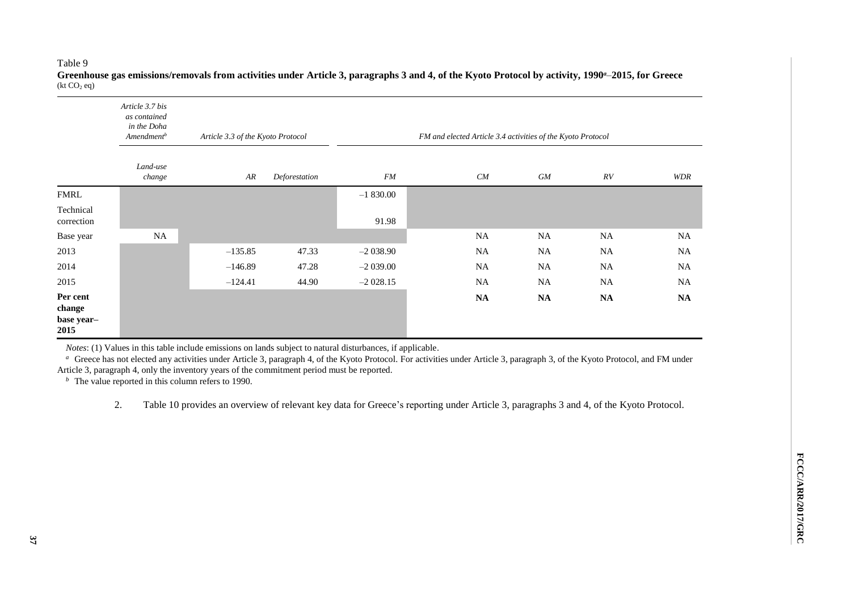#### Table 9

|                                          | Article 3.7 bis<br>as contained<br>in the Doha<br>Amendment <sup>b</sup> | Article 3.3 of the Kyoto Protocol |               | FM and elected Article 3.4 activities of the Kyoto Protocol |               |            |               |               |
|------------------------------------------|--------------------------------------------------------------------------|-----------------------------------|---------------|-------------------------------------------------------------|---------------|------------|---------------|---------------|
|                                          | Land-use<br>change                                                       | AR                                | Deforestation | FM                                                          | CM            | ${\it GM}$ | RV            | <b>WDR</b>    |
| <b>FMRL</b>                              |                                                                          |                                   |               | $-1830.00$                                                  |               |            |               |               |
| Technical<br>correction                  |                                                                          |                                   |               | 91.98                                                       |               |            |               |               |
| Base year                                | $_{\rm NA}$                                                              |                                   |               |                                                             | $_{\rm NA}$   | NA         | <b>NA</b>     | NA            |
| 2013                                     |                                                                          | $-135.85$                         | 47.33         | $-2038.90$                                                  | NA            | <b>NA</b>  | NA            | $_{\rm NA}$   |
| 2014                                     |                                                                          | $-146.89$                         | 47.28         | $-2039.00$                                                  | NA            | <b>NA</b>  | <b>NA</b>     | <b>NA</b>     |
| 2015                                     |                                                                          | $-124.41$                         | 44.90         | $-2028.15$                                                  | <b>NA</b>     | <b>NA</b>  | <b>NA</b>     | <b>NA</b>     |
| Per cent<br>change<br>base year-<br>2015 |                                                                          |                                   |               |                                                             | $\mathbf{NA}$ | <b>NA</b>  | $\mathbf{NA}$ | $\mathbf{NA}$ |

**Greenhouse gas emissions/removals from activities under Article 3, paragraphs 3 and 4, of the Kyoto Protocol by activity, 1990***a*–**2015, for Greece**  $(kt CO<sub>2</sub> eq)$ 

*Notes*: (1) Values in this table include emissions on lands subject to natural disturbances, if applicable.

<sup>a</sup> Greece has not elected any activities under Article 3, paragraph 4, of the Kyoto Protocol. For activities under Article 3, paragraph 3, of the Kyoto Protocol, and FM under Article 3, paragraph 4, only the inventory years of the commitment period must be reported.

 $\bar{b}$  The value reported in this column refers to 1990.

2. Table 10 provides an overview of relevant key data for Greece's reporting under Article 3, paragraphs 3 and 4, of the Kyoto Protocol.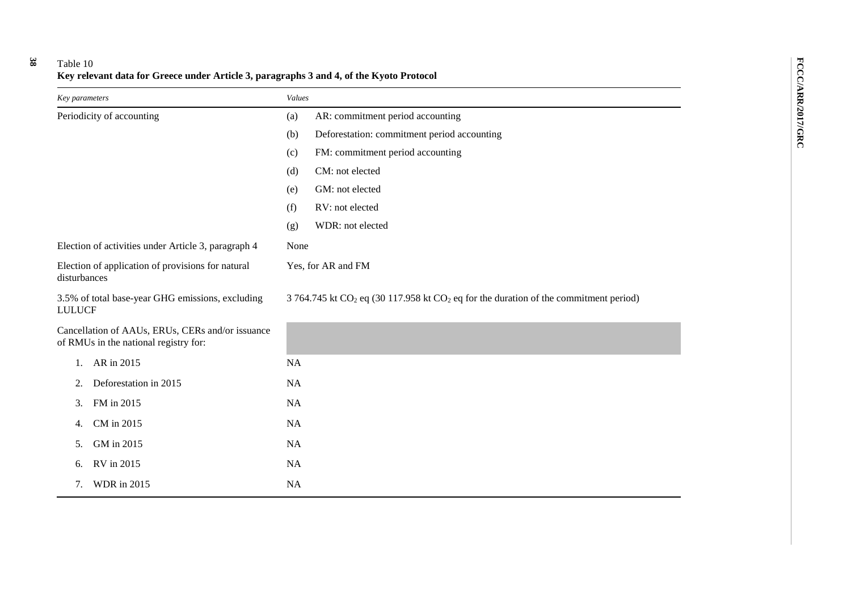### Table 10 **Key relevant data for Greece under Article 3, paragraphs 3 and 4, of the Kyoto Protocol**

**38**

| Key parameters                                                                            | Values                                                                                   |  |  |  |
|-------------------------------------------------------------------------------------------|------------------------------------------------------------------------------------------|--|--|--|
| Periodicity of accounting                                                                 | AR: commitment period accounting<br>(a)                                                  |  |  |  |
|                                                                                           | Deforestation: commitment period accounting<br>(b)                                       |  |  |  |
|                                                                                           | FM: commitment period accounting<br>(c)                                                  |  |  |  |
|                                                                                           | CM: not elected<br>(d)                                                                   |  |  |  |
|                                                                                           | GM: not elected<br>(e)                                                                   |  |  |  |
|                                                                                           | RV: not elected<br>(f)                                                                   |  |  |  |
|                                                                                           | WDR: not elected<br>(g)                                                                  |  |  |  |
| Election of activities under Article 3, paragraph 4                                       | None                                                                                     |  |  |  |
| Election of application of provisions for natural<br>disturbances                         | Yes, for AR and FM                                                                       |  |  |  |
| 3.5% of total base-year GHG emissions, excluding<br><b>LULUCF</b>                         | 3 764.745 kt $CO2$ eq (30 117.958 kt $CO2$ eq for the duration of the commitment period) |  |  |  |
| Cancellation of AAUs, ERUs, CERs and/or issuance<br>of RMUs in the national registry for: |                                                                                          |  |  |  |
| AR in 2015<br>1.                                                                          | <b>NA</b>                                                                                |  |  |  |
| Deforestation in 2015<br>2.                                                               | <b>NA</b>                                                                                |  |  |  |
| 3.<br>FM in 2015                                                                          | <b>NA</b>                                                                                |  |  |  |
| CM in 2015<br>4.                                                                          | <b>NA</b>                                                                                |  |  |  |
| GM in 2015<br>5.                                                                          | NA                                                                                       |  |  |  |
| RV in 2015<br>6.                                                                          | <b>NA</b>                                                                                |  |  |  |
| <b>WDR</b> in 2015<br>7.                                                                  | <b>NA</b>                                                                                |  |  |  |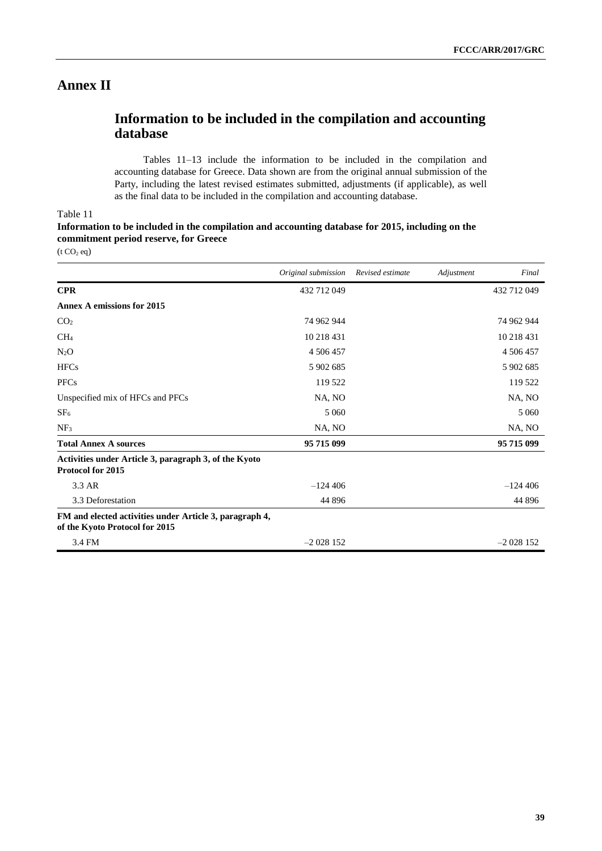### **Annex II**

### **Information to be included in the compilation and accounting database**

Tables 11–13 include the information to be included in the compilation and accounting database for Greece. Data shown are from the original annual submission of the Party, including the latest revised estimates submitted, adjustments (if applicable), as well as the final data to be included in the compilation and accounting database.

#### Table 11

#### **Information to be included in the compilation and accounting database for 2015, including on the commitment period reserve, for Greece**

 $(t CO<sub>2</sub> eq)$ 

|                                                                                           | Original submission | Revised estimate | Adjustment | Final       |
|-------------------------------------------------------------------------------------------|---------------------|------------------|------------|-------------|
| <b>CPR</b>                                                                                | 432 712 049         |                  |            | 432 712 049 |
| <b>Annex A emissions for 2015</b>                                                         |                     |                  |            |             |
| CO <sub>2</sub>                                                                           | 74 962 944          |                  |            | 74 962 944  |
| CH <sub>4</sub>                                                                           | 10 218 431          |                  |            | 10 218 431  |
| $N_2O$                                                                                    | 4 506 457           |                  |            | 4 506 457   |
| <b>HFCs</b>                                                                               | 5 902 685           |                  |            | 5 902 685   |
| <b>PFCs</b>                                                                               | 119 522             |                  |            | 119 522     |
| Unspecified mix of HFCs and PFCs                                                          | NA, NO              |                  |            | NA, NO      |
| SF <sub>6</sub>                                                                           | 5 0 6 0             |                  |            | 5 0 6 0     |
| NF <sub>3</sub>                                                                           | NA, NO              |                  |            | NA, NO      |
| <b>Total Annex A sources</b>                                                              | 95 715 099          |                  |            | 95 715 099  |
| Activities under Article 3, paragraph 3, of the Kyoto<br><b>Protocol for 2015</b>         |                     |                  |            |             |
| 3.3 AR                                                                                    | $-124406$           |                  |            | $-124406$   |
| 3.3 Deforestation                                                                         | 44 8 9 6            |                  |            | 44 8 96     |
| FM and elected activities under Article 3, paragraph 4,<br>of the Kyoto Protocol for 2015 |                     |                  |            |             |
| 3.4 FM                                                                                    | $-2028152$          |                  |            | $-2028152$  |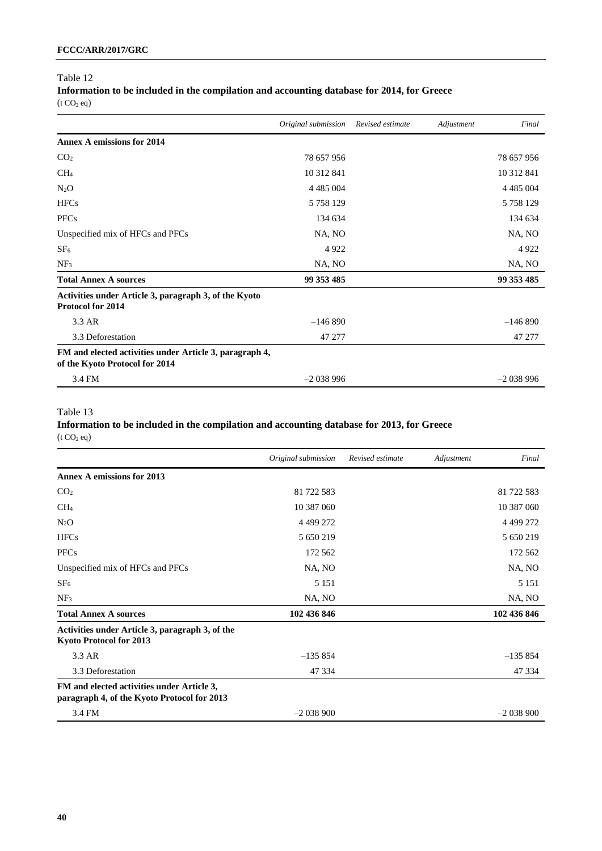# Table 12 **Information to be included in the compilation and accounting database for 2014, for Greece**

 $({\rm t\,CO_2\,eq})$ 

|                                                                                           | Original submission | Revised estimate | Adjustment | Final         |
|-------------------------------------------------------------------------------------------|---------------------|------------------|------------|---------------|
| <b>Annex A emissions for 2014</b>                                                         |                     |                  |            |               |
| CO <sub>2</sub>                                                                           | 78 657 956          |                  |            | 78 657 956    |
| CH <sub>4</sub>                                                                           | 10 312 841          |                  |            | 10 312 841    |
| $N_2O$                                                                                    | 4 4 8 5 0 0 4       |                  |            | 4 4 8 5 0 0 4 |
| <b>HFCs</b>                                                                               | 5 7 5 8 1 2 9       |                  |            | 5 7 5 8 1 2 9 |
| <b>PFCs</b>                                                                               | 134 634             |                  |            | 134 634       |
| Unspecified mix of HFCs and PFCs                                                          | NA, NO              |                  |            | NA, NO        |
| SF <sub>6</sub>                                                                           | 4922                |                  |            | 4922          |
| NF <sub>3</sub>                                                                           | NA, NO              |                  |            | NA, NO        |
| <b>Total Annex A sources</b>                                                              | 99 353 485          |                  |            | 99 353 485    |
| Activities under Article 3, paragraph 3, of the Kyoto<br>Protocol for 2014                |                     |                  |            |               |
| 3.3 AR                                                                                    | $-146890$           |                  |            | $-146890$     |
| 3.3 Deforestation                                                                         | 47 277              |                  |            | 47 277        |
| FM and elected activities under Article 3, paragraph 4,<br>of the Kyoto Protocol for 2014 |                     |                  |            |               |
| 3.4 FM                                                                                    | $-2038996$          |                  |            | $-2038996$    |

#### Table 13

#### **Information to be included in the compilation and accounting database for 2013, for Greece**  $(t CO<sub>2</sub> eq)$

|                                                                                           | Original submission | Revised estimate | Adjustment | Final       |
|-------------------------------------------------------------------------------------------|---------------------|------------------|------------|-------------|
| <b>Annex A emissions for 2013</b>                                                         |                     |                  |            |             |
| CO <sub>2</sub>                                                                           | 81 722 583          |                  |            | 81 722 583  |
| CH <sub>4</sub>                                                                           | 10 387 060          |                  |            | 10 387 060  |
| $N_2O$                                                                                    | 4 499 272           |                  |            | 4 4 9 27 2  |
| <b>HFCs</b>                                                                               | 5 650 219           |                  |            | 5 650 219   |
| <b>PFCs</b>                                                                               | 172 562             |                  |            | 172 562     |
| Unspecified mix of HFCs and PFCs                                                          | NA, NO              |                  |            | NA, NO      |
| SF <sub>6</sub>                                                                           | 5 1 5 1             |                  |            | 5 1 5 1     |
| NF <sub>3</sub>                                                                           | NA, NO              |                  |            | NA, NO      |
| <b>Total Annex A sources</b>                                                              | 102 436 846         |                  |            | 102 436 846 |
| Activities under Article 3, paragraph 3, of the<br>Kyoto Protocol for 2013                |                     |                  |            |             |
| 3.3 AR                                                                                    | $-135854$           |                  |            | $-135854$   |
| 3.3 Deforestation                                                                         | 47 334              |                  |            | 47 334      |
| FM and elected activities under Article 3,<br>paragraph 4, of the Kyoto Protocol for 2013 |                     |                  |            |             |
| 3.4 FM                                                                                    | $-2038900$          |                  |            | $-2038900$  |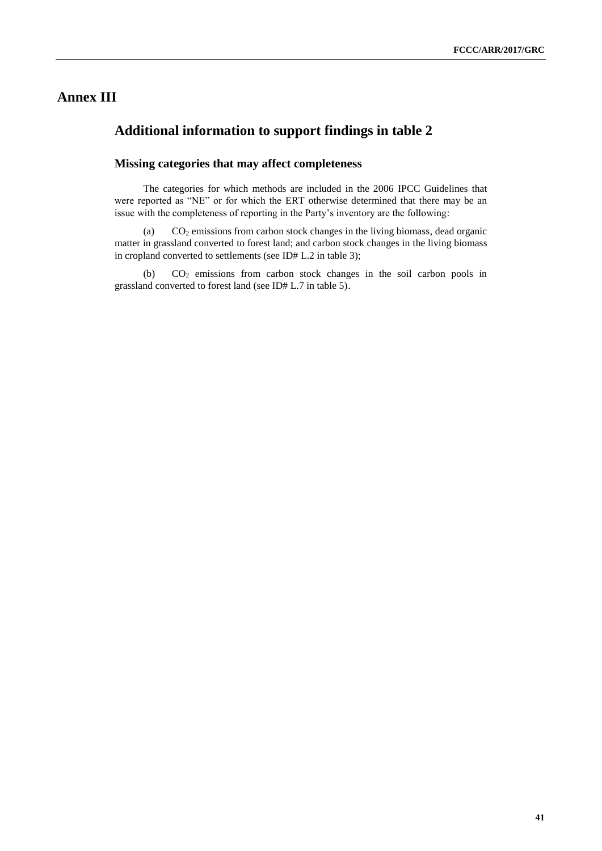## **Annex III**

### **Additional information to support findings in table 2**

#### **Missing categories that may affect completeness**

The categories for which methods are included in the 2006 IPCC Guidelines that were reported as "NE" or for which the ERT otherwise determined that there may be an issue with the completeness of reporting in the Party's inventory are the following:

(a) CO<sup>2</sup> emissions from carbon stock changes in the living biomass, dead organic matter in grassland converted to forest land; and carbon stock changes in the living biomass in cropland converted to settlements (see ID# L.2 in table 3);

(b) CO<sup>2</sup> emissions from carbon stock changes in the soil carbon pools in grassland converted to forest land (see ID# L.7 in table 5).